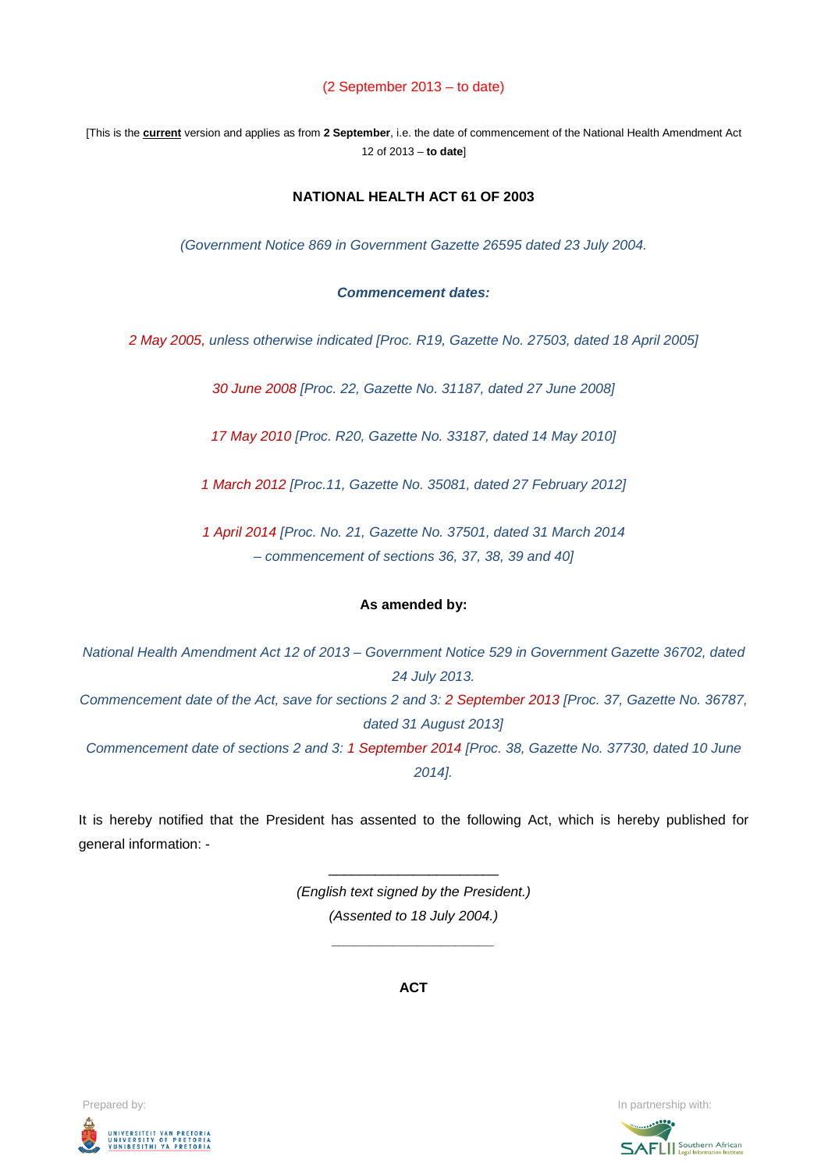#### (2 September 2013 – to date)

[This is the **current** version and applies as from **2 September**, i.e. the date of commencement of the National Health Amendment Act 12 of 2013 – **to date**]

#### **NATIONAL HEALTH ACT 61 OF 2003**

*(Government Notice 869 in Government Gazette 26595 dated 23 July 2004.* 

#### *Commencement dates:*

*2 May 2005, unless otherwise indicated [Proc. R19, Gazette No. 27503, dated 18 April 2005]*

*30 June 2008 [Proc. 22, Gazette No. 31187, dated 27 June 2008]*

*17 May 2010 [Proc. R20, Gazette No. 33187, dated 14 May 2010]*

*1 March 2012 [Proc.11, Gazette No. 35081, dated 27 February 2012]*

*1 April 2014 [Proc. No. 21, Gazette No. 37501, dated 31 March 2014 – commencement of sections 36, 37, 38, 39 and 40]*

#### **As amended by:**

*National Health Amendment Act 12 of 2013 – Government Notice 529 in Government Gazette 36702, dated 24 July 2013. Commencement date of the Act, save for sections 2 and 3: 2 September 2013 [Proc. 37, Gazette No. 36787, dated 31 August 2013] Commencement date of sections 2 and 3: 1 September 2014 [Proc. 38, Gazette No. 37730, dated 10 June 2014].*

It is hereby notified that the President has assented to the following Act, which is hereby published for general information: -

> *(English text signed by the President.) (Assented to 18 July 2004.)*

> > *\_\_\_\_\_\_\_\_\_\_\_\_\_\_\_\_\_\_\_\_\_*

\_\_\_\_\_\_\_\_\_\_\_\_\_\_\_\_\_\_\_\_\_\_

**ACT**



Prepared by: **In partnership with:**  $\blacksquare$  **In partnership with:**  $\blacksquare$  **In partnership with:**  $\blacksquare$ 

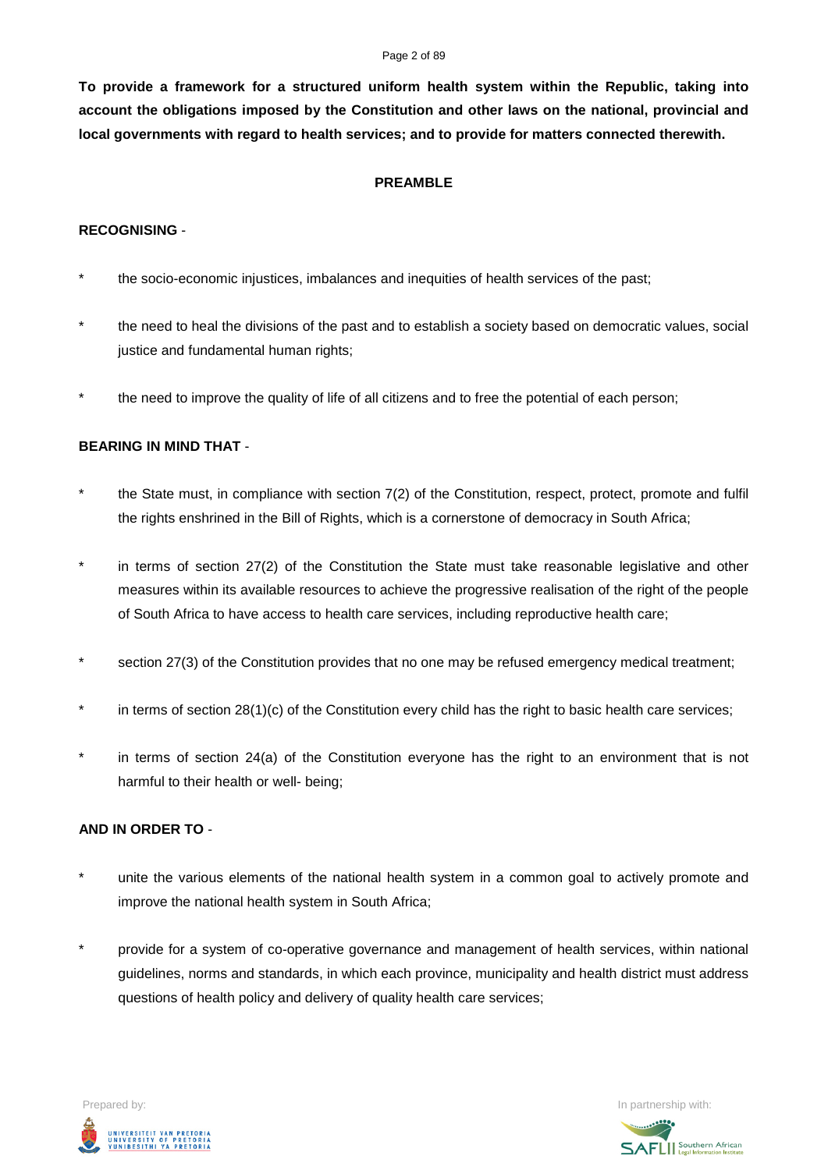#### Page 2 of 89

**To provide a framework for a structured uniform health system within the Republic, taking into account the obligations imposed by the Constitution and other laws on the national, provincial and local governments with regard to health services; and to provide for matters connected therewith.**

### **PREAMBLE**

## **RECOGNISING** -

- the socio-economic injustices, imbalances and inequities of health services of the past;
- \* the need to heal the divisions of the past and to establish a society based on democratic values, social justice and fundamental human rights;
- the need to improve the quality of life of all citizens and to free the potential of each person;

# **BEARING IN MIND THAT** -

- the State must, in compliance with section 7(2) of the Constitution, respect, protect, promote and fulfil the rights enshrined in the Bill of Rights, which is a cornerstone of democracy in South Africa;
- in terms of section 27(2) of the Constitution the State must take reasonable legislative and other measures within its available resources to achieve the progressive realisation of the right of the people of South Africa to have access to health care services, including reproductive health care;
- section 27(3) of the Constitution provides that no one may be refused emergency medical treatment;
- in terms of section 28(1)(c) of the Constitution every child has the right to basic health care services;
- in terms of section 24(a) of the Constitution everyone has the right to an environment that is not harmful to their health or well- being;

# **AND IN ORDER TO** -

- unite the various elements of the national health system in a common goal to actively promote and improve the national health system in South Africa;
- \* provide for a system of co-operative governance and management of health services, within national guidelines, norms and standards, in which each province, municipality and health district must address questions of health policy and delivery of quality health care services;



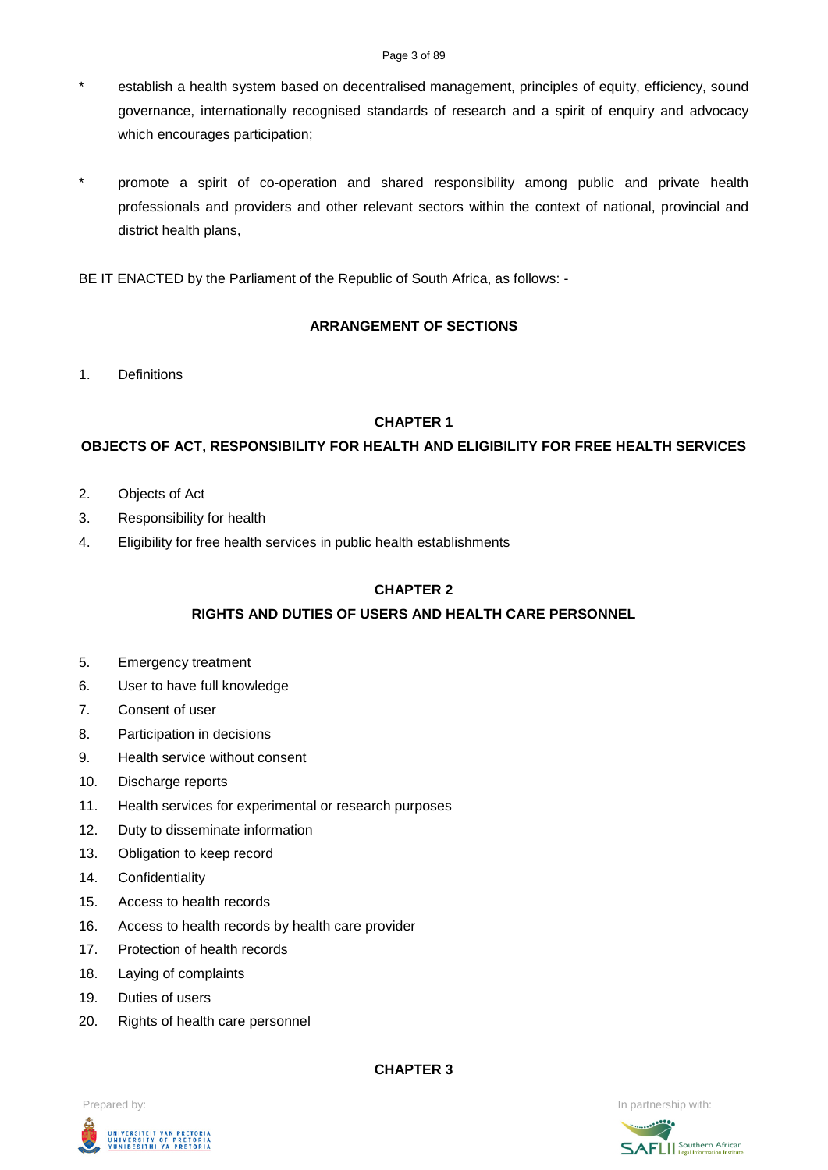#### Page 3 of 89

- \* establish a health system based on decentralised management, principles of equity, efficiency, sound governance, internationally recognised standards of research and a spirit of enquiry and advocacy which encourages participation;
- promote a spirit of co-operation and shared responsibility among public and private health professionals and providers and other relevant sectors within the context of national, provincial and district health plans,
- BE IT ENACTED by the Parliament of the Republic of South Africa, as follows: -

# **ARRANGEMENT OF SECTIONS**

1. Definitions

# **CHAPTER 1**

# **OBJECTS OF ACT, RESPONSIBILITY FOR HEALTH AND ELIGIBILITY FOR FREE HEALTH SERVICES**

- 2. Objects of Act
- 3. Responsibility for health
- 4. Eligibility for free health services in public health establishments

## **CHAPTER 2**

# **RIGHTS AND DUTIES OF USERS AND HEALTH CARE PERSONNEL**

- 5. Emergency treatment
- 6. User to have full knowledge
- 7. Consent of user
- 8. Participation in decisions
- 9. Health service without consent
- 10. Discharge reports
- 11. Health services for experimental or research purposes
- 12. Duty to disseminate information
- 13. Obligation to keep record
- 14. Confidentiality
- 15. Access to health records
- 16. Access to health records by health care provider
- 17. Protection of health records
- 18. Laying of complaints
- 19. Duties of users
- 20. Rights of health care personnel

**CHAPTER 3**





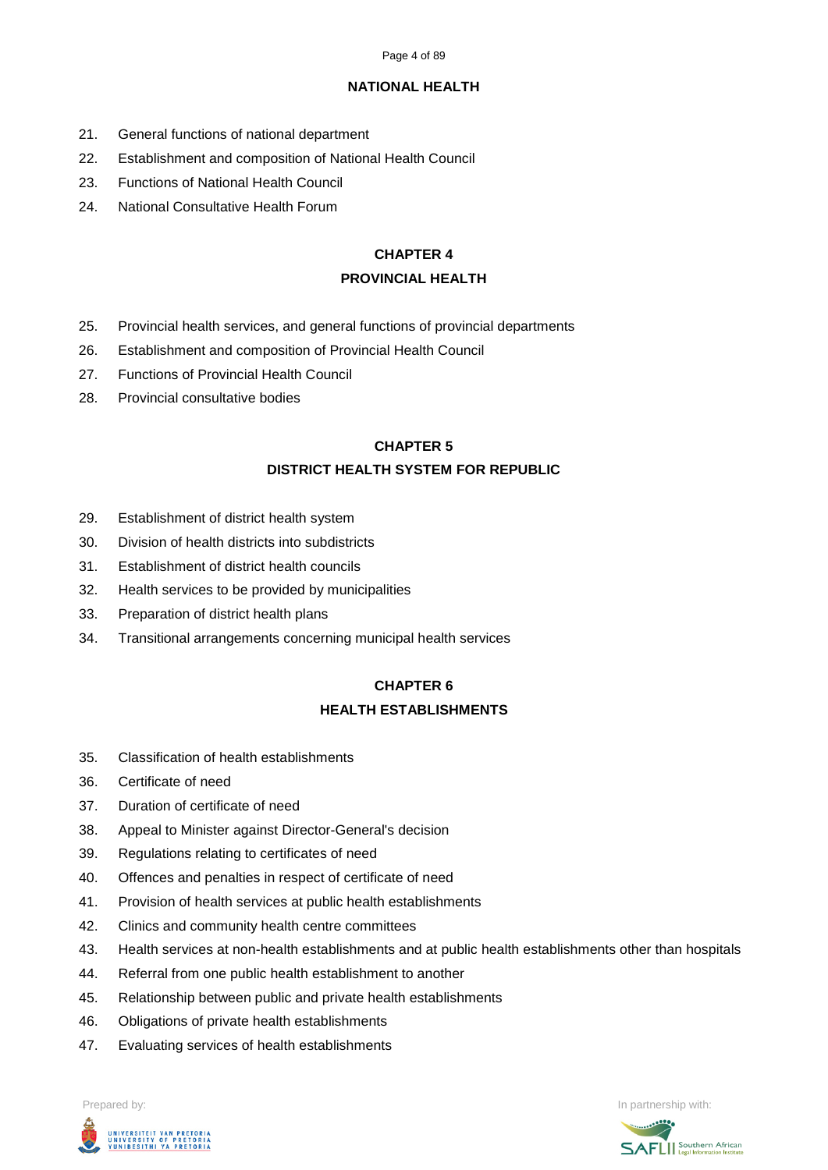## **NATIONAL HEALTH**

- 21. General functions of national department
- 22. Establishment and composition of National Health Council
- 23. Functions of National Health Council
- 24. National Consultative Health Forum

# **CHAPTER 4**

## **PROVINCIAL HEALTH**

- 25. Provincial health services, and general functions of provincial departments
- 26. Establishment and composition of Provincial Health Council
- 27. Functions of Provincial Health Council
- 28. Provincial consultative bodies

# **CHAPTER 5**

# **DISTRICT HEALTH SYSTEM FOR REPUBLIC**

- 29. Establishment of district health system
- 30. Division of health districts into subdistricts
- 31. Establishment of district health councils
- 32. Health services to be provided by municipalities
- 33. Preparation of district health plans
- 34. Transitional arrangements concerning municipal health services

# **CHAPTER 6**

# **HEALTH ESTABLISHMENTS**

- 35. Classification of health establishments
- 36. Certificate of need
- 37. Duration of certificate of need
- 38. Appeal to Minister against Director-General's decision
- 39. Regulations relating to certificates of need
- 40. Offences and penalties in respect of certificate of need
- 41. Provision of health services at public health establishments
- 42. Clinics and community health centre committees
- 43. Health services at non-health establishments and at public health establishments other than hospitals
- 44. Referral from one public health establishment to another
- 45. Relationship between public and private health establishments
- 46. Obligations of private health establishments
- 47. Evaluating services of health establishments



Prepared by: In partnership with:  $\blacksquare$  is the partnership with:  $\blacksquare$  is the partnership with:  $\blacksquare$ 

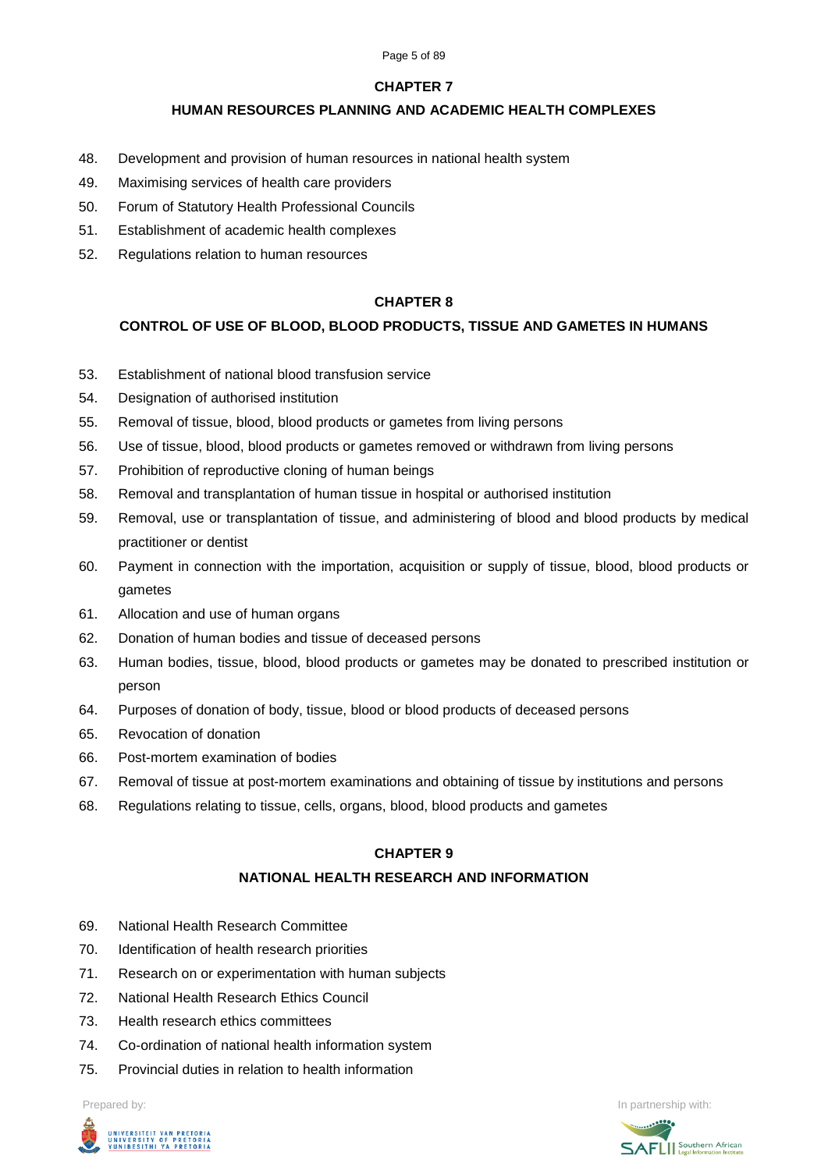#### Page 5 of 89

# **CHAPTER 7**

# **HUMAN RESOURCES PLANNING AND ACADEMIC HEALTH COMPLEXES**

- 48. Development and provision of human resources in national health system
- 49. Maximising services of health care providers
- 50. Forum of Statutory Health Professional Councils
- 51. Establishment of academic health complexes
- 52. Regulations relation to human resources

# **CHAPTER 8**

# **CONTROL OF USE OF BLOOD, BLOOD PRODUCTS, TISSUE AND GAMETES IN HUMANS**

- 53. Establishment of national blood transfusion service
- 54. Designation of authorised institution
- 55. Removal of tissue, blood, blood products or gametes from living persons
- 56. Use of tissue, blood, blood products or gametes removed or withdrawn from living persons
- 57. Prohibition of reproductive cloning of human beings
- 58. Removal and transplantation of human tissue in hospital or authorised institution
- 59. Removal, use or transplantation of tissue, and administering of blood and blood products by medical practitioner or dentist
- 60. Payment in connection with the importation, acquisition or supply of tissue, blood, blood products or gametes
- 61. Allocation and use of human organs
- 62. Donation of human bodies and tissue of deceased persons
- 63. Human bodies, tissue, blood, blood products or gametes may be donated to prescribed institution or person
- 64. Purposes of donation of body, tissue, blood or blood products of deceased persons
- 65. Revocation of donation
- 66. Post-mortem examination of bodies
- 67. Removal of tissue at post-mortem examinations and obtaining of tissue by institutions and persons
- 68. Regulations relating to tissue, cells, organs, blood, blood products and gametes

# **CHAPTER 9**

# **NATIONAL HEALTH RESEARCH AND INFORMATION**

- 69. National Health Research Committee
- 70. Identification of health research priorities
- 71. Research on or experimentation with human subjects
- 72. National Health Research Ethics Council
- 73. Health research ethics committees
- 74. Co-ordination of national health information system
- 75. Provincial duties in relation to health information



Prepared by: In partnership with:

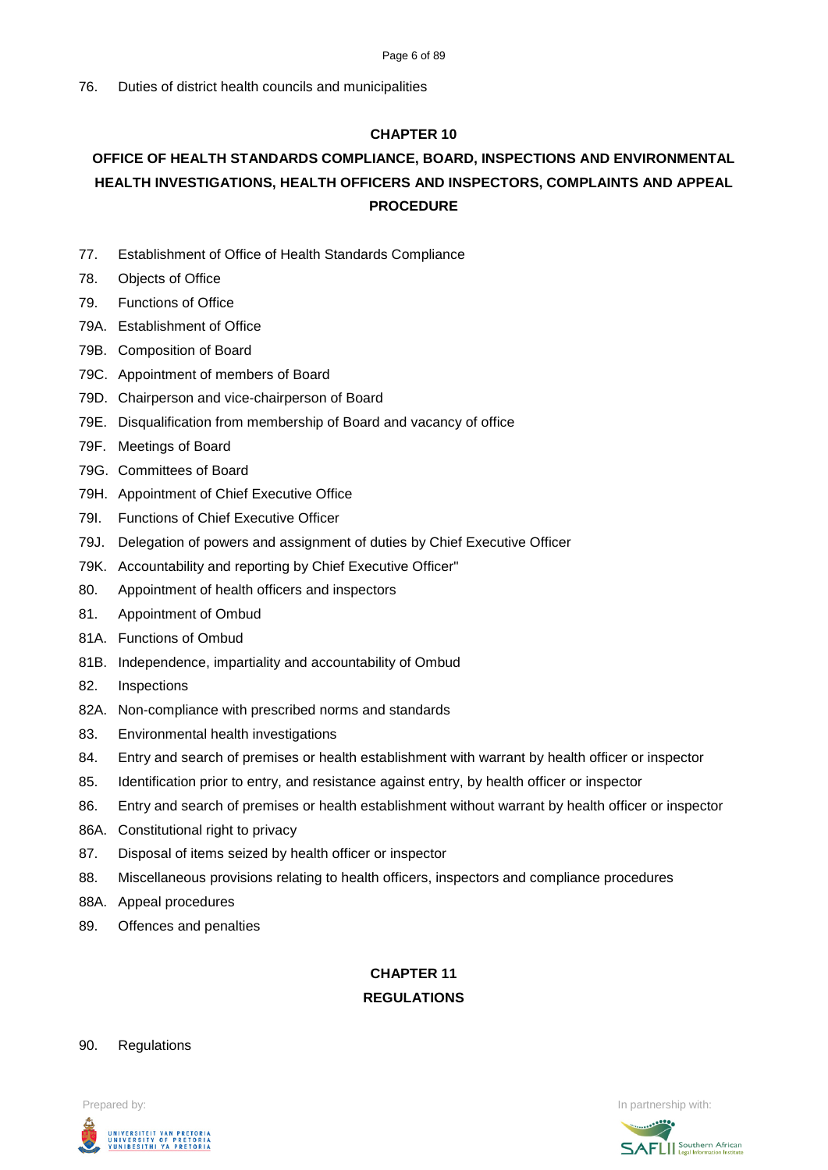#### Page 6 of 89

# **CHAPTER 10**

# **OFFICE OF HEALTH STANDARDS COMPLIANCE, BOARD, INSPECTIONS AND ENVIRONMENTAL HEALTH INVESTIGATIONS, HEALTH OFFICERS AND INSPECTORS, COMPLAINTS AND APPEAL PROCEDURE**

- 77. Establishment of Office of Health Standards Compliance
- 78. Objects of Office
- 79. Functions of Office
- 79A. Establishment of Office
- 79B. Composition of Board
- 79C. Appointment of members of Board
- 79D. Chairperson and vice-chairperson of Board
- 79E. Disqualification from membership of Board and vacancy of office
- 79F. Meetings of Board
- 79G. Committees of Board
- 79H. Appointment of Chief Executive Office
- 79I. Functions of Chief Executive Officer
- 79J. Delegation of powers and assignment of duties by Chief Executive Officer
- 79K. Accountability and reporting by Chief Executive Officer"
- 80. Appointment of health officers and inspectors
- 81. Appointment of Ombud
- 81A. Functions of Ombud
- 81B. Independence, impartiality and accountability of Ombud
- 82. Inspections
- 82A. Non-compliance with prescribed norms and standards
- 83. Environmental health investigations
- 84. Entry and search of premises or health establishment with warrant by health officer or inspector
- 85. Identification prior to entry, and resistance against entry, by health officer or inspector
- 86. Entry and search of premises or health establishment without warrant by health officer or inspector
- 86A. Constitutional right to privacy
- 87. Disposal of items seized by health officer or inspector
- 88. Miscellaneous provisions relating to health officers, inspectors and compliance procedures
- 88A. Appeal procedures
- 89. Offences and penalties

# **CHAPTER 11 REGULATIONS**

#### 90. Regulations



Prepared by: In partnership with:  $\blacksquare$  is the partnership with:  $\blacksquare$  is the partnership with:  $\blacksquare$ 

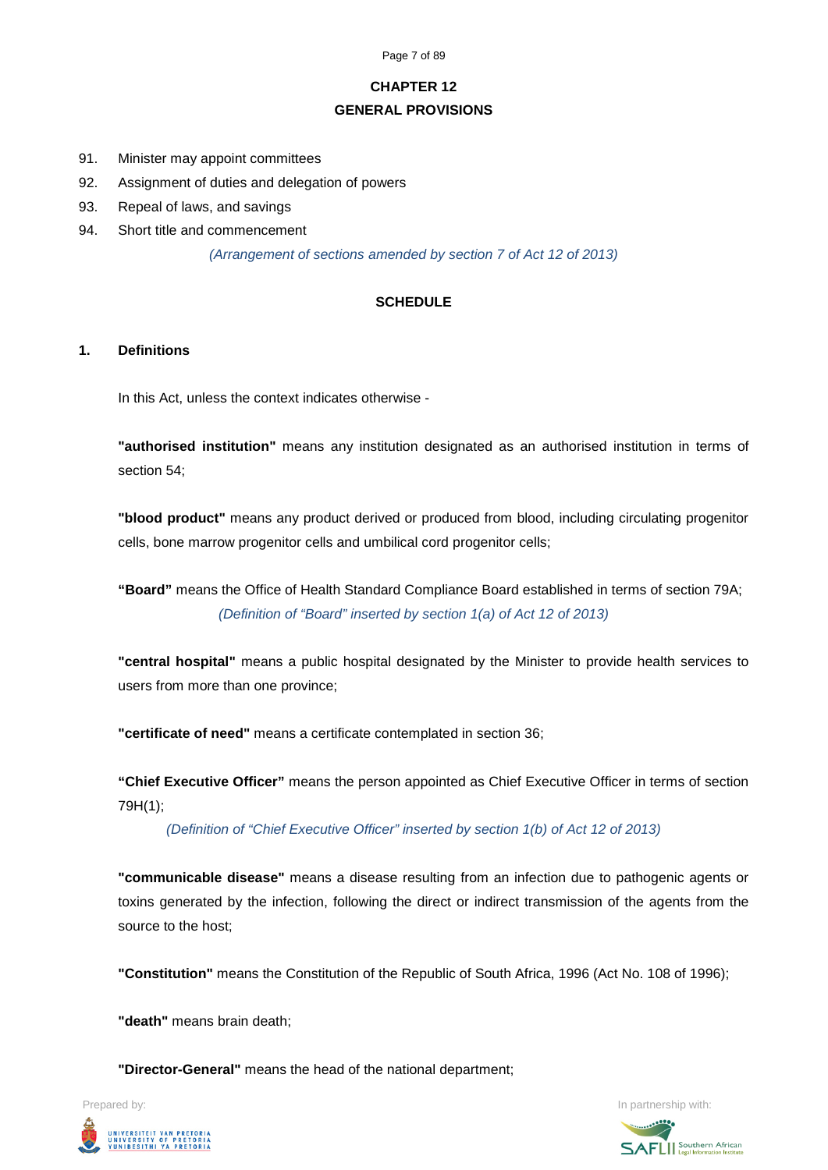Page 7 of 89

# **CHAPTER 12**

# **GENERAL PROVISIONS**

- 91. Minister may appoint committees
- 92. Assignment of duties and delegation of powers
- 93. Repeal of laws, and savings
- 94. Short title and commencement

*(Arrangement of sections amended by section 7 of Act 12 of 2013)*

# **SCHEDULE**

# **1. Definitions**

In this Act, unless the context indicates otherwise -

**"authorised institution"** means any institution designated as an authorised institution in terms of section 54;

**"blood product"** means any product derived or produced from blood, including circulating progenitor cells, bone marrow progenitor cells and umbilical cord progenitor cells;

**"Board"** means the Office of Health Standard Compliance Board established in terms of section 79A; *(Definition of "Board" inserted by section 1(a) of Act 12 of 2013)*

**"central hospital"** means a public hospital designated by the Minister to provide health services to users from more than one province;

**"certificate of need"** means a certificate contemplated in section 36;

**"Chief Executive Officer"** means the person appointed as Chief Executive Officer in terms of section 79H(1);

*(Definition of "Chief Executive Officer" inserted by section 1(b) of Act 12 of 2013)*

**"communicable disease"** means a disease resulting from an infection due to pathogenic agents or toxins generated by the infection, following the direct or indirect transmission of the agents from the source to the host;

**"Constitution"** means the Constitution of the Republic of South Africa, 1996 (Act No. 108 of 1996);

**"death"** means brain death;

**"Director-General"** means the head of the national department;



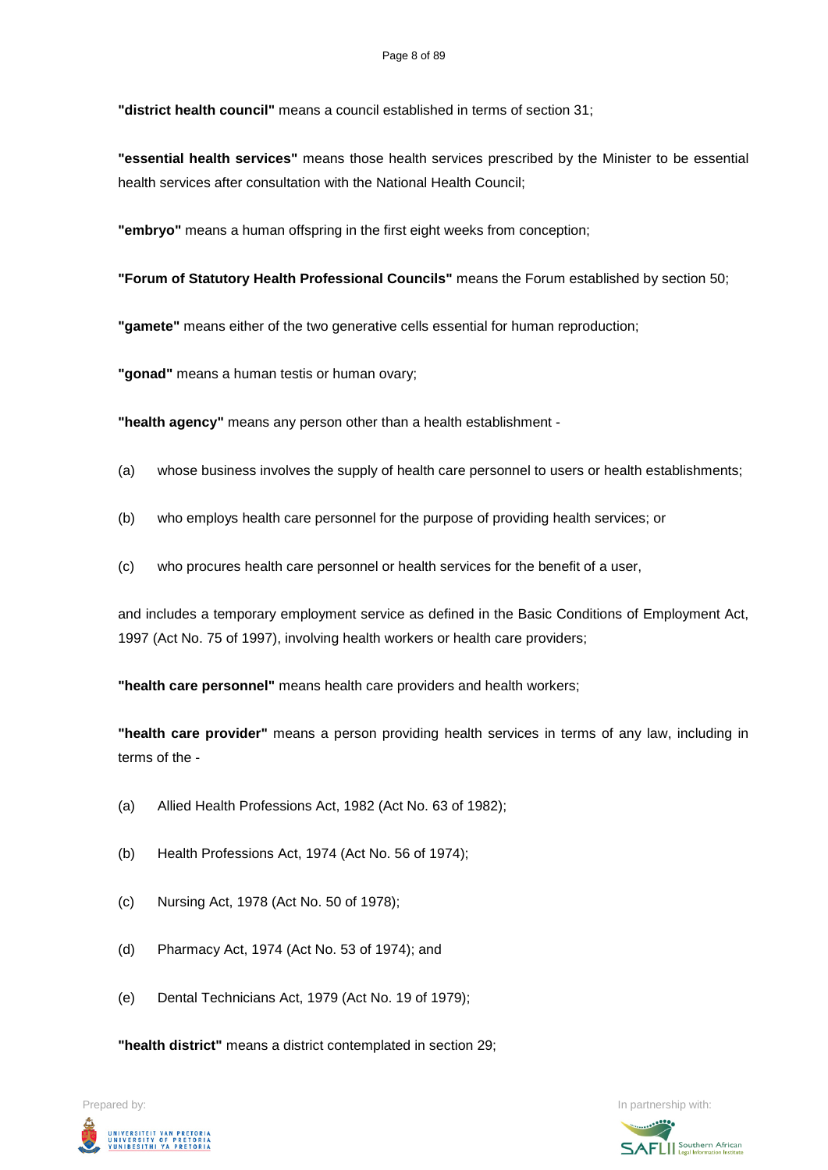**"district health council"** means a council established in terms of section 31;

**"essential health services"** means those health services prescribed by the Minister to be essential health services after consultation with the National Health Council;

**"embryo"** means a human offspring in the first eight weeks from conception;

**"Forum of Statutory Health Professional Councils"** means the Forum established by section 50;

**"gamete"** means either of the two generative cells essential for human reproduction;

**"gonad"** means a human testis or human ovary;

**"health agency"** means any person other than a health establishment -

- (a) whose business involves the supply of health care personnel to users or health establishments;
- (b) who employs health care personnel for the purpose of providing health services; or
- (c) who procures health care personnel or health services for the benefit of a user,

and includes a temporary employment service as defined in the Basic Conditions of Employment Act, 1997 (Act No. 75 of 1997), involving health workers or health care providers;

**"health care personnel"** means health care providers and health workers;

**"health care provider"** means a person providing health services in terms of any law, including in terms of the -

- (a) Allied Health Professions Act, 1982 (Act No. 63 of 1982);
- (b) Health Professions Act, 1974 (Act No. 56 of 1974);
- (c) Nursing Act, 1978 (Act No. 50 of 1978);
- (d) Pharmacy Act, 1974 (Act No. 53 of 1974); and
- (e) Dental Technicians Act, 1979 (Act No. 19 of 1979);

**"health district"** means a district contemplated in section 29;

Prepared by: In partnership with:UNIVERSITEIT VAN PRETORIA<br>UNIVERSITY OF PRETORIA<br>YUNIBESITHI YA PRETORIA

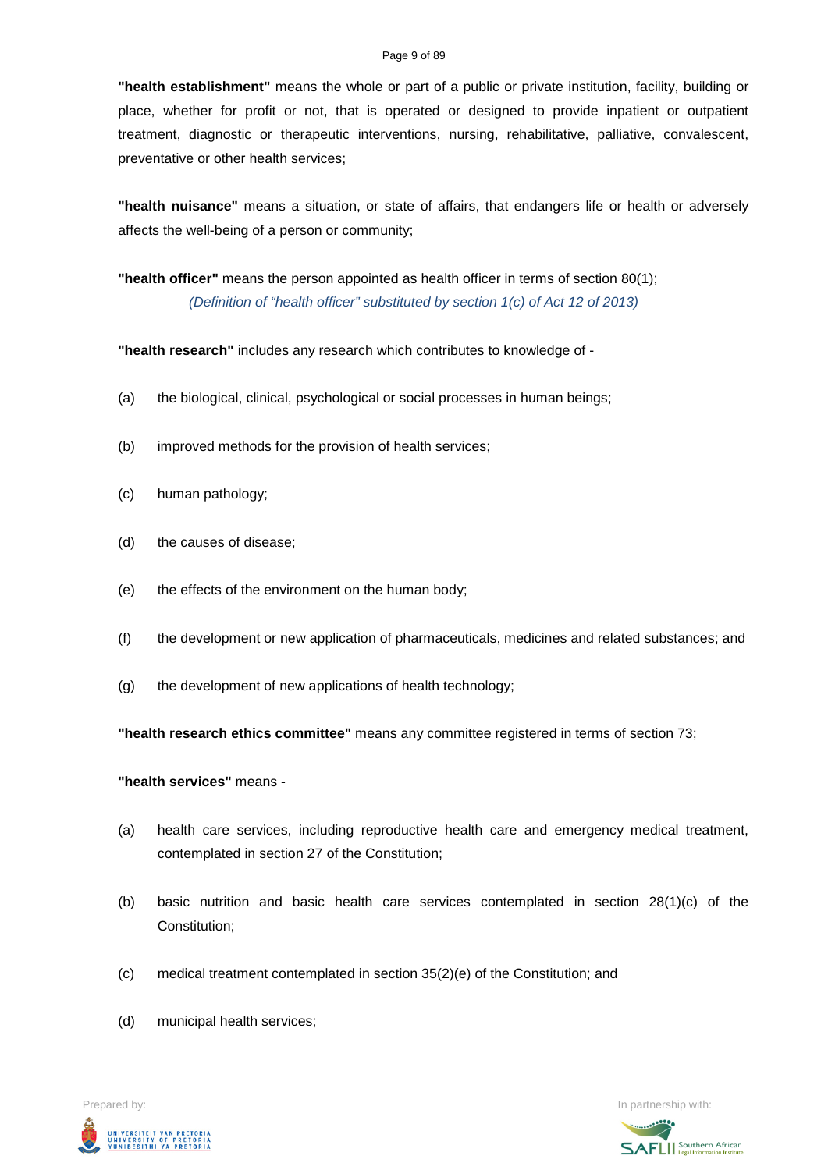#### Page 9 of 89

**"health establishment"** means the whole or part of a public or private institution, facility, building or place, whether for profit or not, that is operated or designed to provide inpatient or outpatient treatment, diagnostic or therapeutic interventions, nursing, rehabilitative, palliative, convalescent, preventative or other health services;

**"health nuisance"** means a situation, or state of affairs, that endangers life or health or adversely affects the well-being of a person or community;

**"health officer"** means the person appointed as health officer in terms of section 80(1); *(Definition of "health officer" substituted by section 1(c) of Act 12 of 2013)*

**"health research"** includes any research which contributes to knowledge of -

- (a) the biological, clinical, psychological or social processes in human beings;
- (b) improved methods for the provision of health services;
- (c) human pathology;
- (d) the causes of disease;
- (e) the effects of the environment on the human body;
- (f) the development or new application of pharmaceuticals, medicines and related substances; and
- (g) the development of new applications of health technology;

**"health research ethics committee"** means any committee registered in terms of section 73;

**"health services"** means -

- (a) health care services, including reproductive health care and emergency medical treatment, contemplated in section 27 of the Constitution;
- (b) basic nutrition and basic health care services contemplated in section 28(1)(c) of the Constitution;
- (c) medical treatment contemplated in section 35(2)(e) of the Constitution; and
- (d) municipal health services;

Prepared by: In partnership with:  $\blacksquare$  is the partnership with:  $\blacksquare$  is the partnership with:  $\blacksquare$ UNIVERSITEIT VAN PRETORIA<br>UNIVERSITY OF PRETORIA<br>YUNIBESITHI YA PRETORIA

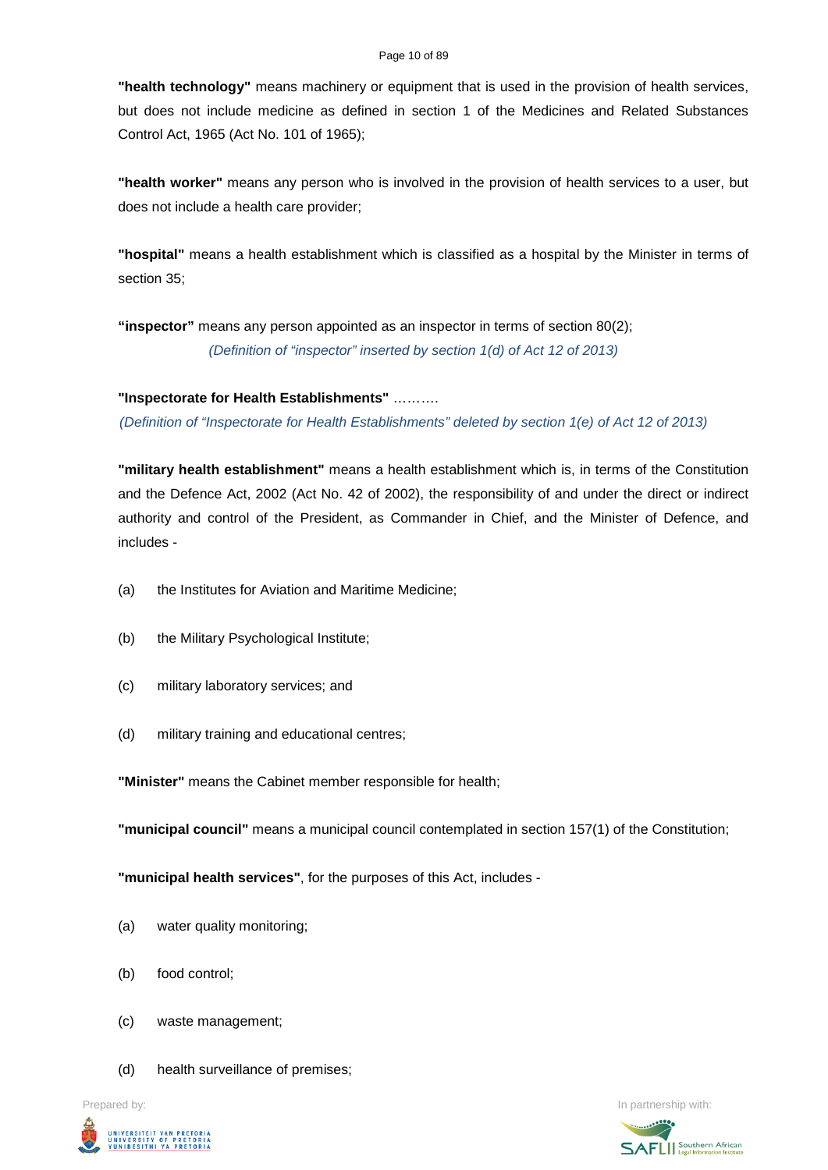#### Page 10 of 89

**"health technology"** means machinery or equipment that is used in the provision of health services, but does not include medicine as defined in section 1 of the Medicines and Related Substances Control Act, 1965 (Act No. 101 of 1965);

**"health worker"** means any person who is involved in the provision of health services to a user, but does not include a health care provider;

**"hospital"** means a health establishment which is classified as a hospital by the Minister in terms of section 35;

**"inspector"** means any person appointed as an inspector in terms of section 80(2); *(Definition of "inspector" inserted by section 1(d) of Act 12 of 2013)*

**"Inspectorate for Health Establishments"** ……….

*(Definition of "Inspectorate for Health Establishments" deleted by section 1(e) of Act 12 of 2013)*

**"military health establishment"** means a health establishment which is, in terms of the Constitution and the Defence Act, 2002 (Act No. 42 of 2002), the responsibility of and under the direct or indirect authority and control of the President, as Commander in Chief, and the Minister of Defence, and includes -

- (a) the Institutes for Aviation and Maritime Medicine;
- (b) the Military Psychological Institute;
- (c) military laboratory services; and
- (d) military training and educational centres;

**"Minister"** means the Cabinet member responsible for health;

**"municipal council"** means a municipal council contemplated in section 157(1) of the Constitution;

**"municipal health services"**, for the purposes of this Act, includes -

- (a) water quality monitoring;
- (b) food control;
- (c) waste management;
- (d) health surveillance of premises;



Prepared by: **In partnership with:**  $\blacksquare$  **In partnership with:**  $\blacksquare$  **In partnership with:**  $\blacksquare$ 

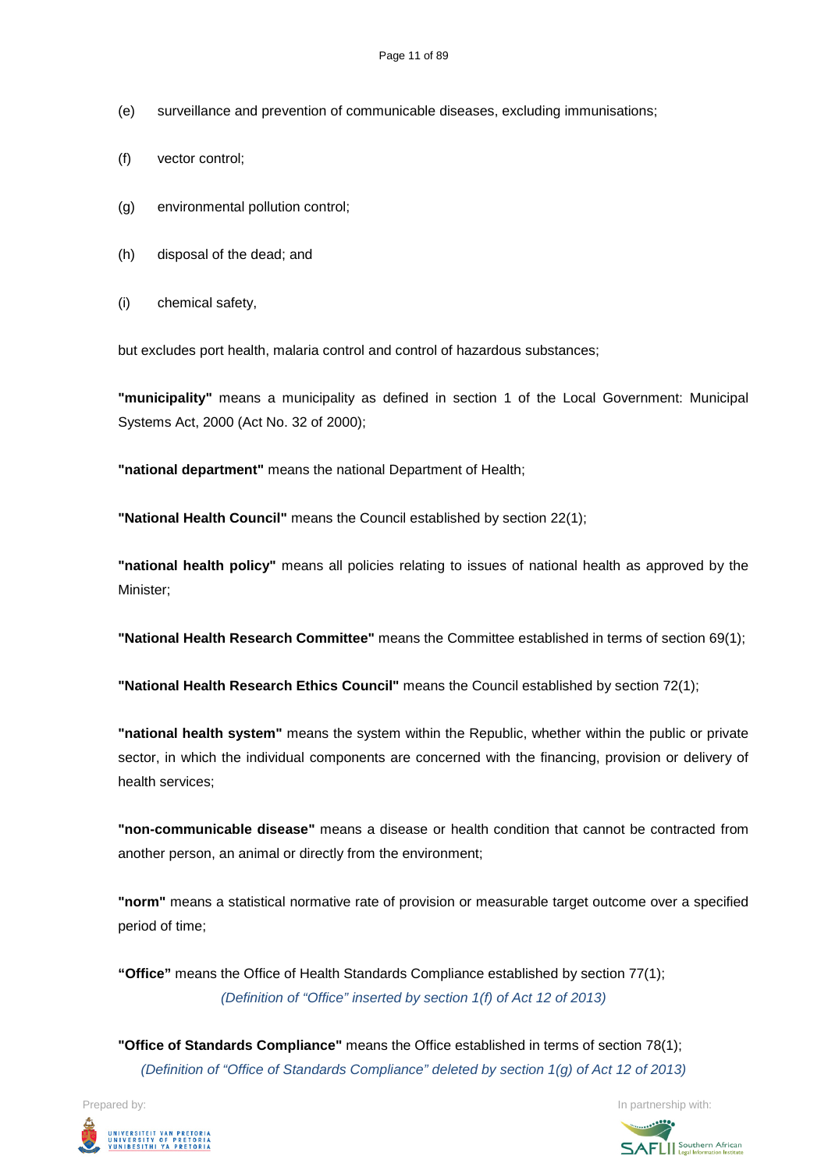- (e) surveillance and prevention of communicable diseases, excluding immunisations;
- (f) vector control;
- (g) environmental pollution control;
- (h) disposal of the dead; and
- (i) chemical safety,

but excludes port health, malaria control and control of hazardous substances;

**"municipality"** means a municipality as defined in section 1 of the Local Government: Municipal Systems Act, 2000 (Act No. 32 of 2000);

**"national department"** means the national Department of Health;

**"National Health Council"** means the Council established by section 22(1);

**"national health policy"** means all policies relating to issues of national health as approved by the Minister;

**"National Health Research Committee"** means the Committee established in terms of section 69(1);

**"National Health Research Ethics Council"** means the Council established by section 72(1);

**"national health system"** means the system within the Republic, whether within the public or private sector, in which the individual components are concerned with the financing, provision or delivery of health services;

**"non-communicable disease"** means a disease or health condition that cannot be contracted from another person, an animal or directly from the environment;

**"norm"** means a statistical normative rate of provision or measurable target outcome over a specified period of time;

**"Office"** means the Office of Health Standards Compliance established by section 77(1); *(Definition of "Office" inserted by section 1(f) of Act 12 of 2013)*

**"Office of Standards Compliance"** means the Office established in terms of section 78(1); *(Definition of "Office of Standards Compliance" deleted by section 1(g) of Act 12 of 2013)*



Prepared by: In partnership with:  $\blacksquare$  is the partnership with:  $\blacksquare$  is the partnership with:  $\blacksquare$ **SAFLI** Southern African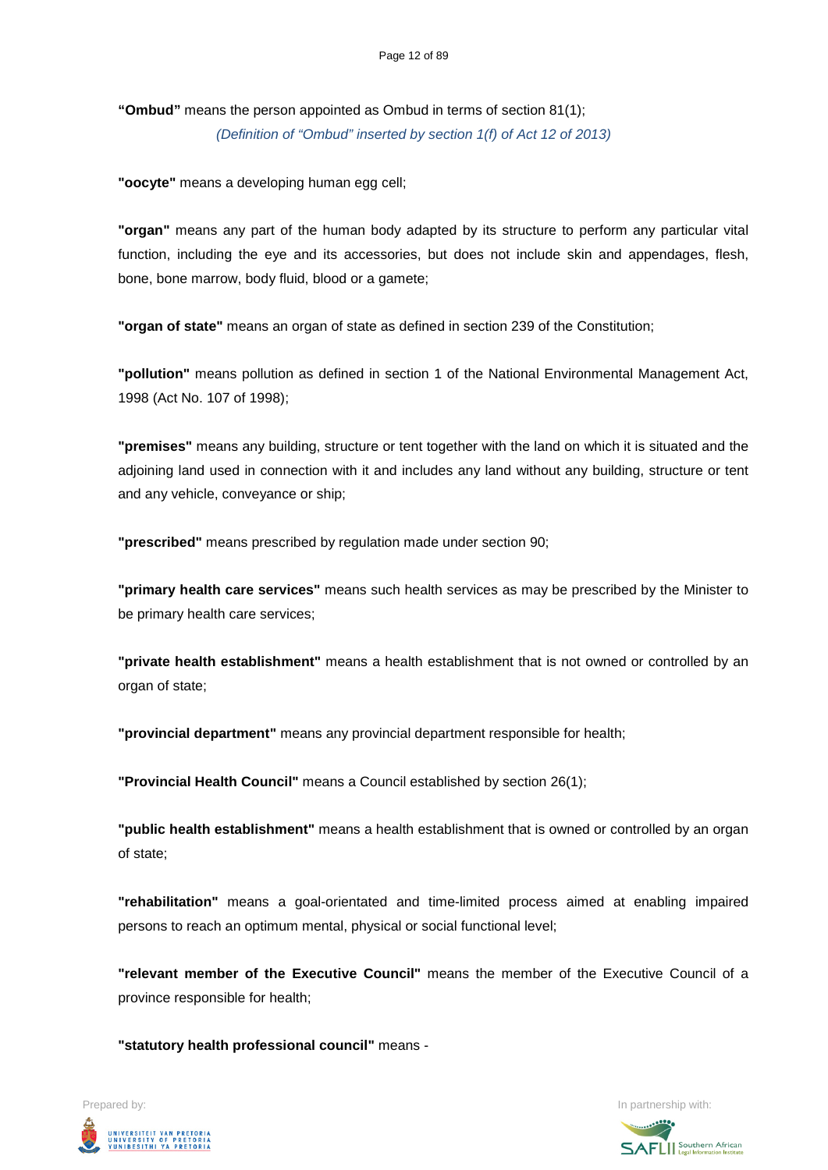**"Ombud"** means the person appointed as Ombud in terms of section 81(1); *(Definition of "Ombud" inserted by section 1(f) of Act 12 of 2013)*

**"oocyte"** means a developing human egg cell;

**"organ"** means any part of the human body adapted by its structure to perform any particular vital function, including the eye and its accessories, but does not include skin and appendages, flesh, bone, bone marrow, body fluid, blood or a gamete;

**"organ of state"** means an organ of state as defined in section 239 of the Constitution;

**"pollution"** means pollution as defined in section 1 of the National Environmental Management Act, 1998 (Act No. 107 of 1998);

**"premises"** means any building, structure or tent together with the land on which it is situated and the adjoining land used in connection with it and includes any land without any building, structure or tent and any vehicle, conveyance or ship;

**"prescribed"** means prescribed by regulation made under section 90;

**"primary health care services"** means such health services as may be prescribed by the Minister to be primary health care services;

**"private health establishment"** means a health establishment that is not owned or controlled by an organ of state;

**"provincial department"** means any provincial department responsible for health;

**"Provincial Health Council"** means a Council established by section 26(1);

**"public health establishment"** means a health establishment that is owned or controlled by an organ of state;

**"rehabilitation"** means a goal-orientated and time-limited process aimed at enabling impaired persons to reach an optimum mental, physical or social functional level;

**"relevant member of the Executive Council"** means the member of the Executive Council of a province responsible for health;

**"statutory health professional council"** means -

UNIVERSITEIT VAN PRETORIA<br>UNIVERSITY OF PRETORIA<br>YUNIBESITHI YA PRETORIA

Prepared by: In partnership with:

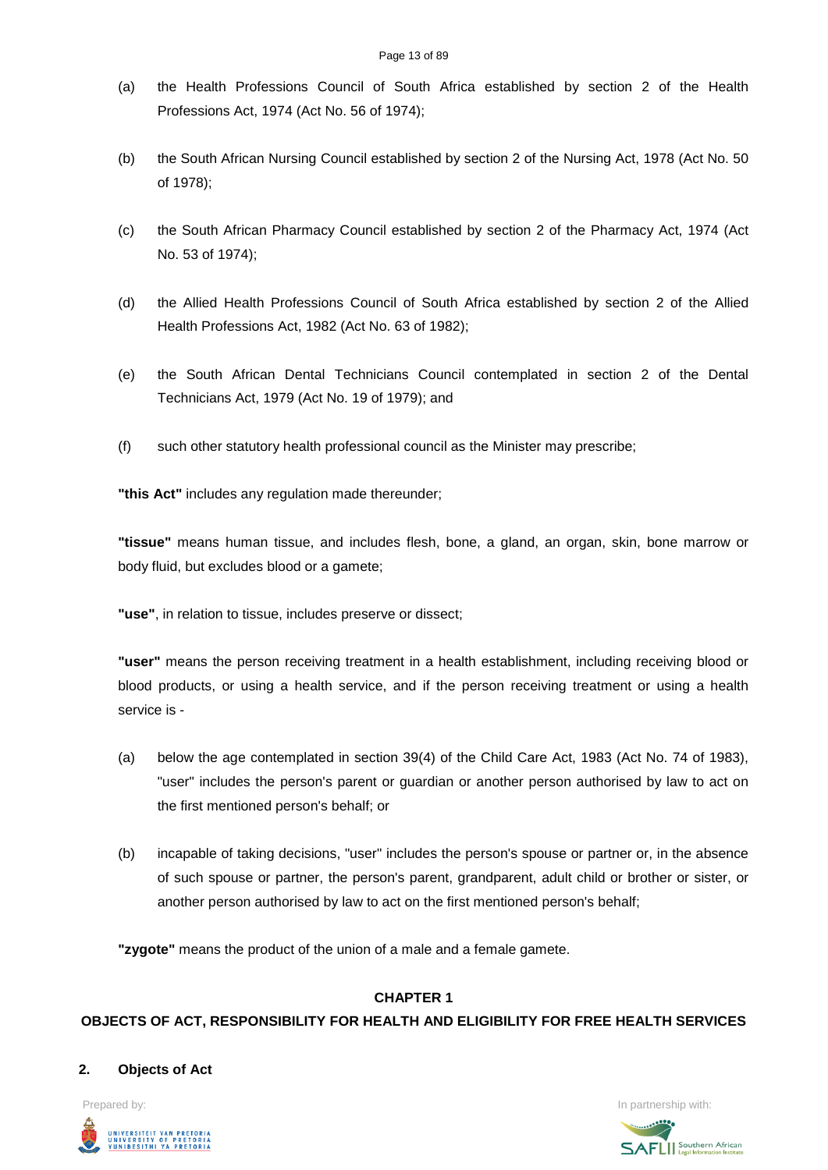- (a) the Health Professions Council of South Africa established by section 2 of the Health Professions Act, 1974 (Act No. 56 of 1974);
- (b) the South African Nursing Council established by section 2 of the Nursing Act, 1978 (Act No. 50 of 1978);
- (c) the South African Pharmacy Council established by section 2 of the Pharmacy Act, 1974 (Act No. 53 of 1974);
- (d) the Allied Health Professions Council of South Africa established by section 2 of the Allied Health Professions Act, 1982 (Act No. 63 of 1982);
- (e) the South African Dental Technicians Council contemplated in section 2 of the Dental Technicians Act, 1979 (Act No. 19 of 1979); and
- (f) such other statutory health professional council as the Minister may prescribe;

**"this Act"** includes any regulation made thereunder;

**"tissue"** means human tissue, and includes flesh, bone, a gland, an organ, skin, bone marrow or body fluid, but excludes blood or a gamete;

**"use"**, in relation to tissue, includes preserve or dissect;

**"user"** means the person receiving treatment in a health establishment, including receiving blood or blood products, or using a health service, and if the person receiving treatment or using a health service is -

- (a) below the age contemplated in section 39(4) of the Child Care Act, 1983 (Act No. 74 of 1983), "user" includes the person's parent or guardian or another person authorised by law to act on the first mentioned person's behalf; or
- (b) incapable of taking decisions, "user" includes the person's spouse or partner or, in the absence of such spouse or partner, the person's parent, grandparent, adult child or brother or sister, or another person authorised by law to act on the first mentioned person's behalf;

**"zygote"** means the product of the union of a male and a female gamete.

### **CHAPTER 1**

# **OBJECTS OF ACT, RESPONSIBILITY FOR HEALTH AND ELIGIBILITY FOR FREE HEALTH SERVICES**

### **2. Objects of Act**



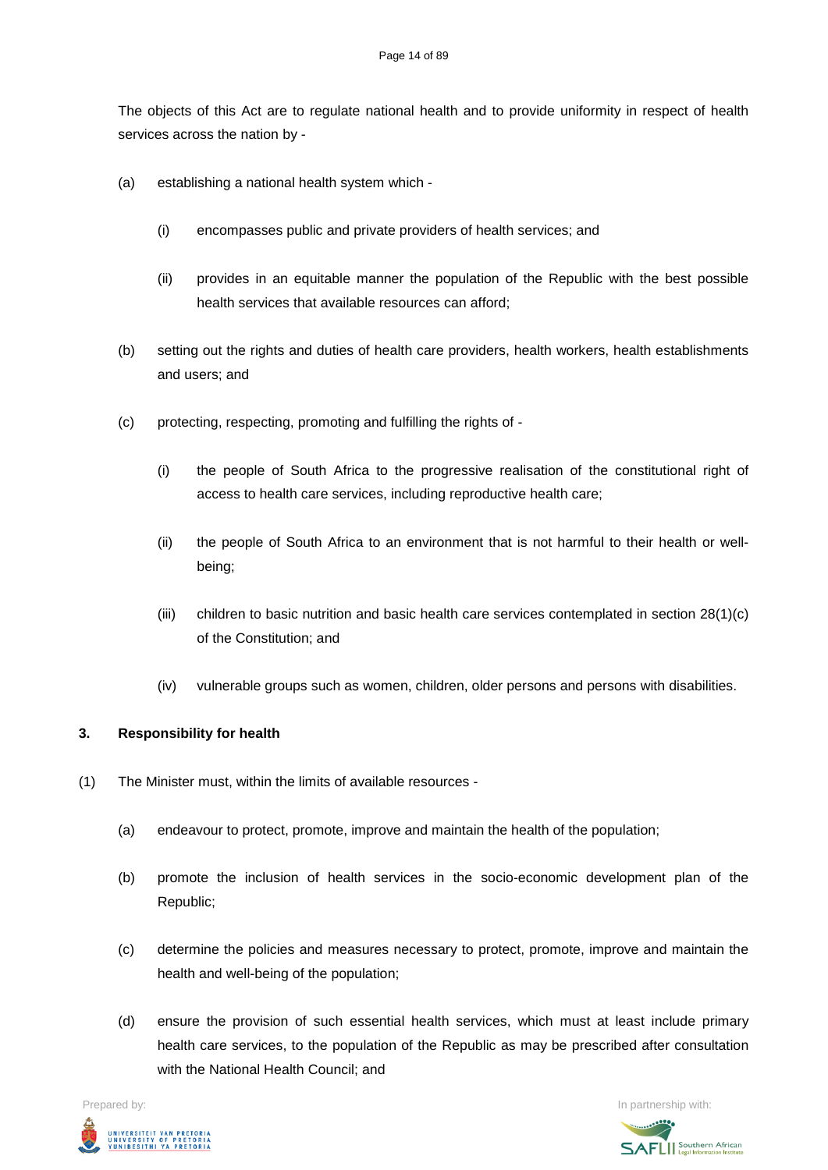The objects of this Act are to regulate national health and to provide uniformity in respect of health services across the nation by -

- (a) establishing a national health system which
	- (i) encompasses public and private providers of health services; and
	- (ii) provides in an equitable manner the population of the Republic with the best possible health services that available resources can afford;
- (b) setting out the rights and duties of health care providers, health workers, health establishments and users; and
- (c) protecting, respecting, promoting and fulfilling the rights of
	- (i) the people of South Africa to the progressive realisation of the constitutional right of access to health care services, including reproductive health care;
	- (ii) the people of South Africa to an environment that is not harmful to their health or wellbeing;
	- (iii) children to basic nutrition and basic health care services contemplated in section 28(1)(c) of the Constitution; and
	- (iv) vulnerable groups such as women, children, older persons and persons with disabilities.

### **3. Responsibility for health**

- (1) The Minister must, within the limits of available resources
	- (a) endeavour to protect, promote, improve and maintain the health of the population;
	- (b) promote the inclusion of health services in the socio-economic development plan of the Republic;
	- (c) determine the policies and measures necessary to protect, promote, improve and maintain the health and well-being of the population;
	- (d) ensure the provision of such essential health services, which must at least include primary health care services, to the population of the Republic as may be prescribed after consultation with the National Health Council; and



Prepared by: In partnership with:**SAFLI** Southern African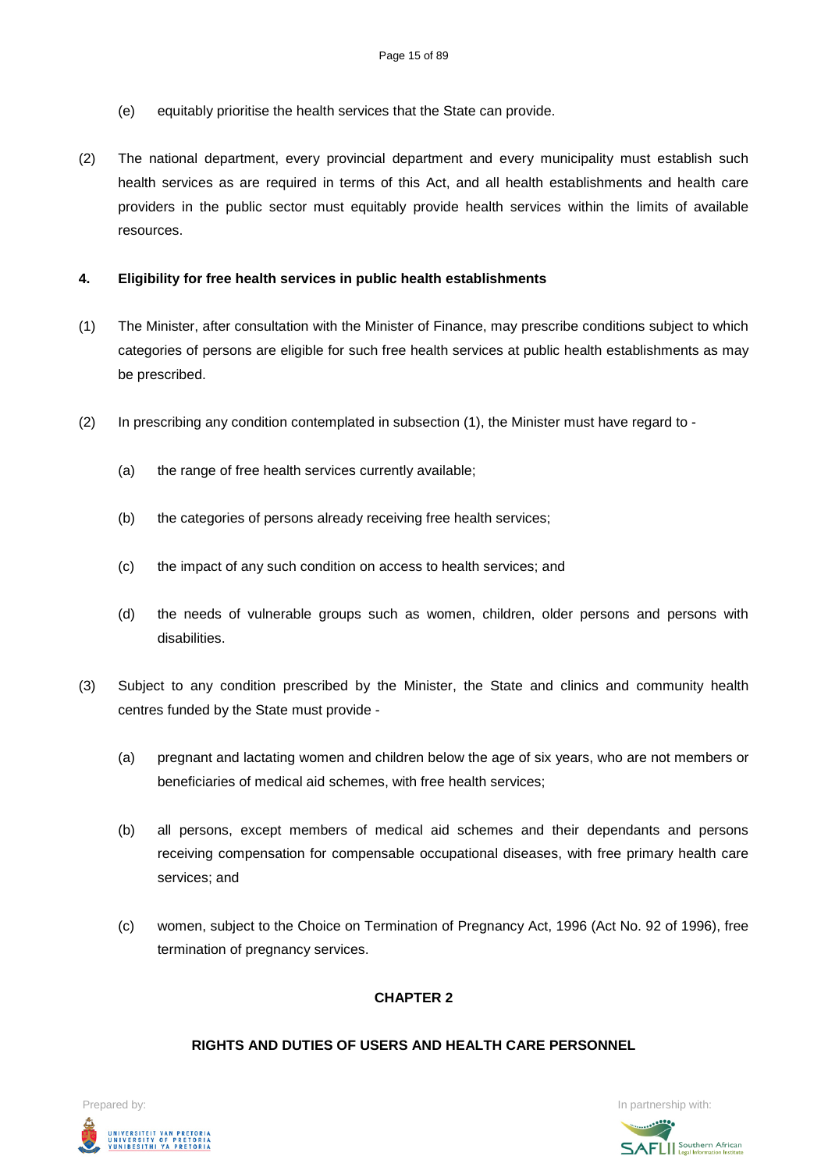- (e) equitably prioritise the health services that the State can provide.
- (2) The national department, every provincial department and every municipality must establish such health services as are required in terms of this Act, and all health establishments and health care providers in the public sector must equitably provide health services within the limits of available resources.

# **4. Eligibility for free health services in public health establishments**

- (1) The Minister, after consultation with the Minister of Finance, may prescribe conditions subject to which categories of persons are eligible for such free health services at public health establishments as may be prescribed.
- (2) In prescribing any condition contemplated in subsection (1), the Minister must have regard to
	- (a) the range of free health services currently available;
	- (b) the categories of persons already receiving free health services;
	- (c) the impact of any such condition on access to health services; and
	- (d) the needs of vulnerable groups such as women, children, older persons and persons with disabilities.
- (3) Subject to any condition prescribed by the Minister, the State and clinics and community health centres funded by the State must provide -
	- (a) pregnant and lactating women and children below the age of six years, who are not members or beneficiaries of medical aid schemes, with free health services;
	- (b) all persons, except members of medical aid schemes and their dependants and persons receiving compensation for compensable occupational diseases, with free primary health care services; and
	- (c) women, subject to the Choice on Termination of Pregnancy Act, 1996 (Act No. 92 of 1996), free termination of pregnancy services.

# **CHAPTER 2**

### **RIGHTS AND DUTIES OF USERS AND HEALTH CARE PERSONNEL**



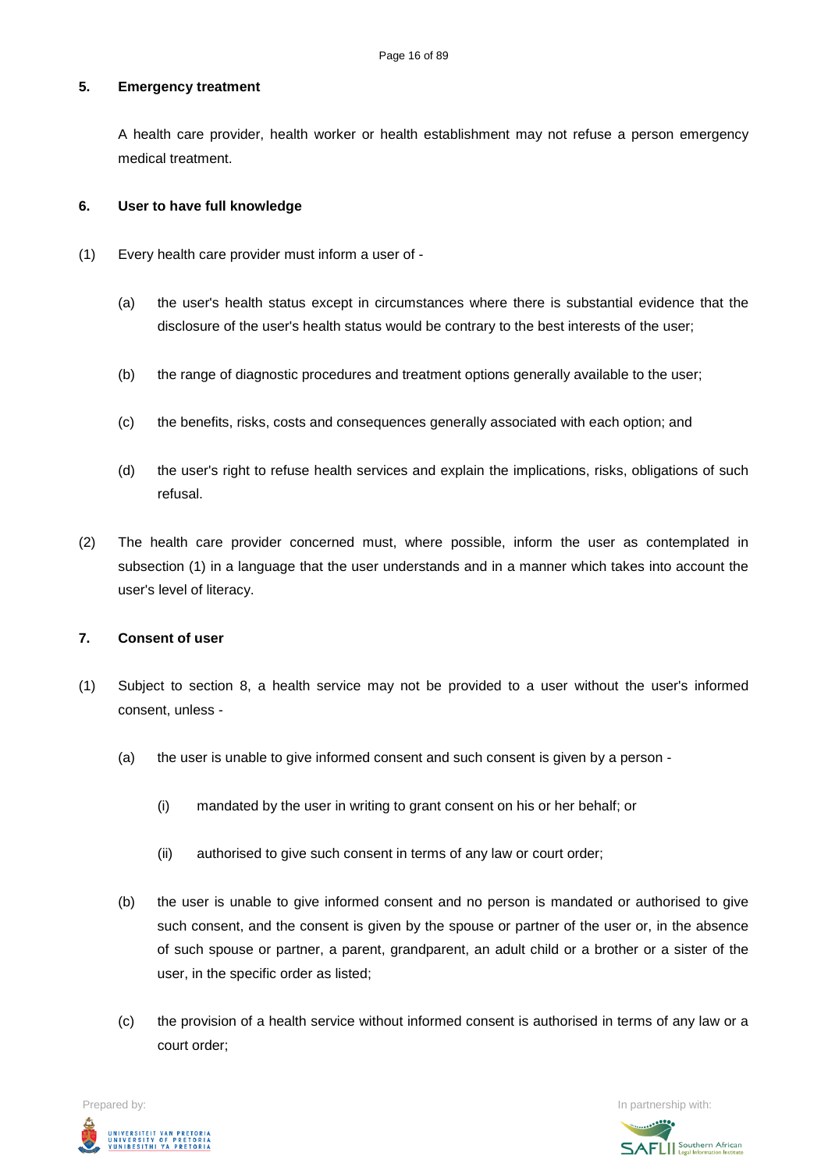# **5. Emergency treatment**

A health care provider, health worker or health establishment may not refuse a person emergency medical treatment.

#### **6. User to have full knowledge**

- (1) Every health care provider must inform a user of
	- (a) the user's health status except in circumstances where there is substantial evidence that the disclosure of the user's health status would be contrary to the best interests of the user;
	- (b) the range of diagnostic procedures and treatment options generally available to the user;
	- (c) the benefits, risks, costs and consequences generally associated with each option; and
	- (d) the user's right to refuse health services and explain the implications, risks, obligations of such refusal.
- (2) The health care provider concerned must, where possible, inform the user as contemplated in subsection (1) in a language that the user understands and in a manner which takes into account the user's level of literacy.

## **7. Consent of user**

- (1) Subject to section 8, a health service may not be provided to a user without the user's informed consent, unless -
	- (a) the user is unable to give informed consent and such consent is given by a person
		- (i) mandated by the user in writing to grant consent on his or her behalf; or
		- (ii) authorised to give such consent in terms of any law or court order;
	- (b) the user is unable to give informed consent and no person is mandated or authorised to give such consent, and the consent is given by the spouse or partner of the user or, in the absence of such spouse or partner, a parent, grandparent, an adult child or a brother or a sister of the user, in the specific order as listed;
	- (c) the provision of a health service without informed consent is authorised in terms of any law or a court order;

Prepared by: In partnership with:UNIVERSITEIT VAN PRETORIA<br>UNIVERSITY OF PRETORIA<br>YUNIBESITHI YA PRETORIA

**SAFLI** Southern African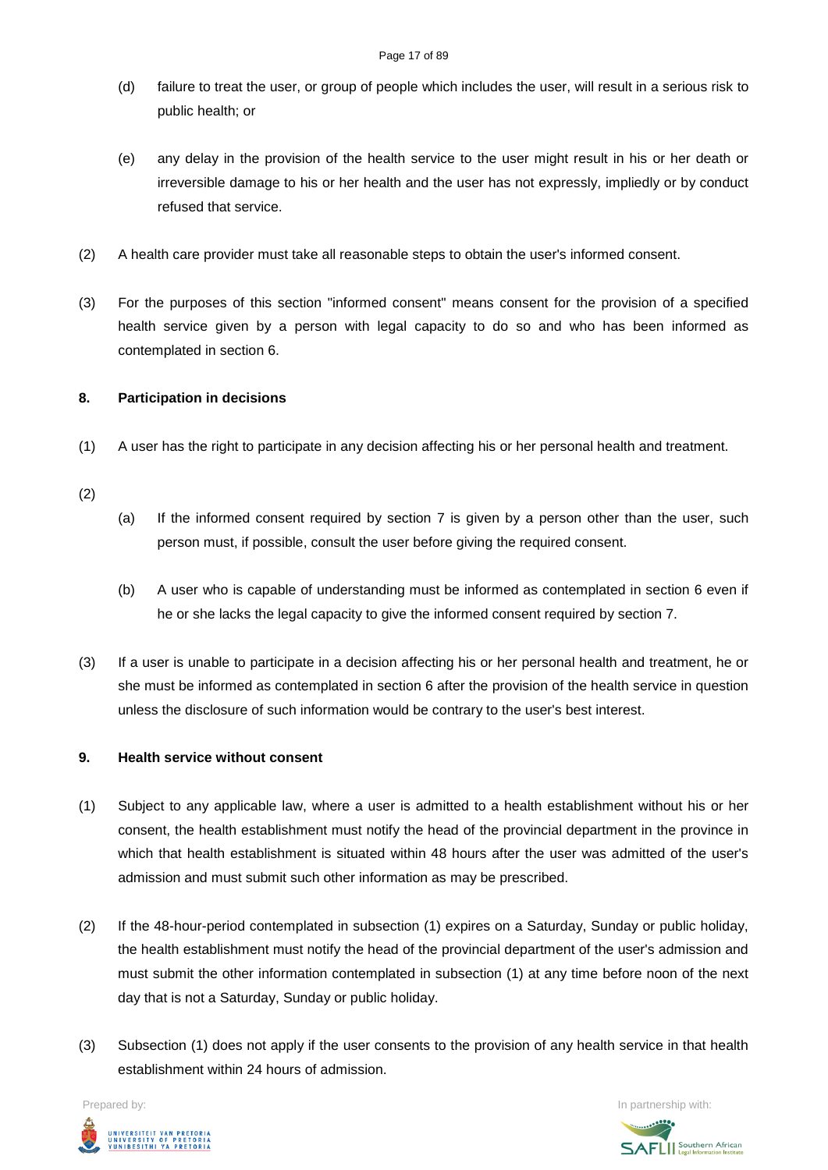- (d) failure to treat the user, or group of people which includes the user, will result in a serious risk to public health; or
- (e) any delay in the provision of the health service to the user might result in his or her death or irreversible damage to his or her health and the user has not expressly, impliedly or by conduct refused that service.
- (2) A health care provider must take all reasonable steps to obtain the user's informed consent.
- (3) For the purposes of this section "informed consent" means consent for the provision of a specified health service given by a person with legal capacity to do so and who has been informed as contemplated in section 6.

### **8. Participation in decisions**

- (1) A user has the right to participate in any decision affecting his or her personal health and treatment.
- (2)
- (a) If the informed consent required by section 7 is given by a person other than the user, such person must, if possible, consult the user before giving the required consent.
- (b) A user who is capable of understanding must be informed as contemplated in section 6 even if he or she lacks the legal capacity to give the informed consent required by section 7.
- (3) If a user is unable to participate in a decision affecting his or her personal health and treatment, he or she must be informed as contemplated in section 6 after the provision of the health service in question unless the disclosure of such information would be contrary to the user's best interest.

### **9. Health service without consent**

- (1) Subject to any applicable law, where a user is admitted to a health establishment without his or her consent, the health establishment must notify the head of the provincial department in the province in which that health establishment is situated within 48 hours after the user was admitted of the user's admission and must submit such other information as may be prescribed.
- (2) If the 48-hour-period contemplated in subsection (1) expires on a Saturday, Sunday or public holiday, the health establishment must notify the head of the provincial department of the user's admission and must submit the other information contemplated in subsection (1) at any time before noon of the next day that is not a Saturday, Sunday or public holiday.
- (3) Subsection (1) does not apply if the user consents to the provision of any health service in that health establishment within 24 hours of admission.



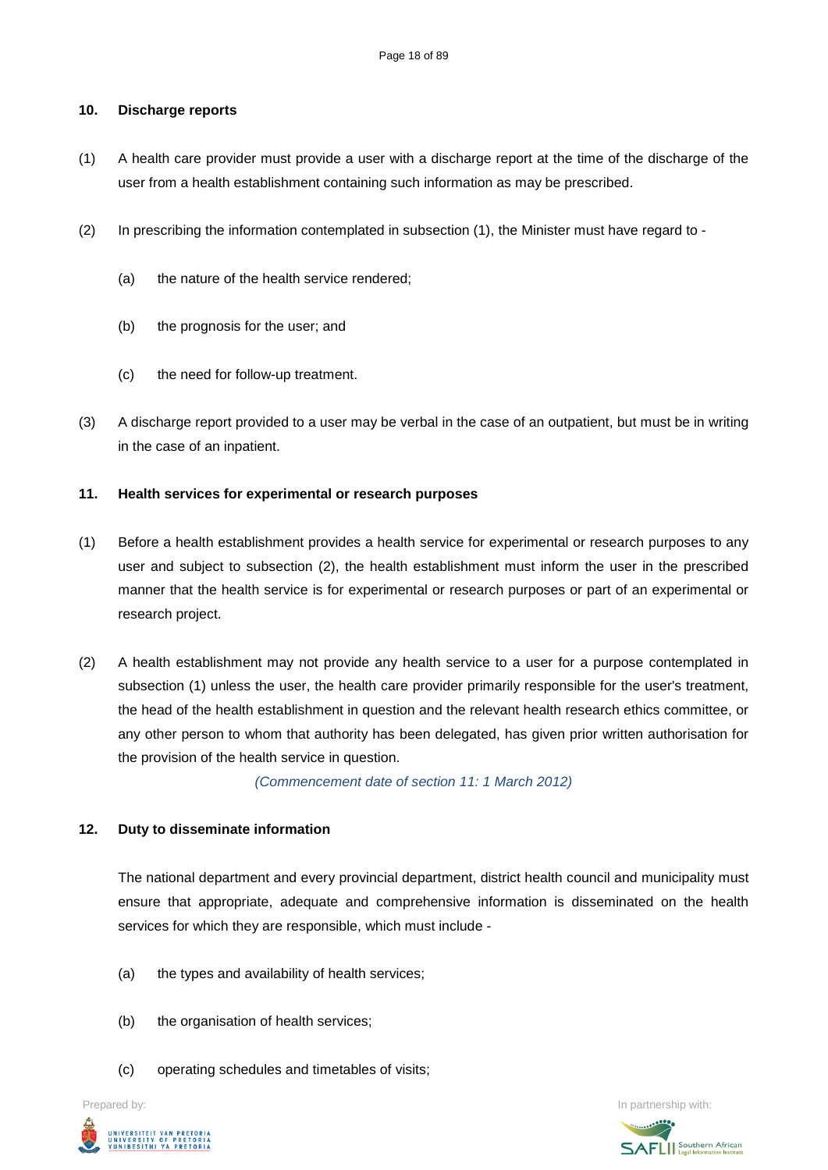#### **10. Discharge reports**

- (1) A health care provider must provide a user with a discharge report at the time of the discharge of the user from a health establishment containing such information as may be prescribed.
- (2) In prescribing the information contemplated in subsection (1), the Minister must have regard to
	- (a) the nature of the health service rendered;
	- (b) the prognosis for the user; and
	- (c) the need for follow-up treatment.
- (3) A discharge report provided to a user may be verbal in the case of an outpatient, but must be in writing in the case of an inpatient.

#### **11. Health services for experimental or research purposes**

- (1) Before a health establishment provides a health service for experimental or research purposes to any user and subject to subsection (2), the health establishment must inform the user in the prescribed manner that the health service is for experimental or research purposes or part of an experimental or research project.
- (2) A health establishment may not provide any health service to a user for a purpose contemplated in subsection (1) unless the user, the health care provider primarily responsible for the user's treatment, the head of the health establishment in question and the relevant health research ethics committee, or any other person to whom that authority has been delegated, has given prior written authorisation for the provision of the health service in question.

*(Commencement date of section 11: 1 March 2012)*

#### **12. Duty to disseminate information**

The national department and every provincial department, district health council and municipality must ensure that appropriate, adequate and comprehensive information is disseminated on the health services for which they are responsible, which must include -

- (a) the types and availability of health services;
- (b) the organisation of health services;
- (c) operating schedules and timetables of visits;



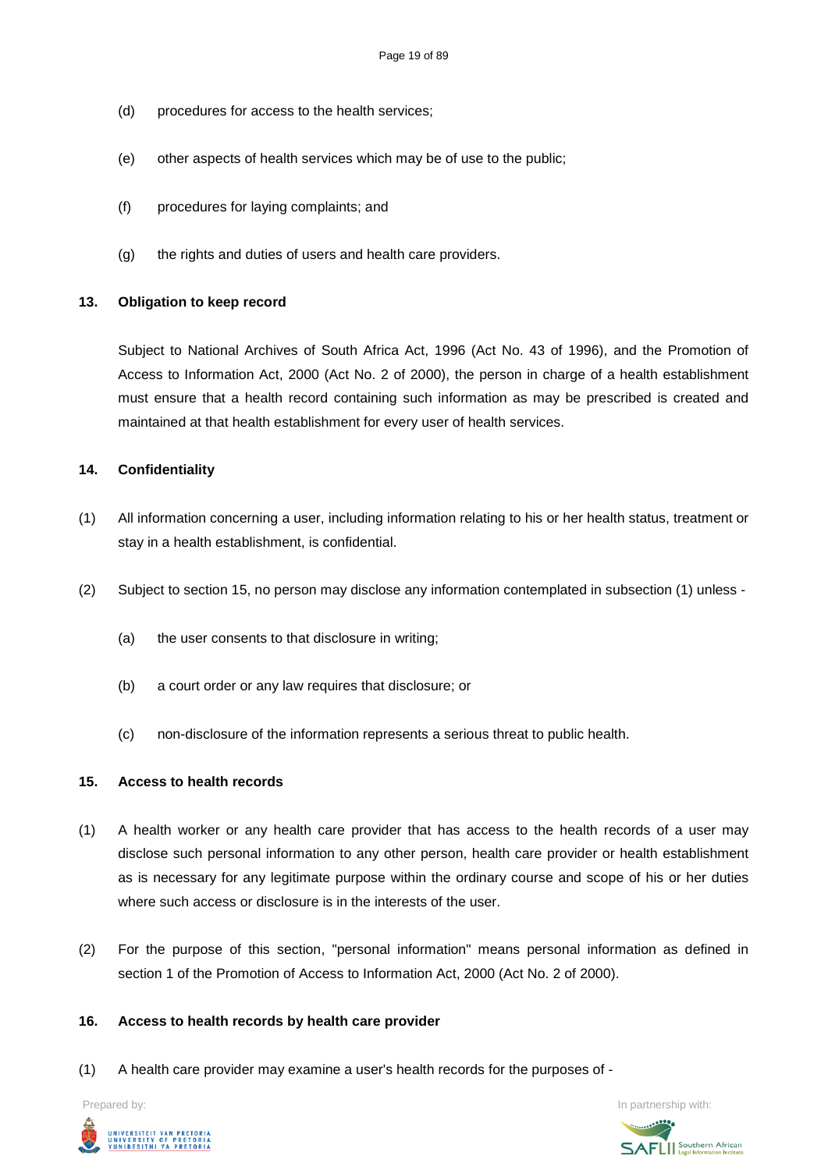- (d) procedures for access to the health services;
- (e) other aspects of health services which may be of use to the public;
- (f) procedures for laying complaints; and
- (g) the rights and duties of users and health care providers.

#### **13. Obligation to keep record**

Subject to National Archives of South Africa Act, 1996 (Act No. 43 of 1996), and the Promotion of Access to Information Act, 2000 (Act No. 2 of 2000), the person in charge of a health establishment must ensure that a health record containing such information as may be prescribed is created and maintained at that health establishment for every user of health services.

#### **14. Confidentiality**

- (1) All information concerning a user, including information relating to his or her health status, treatment or stay in a health establishment, is confidential.
- (2) Subject to section 15, no person may disclose any information contemplated in subsection (1) unless
	- (a) the user consents to that disclosure in writing;
	- (b) a court order or any law requires that disclosure; or
	- (c) non-disclosure of the information represents a serious threat to public health.

#### **15. Access to health records**

- (1) A health worker or any health care provider that has access to the health records of a user may disclose such personal information to any other person, health care provider or health establishment as is necessary for any legitimate purpose within the ordinary course and scope of his or her duties where such access or disclosure is in the interests of the user.
- (2) For the purpose of this section, "personal information" means personal information as defined in section 1 of the Promotion of Access to Information Act, 2000 (Act No. 2 of 2000).

#### **16. Access to health records by health care provider**

(1) A health care provider may examine a user's health records for the purposes of -



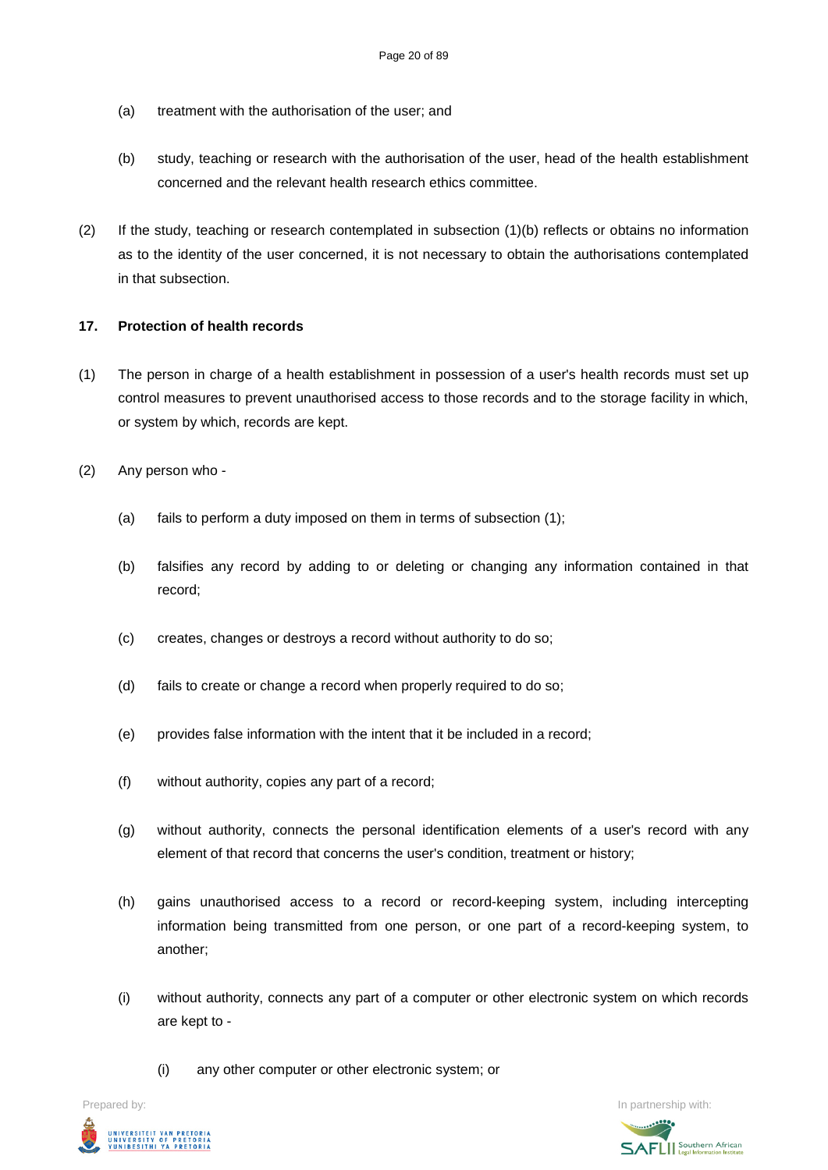- (a) treatment with the authorisation of the user; and
- (b) study, teaching or research with the authorisation of the user, head of the health establishment concerned and the relevant health research ethics committee.
- (2) If the study, teaching or research contemplated in subsection (1)(b) reflects or obtains no information as to the identity of the user concerned, it is not necessary to obtain the authorisations contemplated in that subsection.

# **17. Protection of health records**

- (1) The person in charge of a health establishment in possession of a user's health records must set up control measures to prevent unauthorised access to those records and to the storage facility in which, or system by which, records are kept.
- (2) Any person who
	- (a) fails to perform a duty imposed on them in terms of subsection (1);
	- (b) falsifies any record by adding to or deleting or changing any information contained in that record;
	- (c) creates, changes or destroys a record without authority to do so;
	- (d) fails to create or change a record when properly required to do so;
	- (e) provides false information with the intent that it be included in a record;
	- (f) without authority, copies any part of a record;
	- (g) without authority, connects the personal identification elements of a user's record with any element of that record that concerns the user's condition, treatment or history;
	- (h) gains unauthorised access to a record or record-keeping system, including intercepting information being transmitted from one person, or one part of a record-keeping system, to another;
	- (i) without authority, connects any part of a computer or other electronic system on which records are kept to -
		- (i) any other computer or other electronic system; or



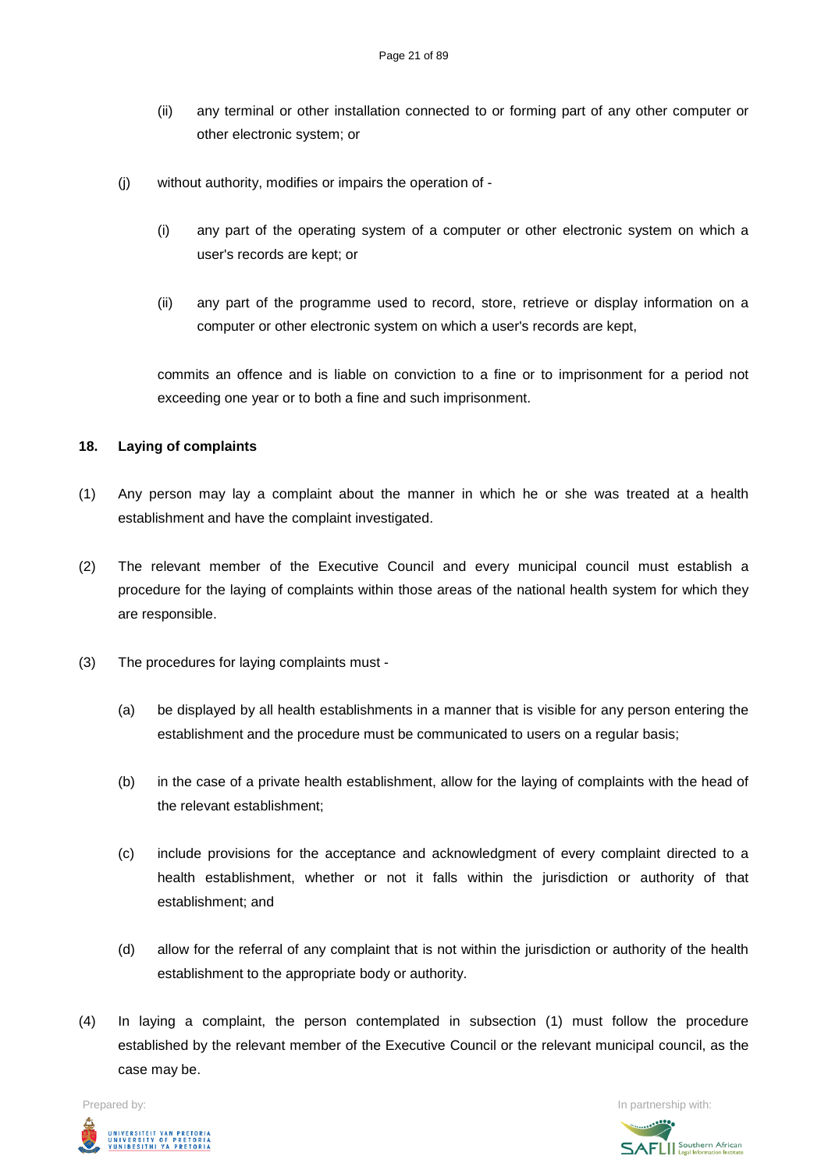- (ii) any terminal or other installation connected to or forming part of any other computer or other electronic system; or
- (j) without authority, modifies or impairs the operation of
	- (i) any part of the operating system of a computer or other electronic system on which a user's records are kept; or
	- (ii) any part of the programme used to record, store, retrieve or display information on a computer or other electronic system on which a user's records are kept,

commits an offence and is liable on conviction to a fine or to imprisonment for a period not exceeding one year or to both a fine and such imprisonment.

#### **18. Laying of complaints**

- (1) Any person may lay a complaint about the manner in which he or she was treated at a health establishment and have the complaint investigated.
- (2) The relevant member of the Executive Council and every municipal council must establish a procedure for the laying of complaints within those areas of the national health system for which they are responsible.
- (3) The procedures for laying complaints must
	- (a) be displayed by all health establishments in a manner that is visible for any person entering the establishment and the procedure must be communicated to users on a regular basis;
	- (b) in the case of a private health establishment, allow for the laying of complaints with the head of the relevant establishment;
	- (c) include provisions for the acceptance and acknowledgment of every complaint directed to a health establishment, whether or not it falls within the jurisdiction or authority of that establishment; and
	- (d) allow for the referral of any complaint that is not within the jurisdiction or authority of the health establishment to the appropriate body or authority.
- (4) In laying a complaint, the person contemplated in subsection (1) must follow the procedure established by the relevant member of the Executive Council or the relevant municipal council, as the case may be.



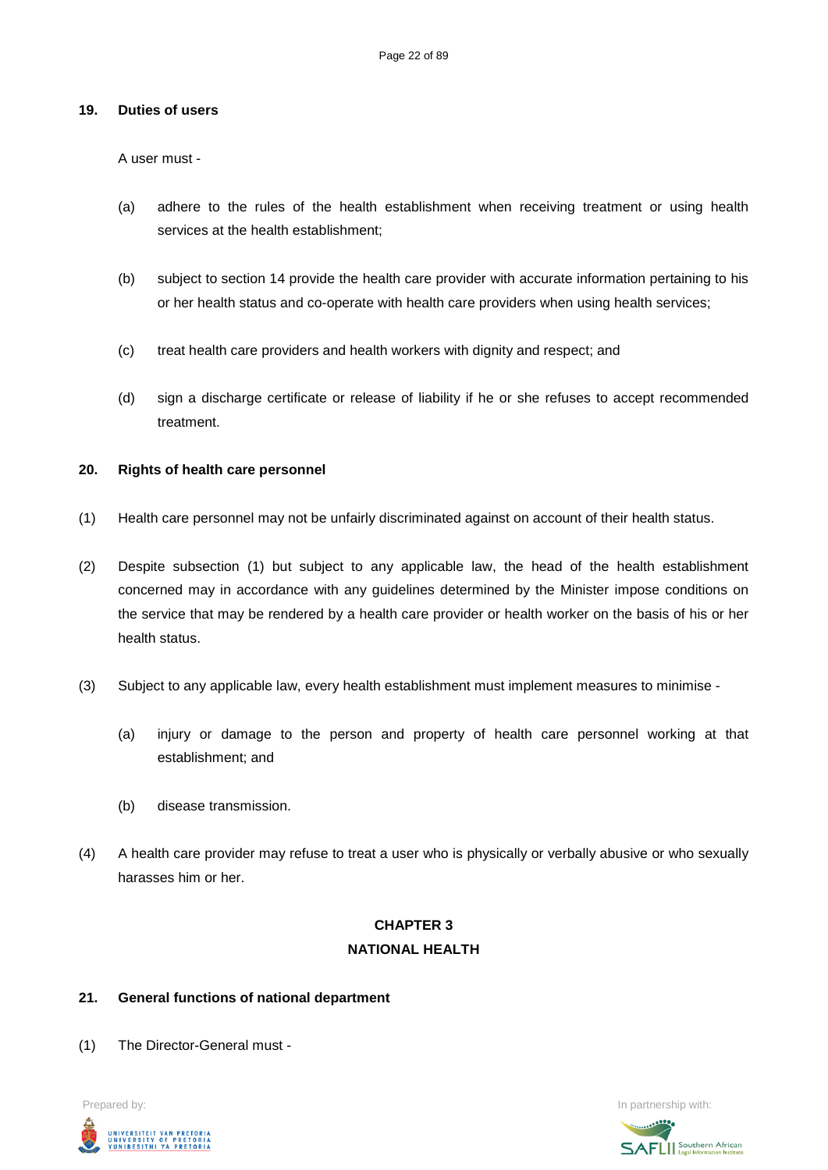#### **19. Duties of users**

A user must -

- (a) adhere to the rules of the health establishment when receiving treatment or using health services at the health establishment;
- (b) subject to section 14 provide the health care provider with accurate information pertaining to his or her health status and co-operate with health care providers when using health services;
- (c) treat health care providers and health workers with dignity and respect; and
- (d) sign a discharge certificate or release of liability if he or she refuses to accept recommended treatment.

### **20. Rights of health care personnel**

- (1) Health care personnel may not be unfairly discriminated against on account of their health status.
- (2) Despite subsection (1) but subject to any applicable law, the head of the health establishment concerned may in accordance with any guidelines determined by the Minister impose conditions on the service that may be rendered by a health care provider or health worker on the basis of his or her health status.
- (3) Subject to any applicable law, every health establishment must implement measures to minimise
	- (a) injury or damage to the person and property of health care personnel working at that establishment; and
	- (b) disease transmission.
- (4) A health care provider may refuse to treat a user who is physically or verbally abusive or who sexually harasses him or her.

# **CHAPTER 3 NATIONAL HEALTH**

### **21. General functions of national department**

(1) The Director-General must -



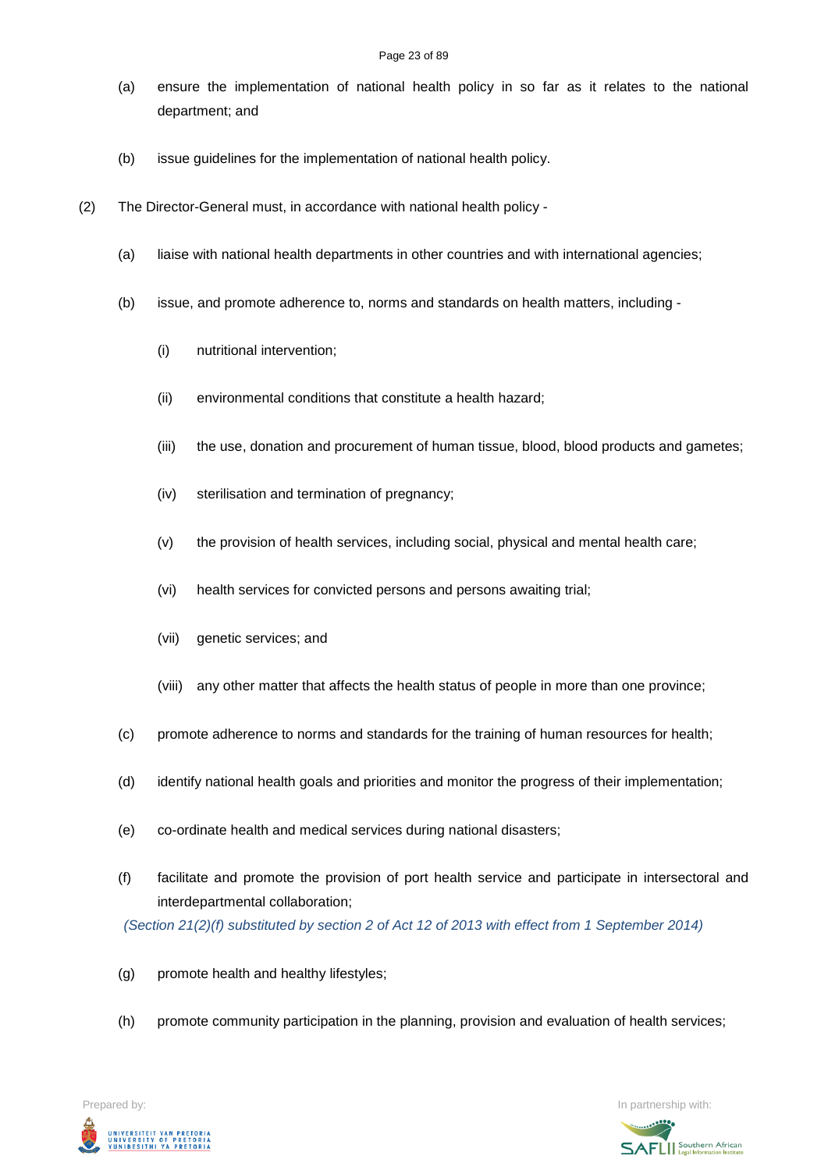- (a) ensure the implementation of national health policy in so far as it relates to the national department; and
- (b) issue guidelines for the implementation of national health policy.
- (2) The Director-General must, in accordance with national health policy
	- (a) liaise with national health departments in other countries and with international agencies;
	- (b) issue, and promote adherence to, norms and standards on health matters, including
		- (i) nutritional intervention;
		- (ii) environmental conditions that constitute a health hazard;
		- (iii) the use, donation and procurement of human tissue, blood, blood products and gametes;
		- (iv) sterilisation and termination of pregnancy;
		- (v) the provision of health services, including social, physical and mental health care;
		- (vi) health services for convicted persons and persons awaiting trial;
		- (vii) genetic services; and
		- (viii) any other matter that affects the health status of people in more than one province;
	- (c) promote adherence to norms and standards for the training of human resources for health;
	- (d) identify national health goals and priorities and monitor the progress of their implementation;
	- (e) co-ordinate health and medical services during national disasters;
	- (f) facilitate and promote the provision of port health service and participate in intersectoral and interdepartmental collaboration;

*(Section 21(2)(f) substituted by section 2 of Act 12 of 2013 with effect from 1 September 2014)*

- (g) promote health and healthy lifestyles;
- (h) promote community participation in the planning, provision and evaluation of health services;

Prepared by: In partnership with:UNIVERSITEIT VAN PRETORIA<br>UNIVERSITY OF PRETORIA<br>YUNIBESITHI YA PRETORIA

**SAFLI** Southern African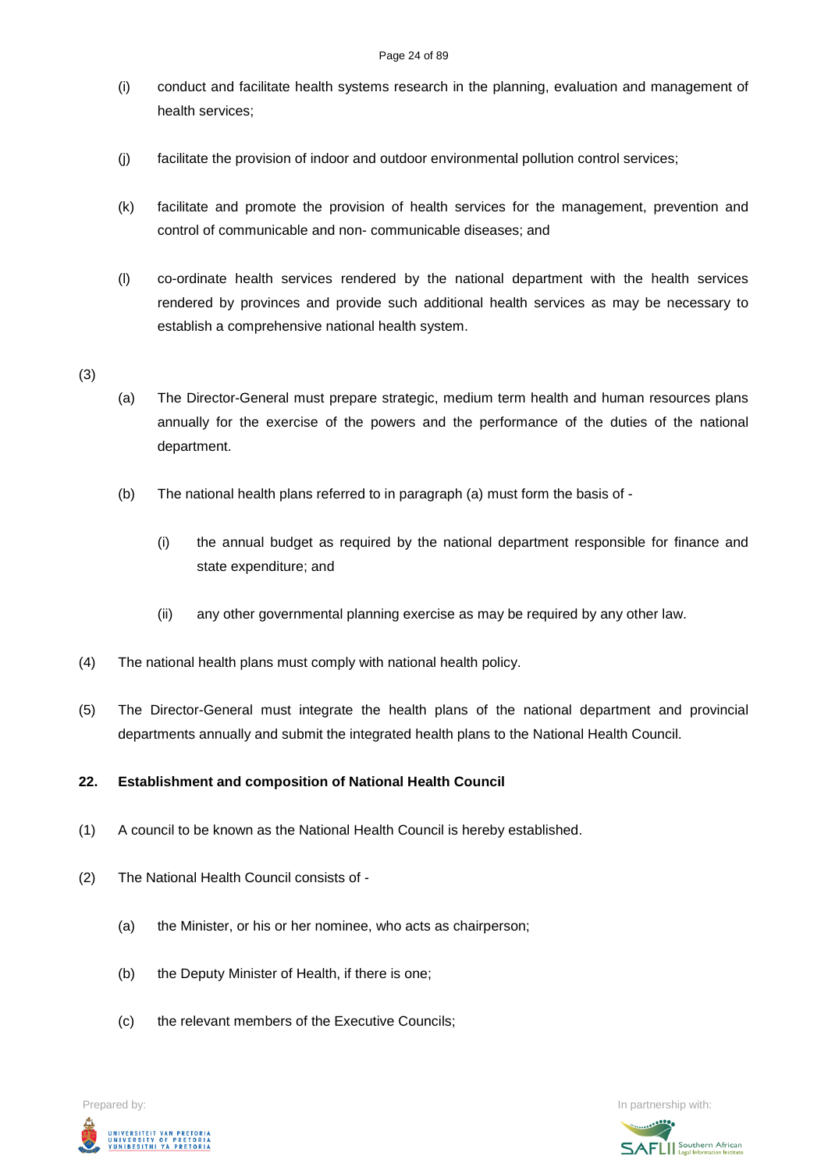- (i) conduct and facilitate health systems research in the planning, evaluation and management of health services;
- (j) facilitate the provision of indoor and outdoor environmental pollution control services;
- (k) facilitate and promote the provision of health services for the management, prevention and control of communicable and non- communicable diseases; and
- (l) co-ordinate health services rendered by the national department with the health services rendered by provinces and provide such additional health services as may be necessary to establish a comprehensive national health system.

(3)

- (a) The Director-General must prepare strategic, medium term health and human resources plans annually for the exercise of the powers and the performance of the duties of the national department.
- (b) The national health plans referred to in paragraph (a) must form the basis of
	- (i) the annual budget as required by the national department responsible for finance and state expenditure; and
	- (ii) any other governmental planning exercise as may be required by any other law.
- (4) The national health plans must comply with national health policy.
- (5) The Director-General must integrate the health plans of the national department and provincial departments annually and submit the integrated health plans to the National Health Council.

### **22. Establishment and composition of National Health Council**

- (1) A council to be known as the National Health Council is hereby established.
- (2) The National Health Council consists of
	- (a) the Minister, or his or her nominee, who acts as chairperson;
	- (b) the Deputy Minister of Health, if there is one;
	- (c) the relevant members of the Executive Councils;

UNIVERSITEIT VAN PRETORIA<br>UNIVERSITY OF PRETORIA<br>YUNIBESITHI YA PRETORIA

Prepared by: **In partnership with:**  $\blacksquare$  **In partnership with:**  $\blacksquare$  **In partnership with:**  $\blacksquare$ 

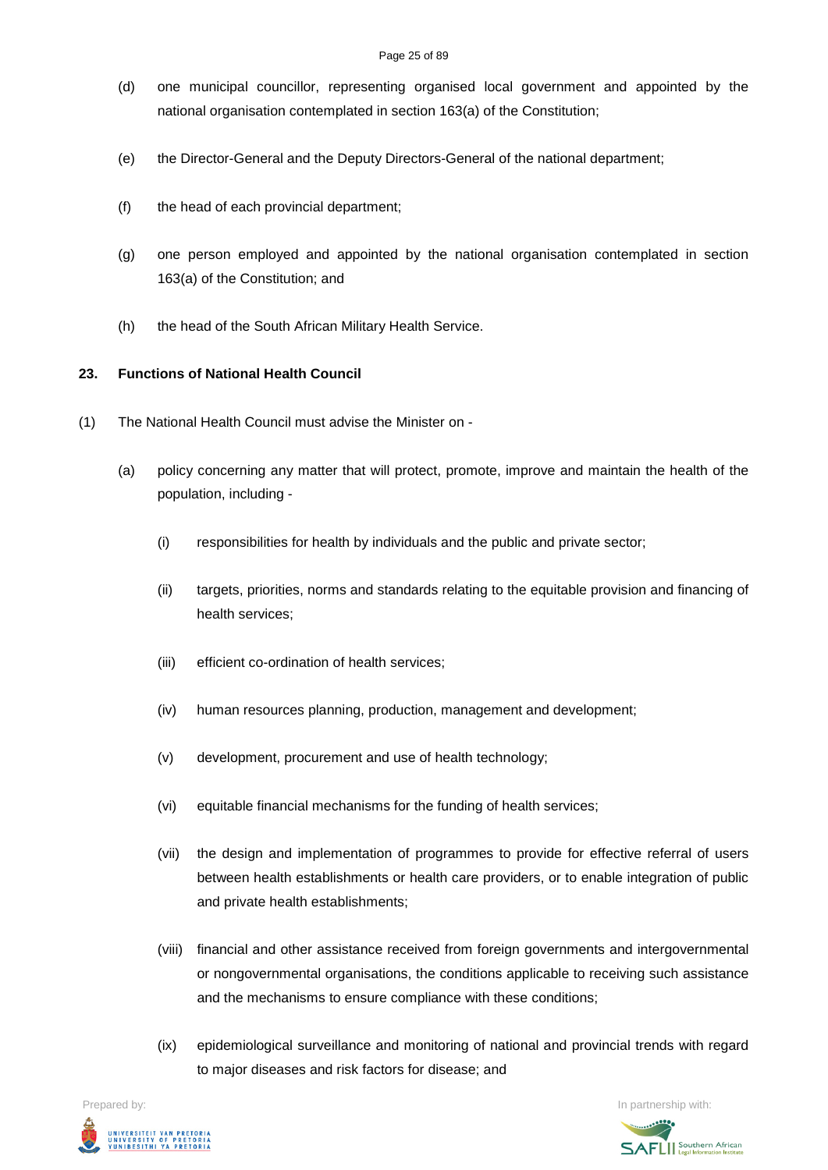- (d) one municipal councillor, representing organised local government and appointed by the national organisation contemplated in section 163(a) of the Constitution;
- (e) the Director-General and the Deputy Directors-General of the national department;
- (f) the head of each provincial department;
- (g) one person employed and appointed by the national organisation contemplated in section 163(a) of the Constitution; and
- (h) the head of the South African Military Health Service.

# **23. Functions of National Health Council**

- (1) The National Health Council must advise the Minister on
	- (a) policy concerning any matter that will protect, promote, improve and maintain the health of the population, including -
		- (i) responsibilities for health by individuals and the public and private sector;
		- (ii) targets, priorities, norms and standards relating to the equitable provision and financing of health services;
		- (iii) efficient co-ordination of health services;
		- (iv) human resources planning, production, management and development;
		- (v) development, procurement and use of health technology;
		- (vi) equitable financial mechanisms for the funding of health services;
		- (vii) the design and implementation of programmes to provide for effective referral of users between health establishments or health care providers, or to enable integration of public and private health establishments;
		- (viii) financial and other assistance received from foreign governments and intergovernmental or nongovernmental organisations, the conditions applicable to receiving such assistance and the mechanisms to ensure compliance with these conditions;
		- (ix) epidemiological surveillance and monitoring of national and provincial trends with regard to major diseases and risk factors for disease; and

Prepared by: In partnership with:  $\blacksquare$  is the partnership with:  $\blacksquare$  is the partnership with:  $\blacksquare$ 



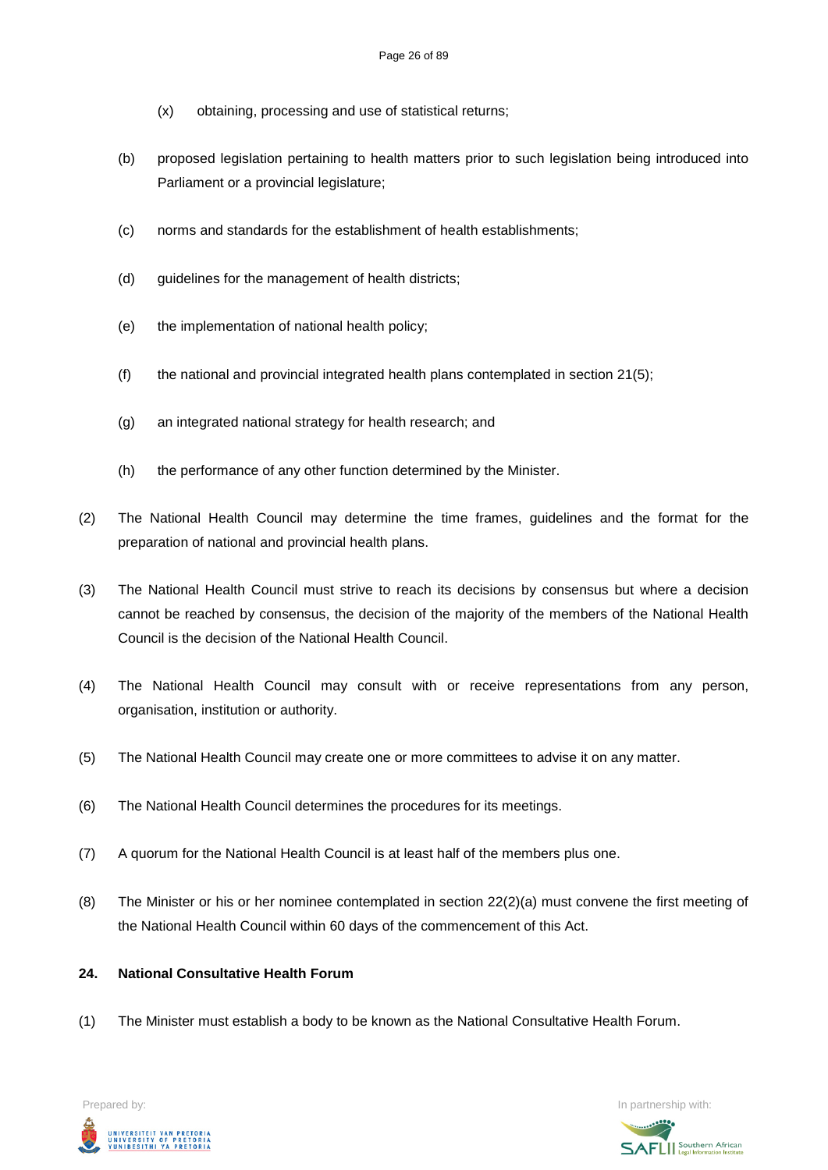- (x) obtaining, processing and use of statistical returns;
- (b) proposed legislation pertaining to health matters prior to such legislation being introduced into Parliament or a provincial legislature;
- (c) norms and standards for the establishment of health establishments;
- (d) guidelines for the management of health districts;
- (e) the implementation of national health policy;
- (f) the national and provincial integrated health plans contemplated in section  $21(5)$ ;
- (g) an integrated national strategy for health research; and
- (h) the performance of any other function determined by the Minister.
- (2) The National Health Council may determine the time frames, guidelines and the format for the preparation of national and provincial health plans.
- (3) The National Health Council must strive to reach its decisions by consensus but where a decision cannot be reached by consensus, the decision of the majority of the members of the National Health Council is the decision of the National Health Council.
- (4) The National Health Council may consult with or receive representations from any person, organisation, institution or authority.
- (5) The National Health Council may create one or more committees to advise it on any matter.
- (6) The National Health Council determines the procedures for its meetings.
- (7) A quorum for the National Health Council is at least half of the members plus one.
- (8) The Minister or his or her nominee contemplated in section 22(2)(a) must convene the first meeting of the National Health Council within 60 days of the commencement of this Act.

## **24. National Consultative Health Forum**

(1) The Minister must establish a body to be known as the National Consultative Health Forum.



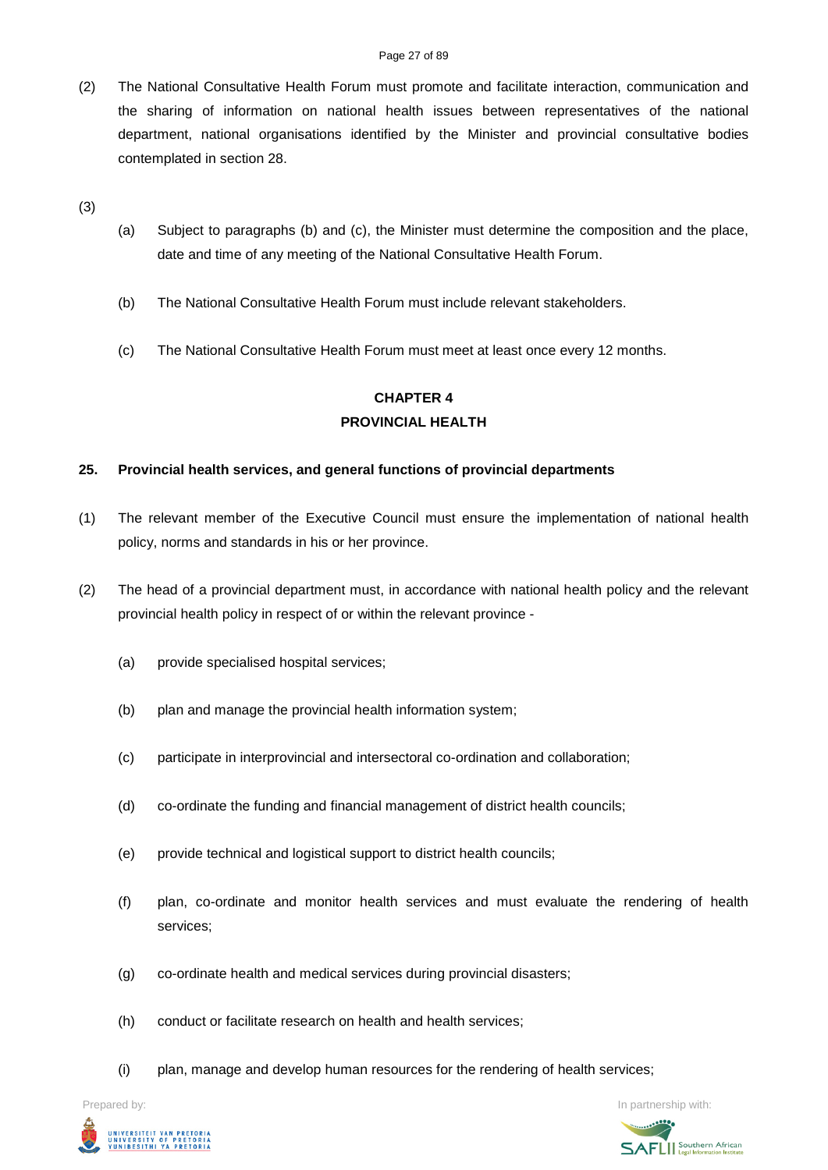(2) The National Consultative Health Forum must promote and facilitate interaction, communication and the sharing of information on national health issues between representatives of the national department, national organisations identified by the Minister and provincial consultative bodies contemplated in section 28.

(3)

- (a) Subject to paragraphs (b) and (c), the Minister must determine the composition and the place, date and time of any meeting of the National Consultative Health Forum.
- (b) The National Consultative Health Forum must include relevant stakeholders.
- (c) The National Consultative Health Forum must meet at least once every 12 months.

# **CHAPTER 4 PROVINCIAL HEALTH**

# **25. Provincial health services, and general functions of provincial departments**

- (1) The relevant member of the Executive Council must ensure the implementation of national health policy, norms and standards in his or her province.
- (2) The head of a provincial department must, in accordance with national health policy and the relevant provincial health policy in respect of or within the relevant province -
	- (a) provide specialised hospital services;
	- (b) plan and manage the provincial health information system;
	- (c) participate in interprovincial and intersectoral co-ordination and collaboration;
	- (d) co-ordinate the funding and financial management of district health councils;
	- (e) provide technical and logistical support to district health councils;
	- (f) plan, co-ordinate and monitor health services and must evaluate the rendering of health services;
	- (g) co-ordinate health and medical services during provincial disasters;
	- (h) conduct or facilitate research on health and health services;
	- (i) plan, manage and develop human resources for the rendering of health services;



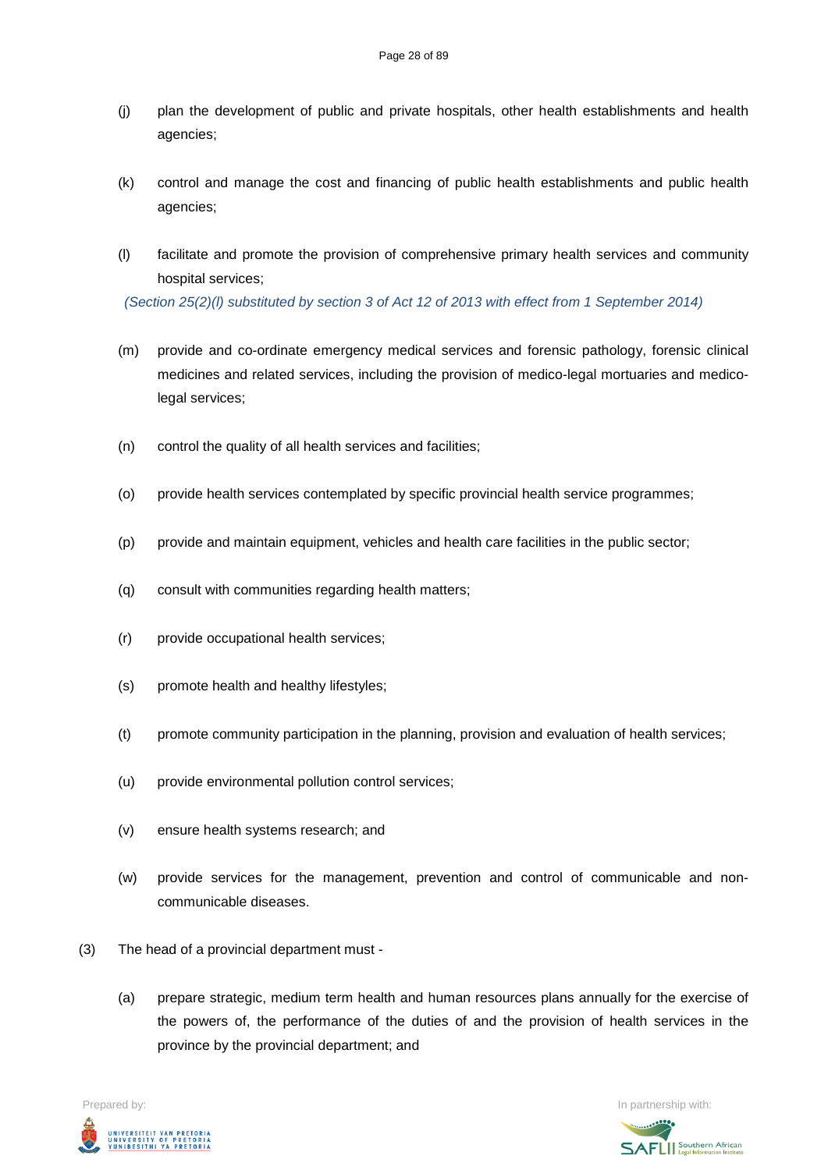- (j) plan the development of public and private hospitals, other health establishments and health agencies;
- (k) control and manage the cost and financing of public health establishments and public health agencies;
- (l) facilitate and promote the provision of comprehensive primary health services and community hospital services;

*(Section 25(2)(l) substituted by section 3 of Act 12 of 2013 with effect from 1 September 2014)*

- (m) provide and co-ordinate emergency medical services and forensic pathology, forensic clinical medicines and related services, including the provision of medico-legal mortuaries and medicolegal services;
- (n) control the quality of all health services and facilities;
- (o) provide health services contemplated by specific provincial health service programmes;
- (p) provide and maintain equipment, vehicles and health care facilities in the public sector;
- (q) consult with communities regarding health matters;
- (r) provide occupational health services;
- (s) promote health and healthy lifestyles;
- (t) promote community participation in the planning, provision and evaluation of health services;
- (u) provide environmental pollution control services;
- (v) ensure health systems research; and
- (w) provide services for the management, prevention and control of communicable and noncommunicable diseases.
- (3) The head of a provincial department must
	- (a) prepare strategic, medium term health and human resources plans annually for the exercise of the powers of, the performance of the duties of and the provision of health services in the province by the provincial department; and

Prepared by: In partnership with:UNIVERSITEIT VAN PRETORIA<br>UNIVERSITY OF PRETORIA<br>YUNIBESITHI YA PRETORIA

**SAFLI** Southern African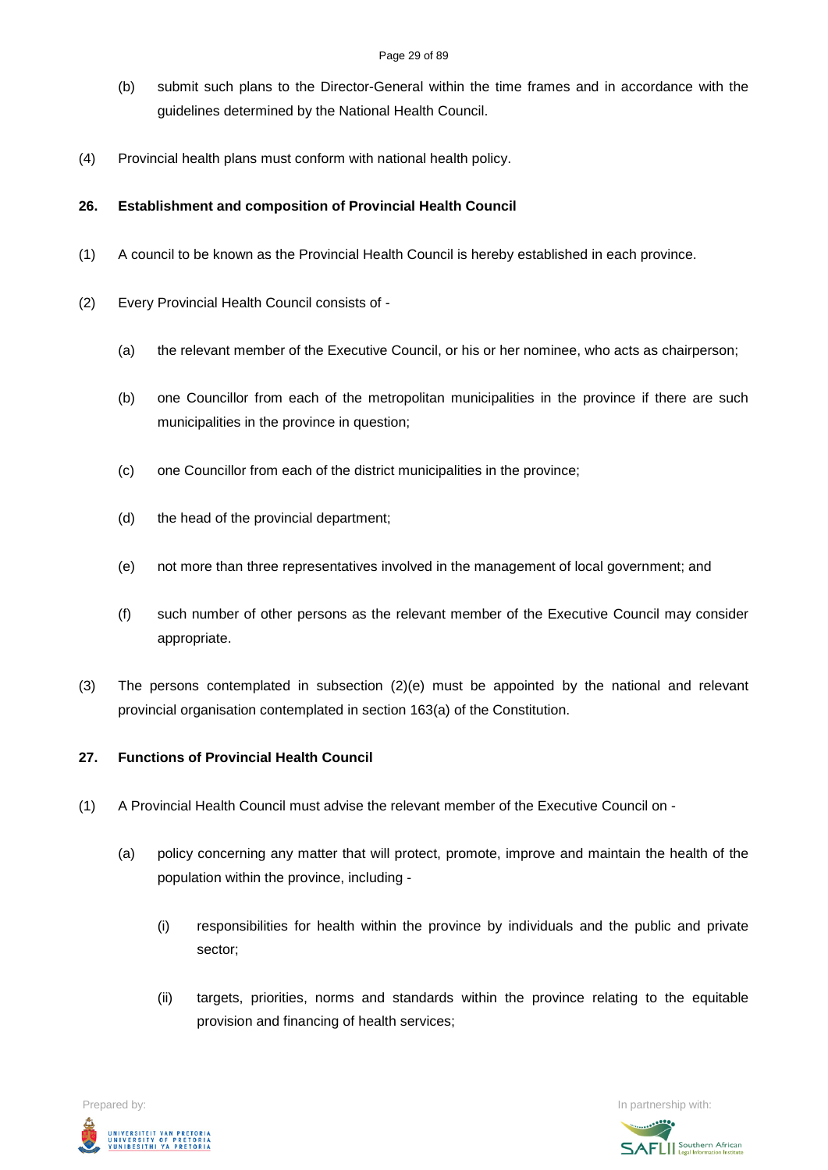- (b) submit such plans to the Director-General within the time frames and in accordance with the guidelines determined by the National Health Council.
- (4) Provincial health plans must conform with national health policy.

# **26. Establishment and composition of Provincial Health Council**

- (1) A council to be known as the Provincial Health Council is hereby established in each province.
- (2) Every Provincial Health Council consists of
	- (a) the relevant member of the Executive Council, or his or her nominee, who acts as chairperson;
	- (b) one Councillor from each of the metropolitan municipalities in the province if there are such municipalities in the province in question;
	- (c) one Councillor from each of the district municipalities in the province;
	- (d) the head of the provincial department;
	- (e) not more than three representatives involved in the management of local government; and
	- (f) such number of other persons as the relevant member of the Executive Council may consider appropriate.
- (3) The persons contemplated in subsection (2)(e) must be appointed by the national and relevant provincial organisation contemplated in section 163(a) of the Constitution.

# **27. Functions of Provincial Health Council**

- (1) A Provincial Health Council must advise the relevant member of the Executive Council on
	- (a) policy concerning any matter that will protect, promote, improve and maintain the health of the population within the province, including -
		- (i) responsibilities for health within the province by individuals and the public and private sector;
		- (ii) targets, priorities, norms and standards within the province relating to the equitable provision and financing of health services;



**SAFLI** Southern African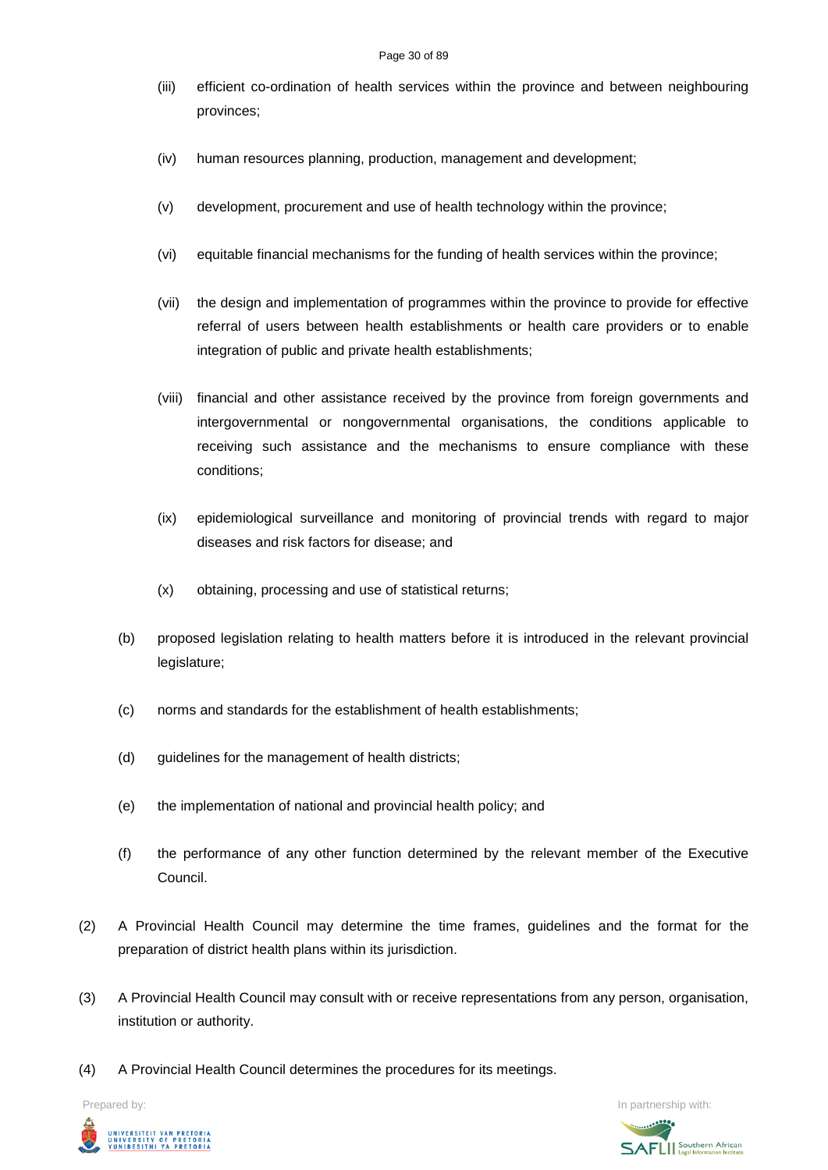- (iii) efficient co-ordination of health services within the province and between neighbouring provinces;
- (iv) human resources planning, production, management and development;
- (v) development, procurement and use of health technology within the province;
- (vi) equitable financial mechanisms for the funding of health services within the province;
- (vii) the design and implementation of programmes within the province to provide for effective referral of users between health establishments or health care providers or to enable integration of public and private health establishments;
- (viii) financial and other assistance received by the province from foreign governments and intergovernmental or nongovernmental organisations, the conditions applicable to receiving such assistance and the mechanisms to ensure compliance with these conditions;
- (ix) epidemiological surveillance and monitoring of provincial trends with regard to major diseases and risk factors for disease; and
- (x) obtaining, processing and use of statistical returns;
- (b) proposed legislation relating to health matters before it is introduced in the relevant provincial legislature;
- (c) norms and standards for the establishment of health establishments;
- (d) guidelines for the management of health districts;
- (e) the implementation of national and provincial health policy; and
- (f) the performance of any other function determined by the relevant member of the Executive Council.
- (2) A Provincial Health Council may determine the time frames, guidelines and the format for the preparation of district health plans within its jurisdiction.
- (3) A Provincial Health Council may consult with or receive representations from any person, organisation, institution or authority.
- (4) A Provincial Health Council determines the procedures for its meetings.



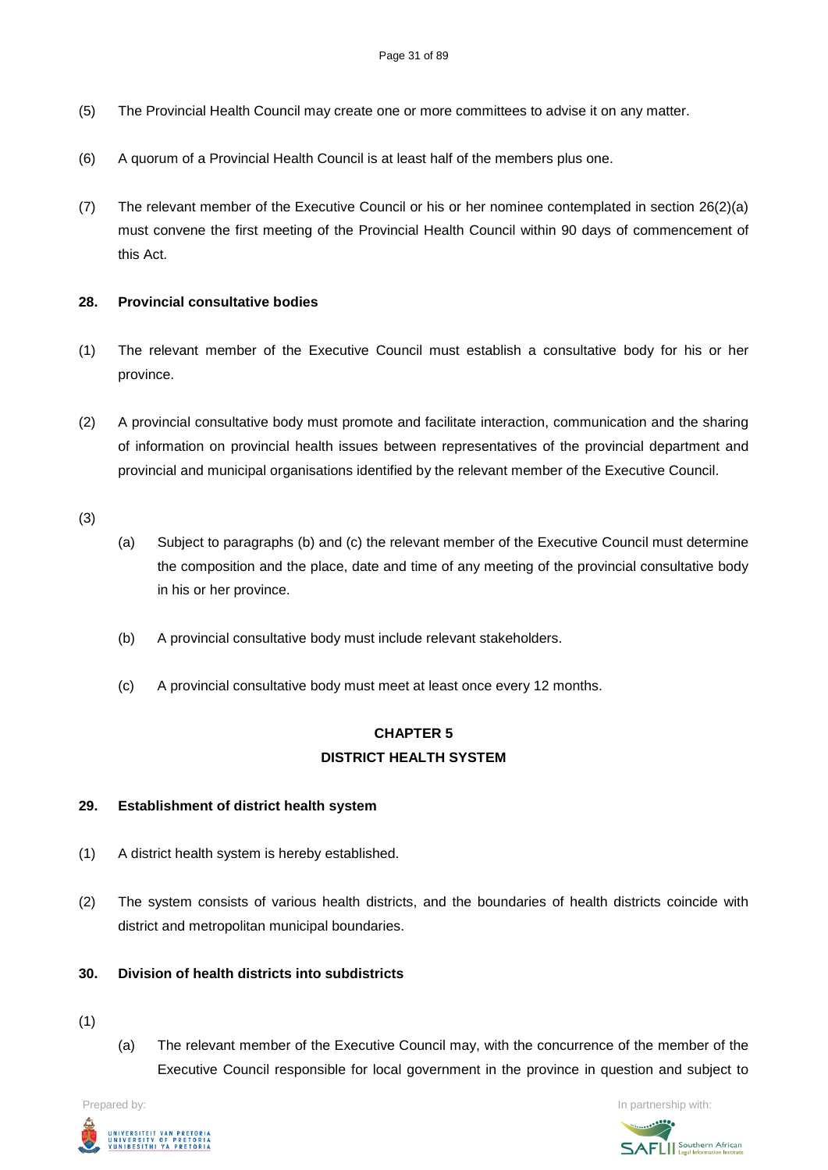- (5) The Provincial Health Council may create one or more committees to advise it on any matter.
- (6) A quorum of a Provincial Health Council is at least half of the members plus one.
- (7) The relevant member of the Executive Council or his or her nominee contemplated in section 26(2)(a) must convene the first meeting of the Provincial Health Council within 90 days of commencement of this Act.

## **28. Provincial consultative bodies**

- (1) The relevant member of the Executive Council must establish a consultative body for his or her province.
- (2) A provincial consultative body must promote and facilitate interaction, communication and the sharing of information on provincial health issues between representatives of the provincial department and provincial and municipal organisations identified by the relevant member of the Executive Council.

(3)

- (a) Subject to paragraphs (b) and (c) the relevant member of the Executive Council must determine the composition and the place, date and time of any meeting of the provincial consultative body in his or her province.
- (b) A provincial consultative body must include relevant stakeholders.
- (c) A provincial consultative body must meet at least once every 12 months.

# **CHAPTER 5 DISTRICT HEALTH SYSTEM**

### **29. Establishment of district health system**

- (1) A district health system is hereby established.
- (2) The system consists of various health districts, and the boundaries of health districts coincide with district and metropolitan municipal boundaries.

# **30. Division of health districts into subdistricts**

- (1)
- (a) The relevant member of the Executive Council may, with the concurrence of the member of the Executive Council responsible for local government in the province in question and subject to



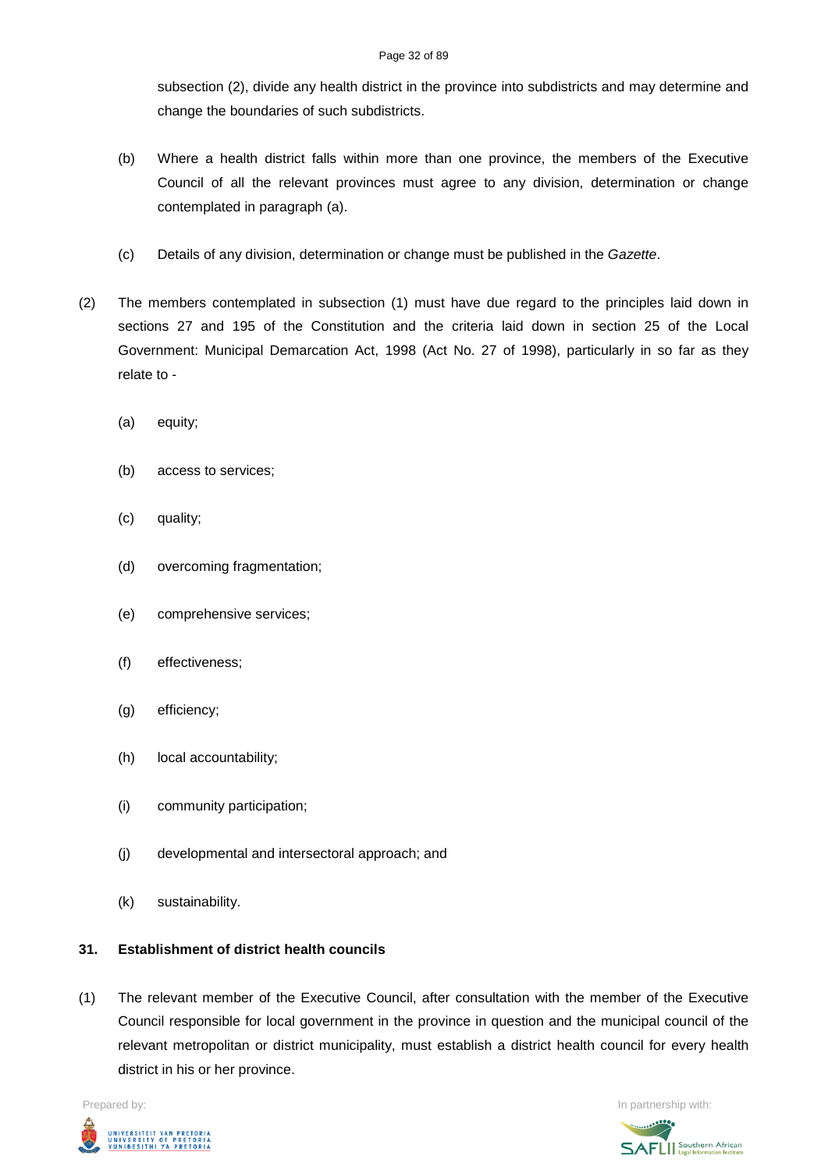#### Page 32 of 89

subsection (2), divide any health district in the province into subdistricts and may determine and change the boundaries of such subdistricts.

- (b) Where a health district falls within more than one province, the members of the Executive Council of all the relevant provinces must agree to any division, determination or change contemplated in paragraph (a).
- (c) Details of any division, determination or change must be published in the *Gazette*.
- (2) The members contemplated in subsection (1) must have due regard to the principles laid down in sections 27 and 195 of the Constitution and the criteria laid down in section 25 of the Local Government: Municipal Demarcation Act, 1998 (Act No. 27 of 1998), particularly in so far as they relate to -
	- (a) equity;
	- (b) access to services;
	- (c) quality;
	- (d) overcoming fragmentation;
	- (e) comprehensive services;
	- (f) effectiveness;
	- (g) efficiency;
	- (h) local accountability;
	- (i) community participation;
	- (j) developmental and intersectoral approach; and
	- (k) sustainability.

# **31. Establishment of district health councils**

(1) The relevant member of the Executive Council, after consultation with the member of the Executive Council responsible for local government in the province in question and the municipal council of the relevant metropolitan or district municipality, must establish a district health council for every health district in his or her province.



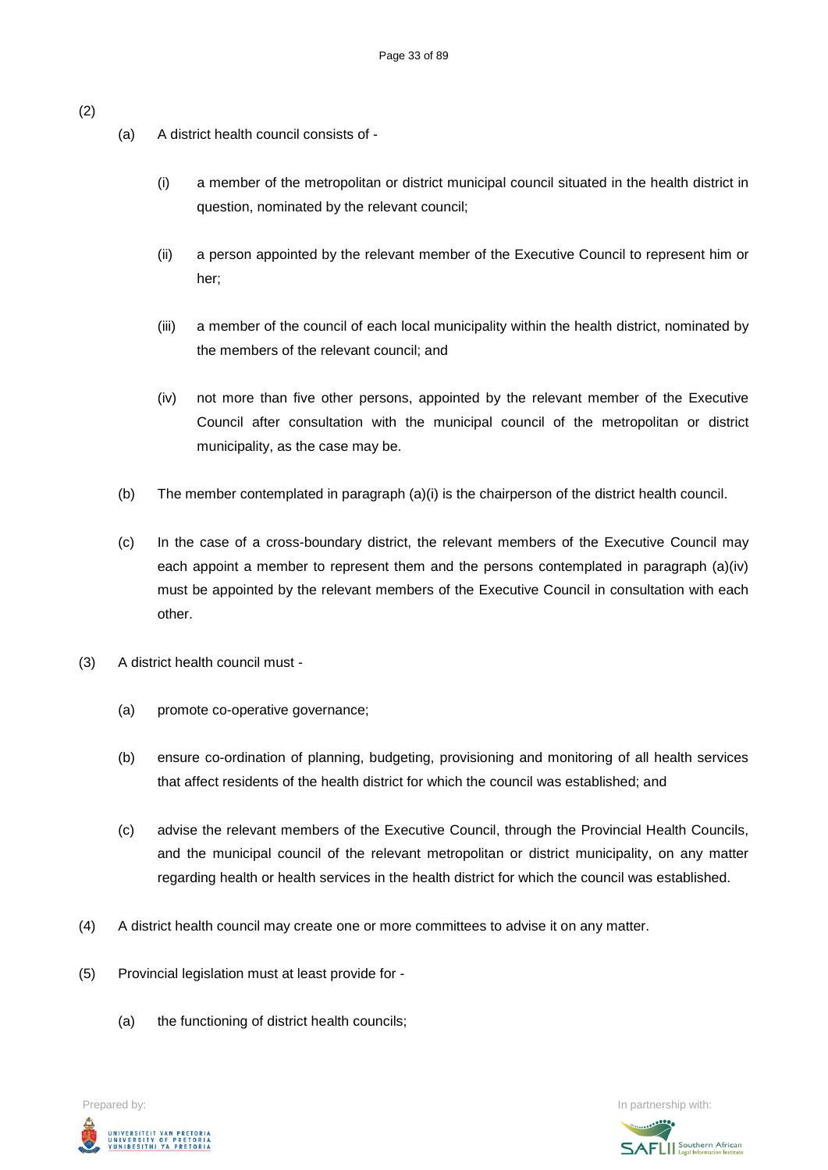- (a) A district health council consists of
	- (i) a member of the metropolitan or district municipal council situated in the health district in question, nominated by the relevant council;
	- (ii) a person appointed by the relevant member of the Executive Council to represent him or her;
	- (iii) a member of the council of each local municipality within the health district, nominated by the members of the relevant council; and
	- (iv) not more than five other persons, appointed by the relevant member of the Executive Council after consultation with the municipal council of the metropolitan or district municipality, as the case may be.
- (b) The member contemplated in paragraph (a)(i) is the chairperson of the district health council.
- (c) In the case of a cross-boundary district, the relevant members of the Executive Council may each appoint a member to represent them and the persons contemplated in paragraph (a)(iv) must be appointed by the relevant members of the Executive Council in consultation with each other.
- (3) A district health council must
	- (a) promote co-operative governance;
	- (b) ensure co-ordination of planning, budgeting, provisioning and monitoring of all health services that affect residents of the health district for which the council was established; and
	- (c) advise the relevant members of the Executive Council, through the Provincial Health Councils, and the municipal council of the relevant metropolitan or district municipality, on any matter regarding health or health services in the health district for which the council was established.
- (4) A district health council may create one or more committees to advise it on any matter.
- (5) Provincial legislation must at least provide for
	- (a) the functioning of district health councils;





(2)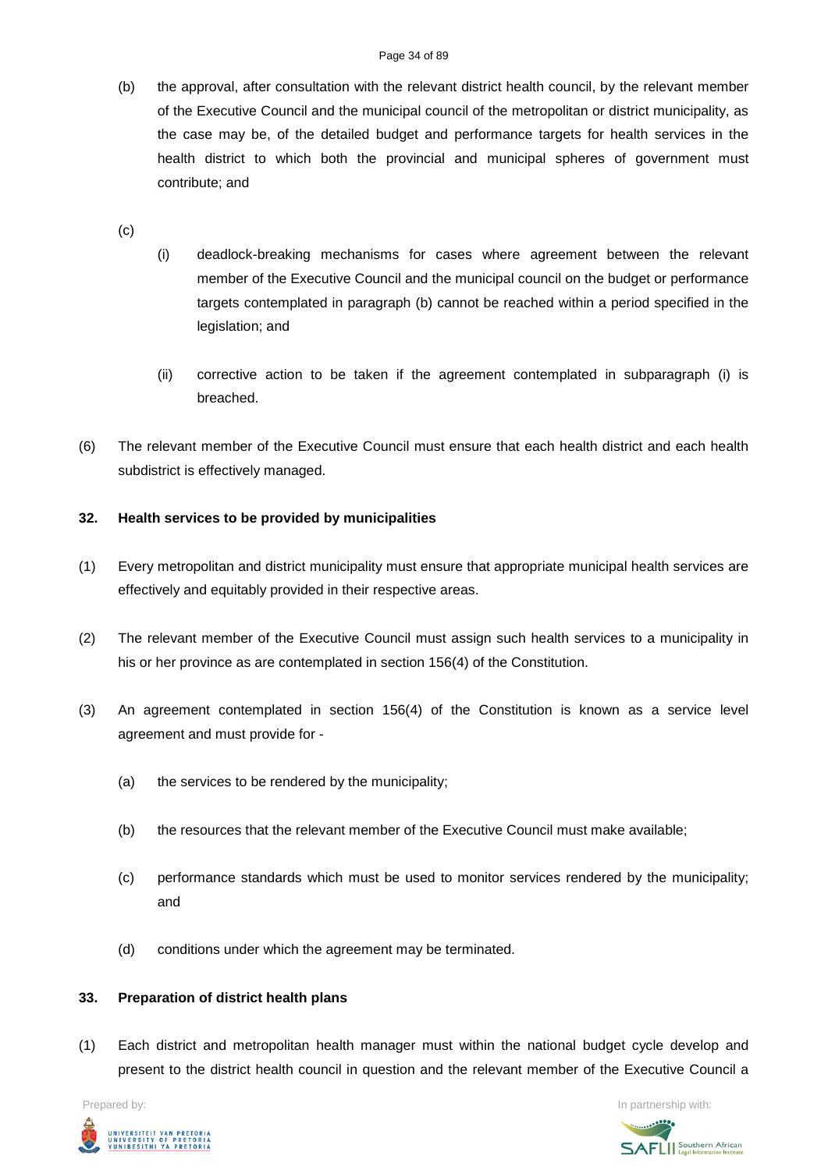(b) the approval, after consultation with the relevant district health council, by the relevant member of the Executive Council and the municipal council of the metropolitan or district municipality, as the case may be, of the detailed budget and performance targets for health services in the health district to which both the provincial and municipal spheres of government must contribute; and

(c)

- (i) deadlock-breaking mechanisms for cases where agreement between the relevant member of the Executive Council and the municipal council on the budget or performance targets contemplated in paragraph (b) cannot be reached within a period specified in the legislation; and
- (ii) corrective action to be taken if the agreement contemplated in subparagraph (i) is breached.
- (6) The relevant member of the Executive Council must ensure that each health district and each health subdistrict is effectively managed.

# **32. Health services to be provided by municipalities**

- (1) Every metropolitan and district municipality must ensure that appropriate municipal health services are effectively and equitably provided in their respective areas.
- (2) The relevant member of the Executive Council must assign such health services to a municipality in his or her province as are contemplated in section 156(4) of the Constitution.
- (3) An agreement contemplated in section 156(4) of the Constitution is known as a service level agreement and must provide for -
	- (a) the services to be rendered by the municipality;
	- (b) the resources that the relevant member of the Executive Council must make available;
	- (c) performance standards which must be used to monitor services rendered by the municipality; and
	- (d) conditions under which the agreement may be terminated.

# **33. Preparation of district health plans**

(1) Each district and metropolitan health manager must within the national budget cycle develop and present to the district health council in question and the relevant member of the Executive Council a



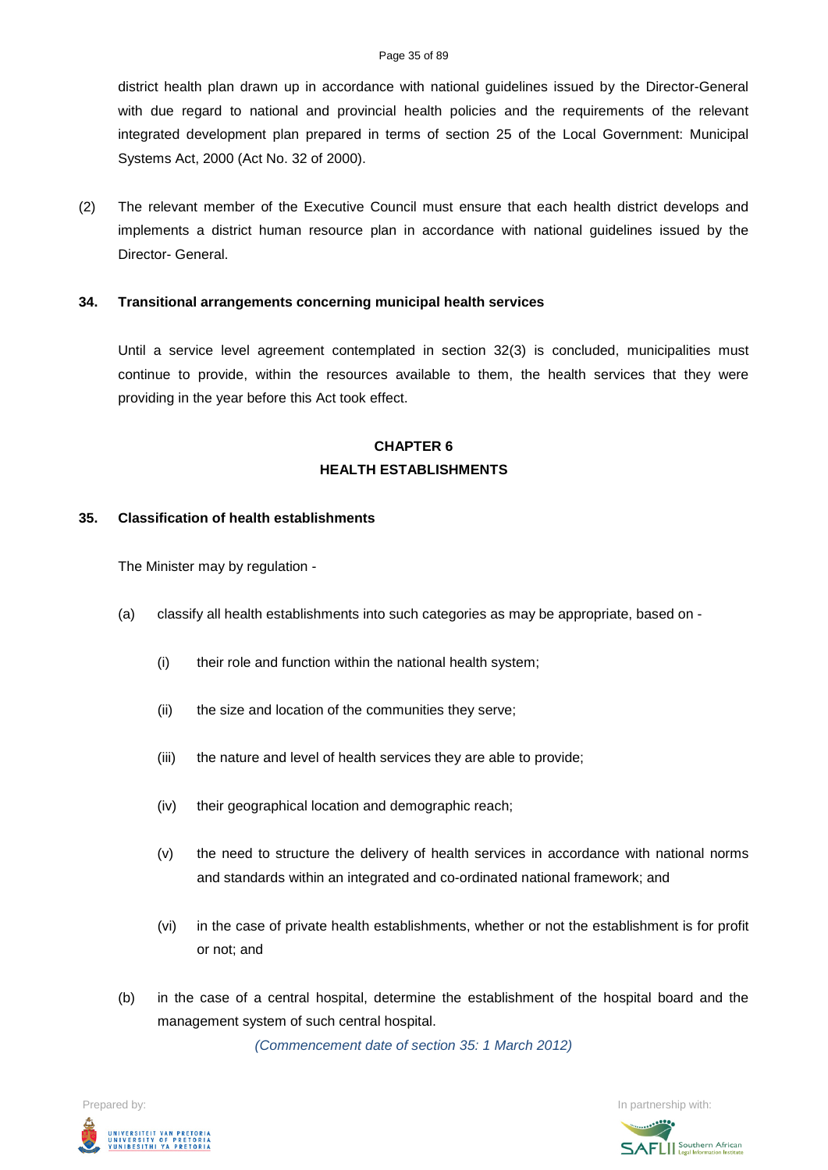#### Page 35 of 89

district health plan drawn up in accordance with national guidelines issued by the Director-General with due regard to national and provincial health policies and the requirements of the relevant integrated development plan prepared in terms of section 25 of the Local Government: Municipal Systems Act, 2000 (Act No. 32 of 2000).

(2) The relevant member of the Executive Council must ensure that each health district develops and implements a district human resource plan in accordance with national guidelines issued by the Director- General.

### **34. Transitional arrangements concerning municipal health services**

Until a service level agreement contemplated in section 32(3) is concluded, municipalities must continue to provide, within the resources available to them, the health services that they were providing in the year before this Act took effect.

# **CHAPTER 6 HEALTH ESTABLISHMENTS**

#### **35. Classification of health establishments**

The Minister may by regulation -

- (a) classify all health establishments into such categories as may be appropriate, based on
	- (i) their role and function within the national health system;
	- (ii) the size and location of the communities they serve;
	- (iii) the nature and level of health services they are able to provide;
	- (iv) their geographical location and demographic reach;
	- (v) the need to structure the delivery of health services in accordance with national norms and standards within an integrated and co-ordinated national framework; and
	- (vi) in the case of private health establishments, whether or not the establishment is for profit or not; and
- (b) in the case of a central hospital, determine the establishment of the hospital board and the management system of such central hospital.

*(Commencement date of section 35: 1 March 2012)*

Prepared by: In partnership with:UNIVERSITEIT VAN PRETORIA<br>UNIVERSITY OF PRETORIA<br>YUNIBESITHI YA PRETORIA

**SAFLI** Southern African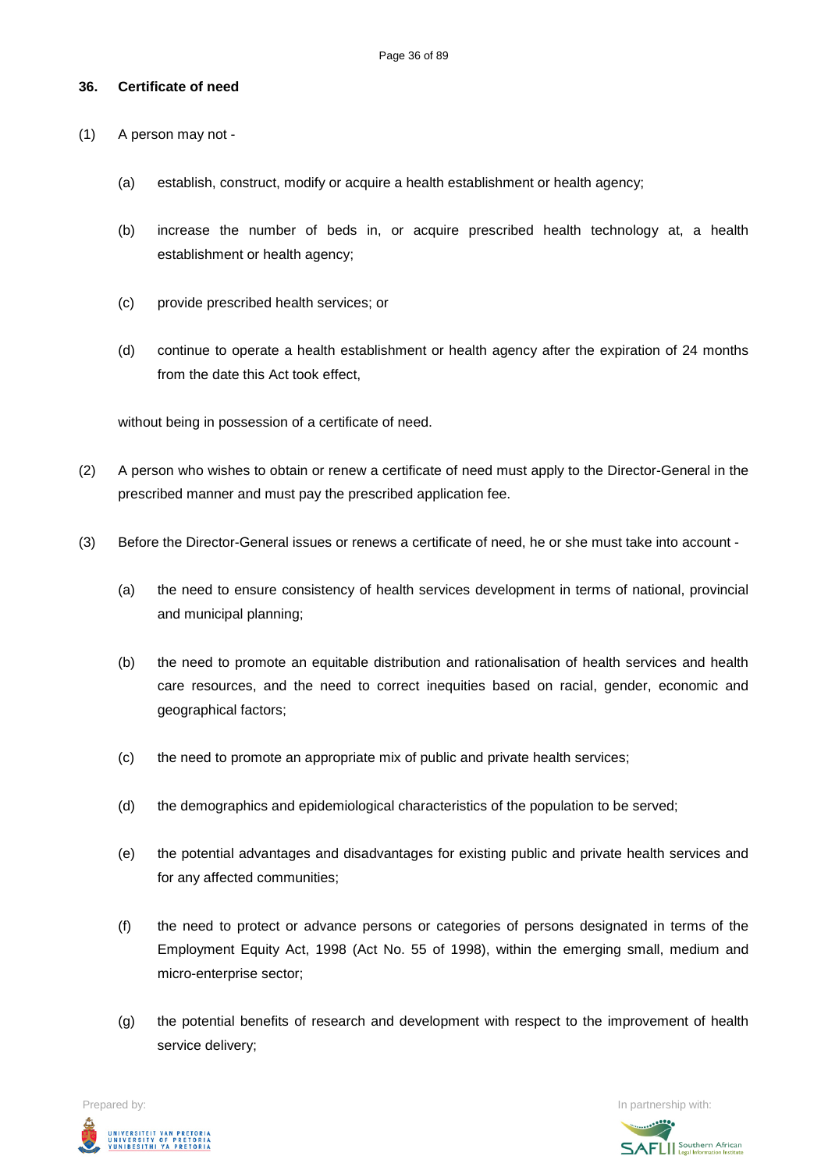## **36. Certificate of need**

- (1) A person may not
	- (a) establish, construct, modify or acquire a health establishment or health agency;
	- (b) increase the number of beds in, or acquire prescribed health technology at, a health establishment or health agency;
	- (c) provide prescribed health services; or
	- (d) continue to operate a health establishment or health agency after the expiration of 24 months from the date this Act took effect,

without being in possession of a certificate of need.

- (2) A person who wishes to obtain or renew a certificate of need must apply to the Director-General in the prescribed manner and must pay the prescribed application fee.
- (3) Before the Director-General issues or renews a certificate of need, he or she must take into account
	- (a) the need to ensure consistency of health services development in terms of national, provincial and municipal planning;
	- (b) the need to promote an equitable distribution and rationalisation of health services and health care resources, and the need to correct inequities based on racial, gender, economic and geographical factors;
	- (c) the need to promote an appropriate mix of public and private health services;
	- (d) the demographics and epidemiological characteristics of the population to be served;
	- (e) the potential advantages and disadvantages for existing public and private health services and for any affected communities;
	- (f) the need to protect or advance persons or categories of persons designated in terms of the Employment Equity Act, 1998 (Act No. 55 of 1998), within the emerging small, medium and micro-enterprise sector;
	- (g) the potential benefits of research and development with respect to the improvement of health service delivery;

Prepared by: In partnership with:  $\blacksquare$  is the partnership with:  $\blacksquare$  is the partnership with:  $\blacksquare$ UNIVERSITEIT VAN PRETORIA<br>UNIVERSITY OF PRETORIA<br>YUNIBESITHI YA PRETORIA

**SAFLI** Southern African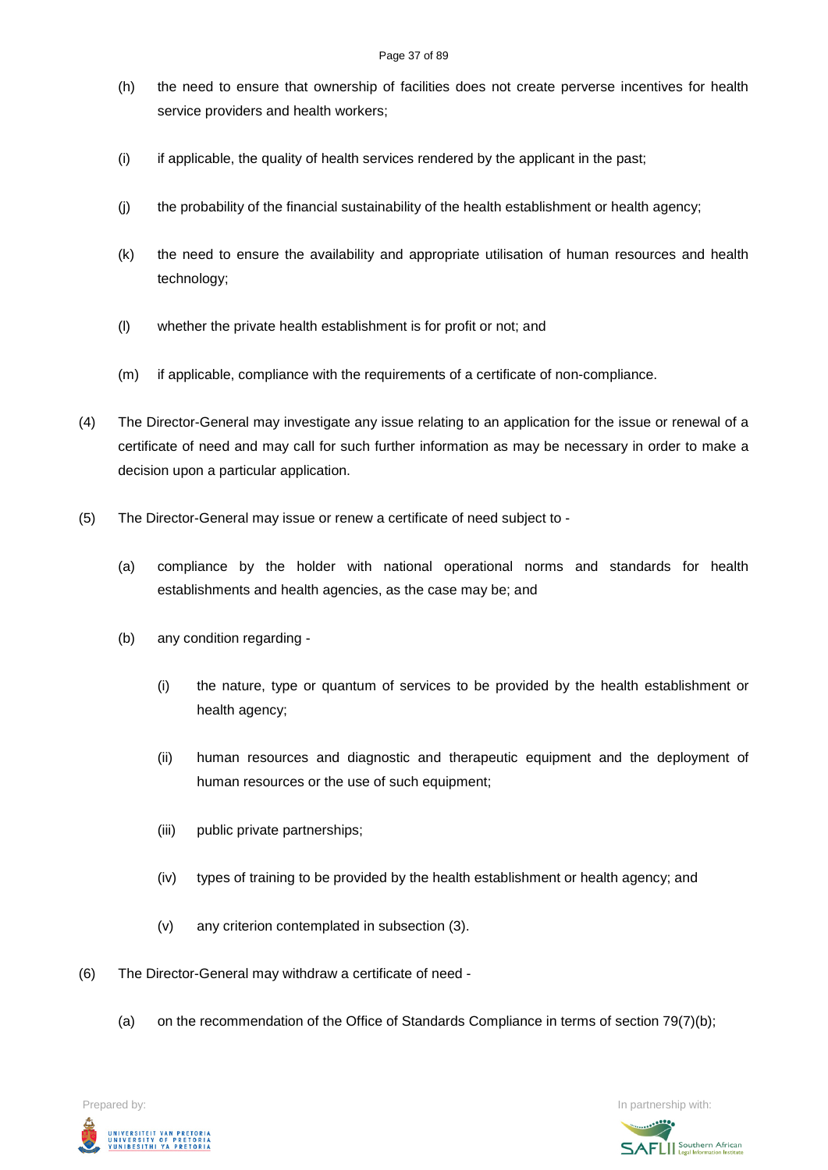- (h) the need to ensure that ownership of facilities does not create perverse incentives for health service providers and health workers;
- (i) if applicable, the quality of health services rendered by the applicant in the past;
- (j) the probability of the financial sustainability of the health establishment or health agency;
- (k) the need to ensure the availability and appropriate utilisation of human resources and health technology;
- (l) whether the private health establishment is for profit or not; and
- (m) if applicable, compliance with the requirements of a certificate of non-compliance.
- (4) The Director-General may investigate any issue relating to an application for the issue or renewal of a certificate of need and may call for such further information as may be necessary in order to make a decision upon a particular application.
- (5) The Director-General may issue or renew a certificate of need subject to
	- (a) compliance by the holder with national operational norms and standards for health establishments and health agencies, as the case may be; and
	- (b) any condition regarding
		- (i) the nature, type or quantum of services to be provided by the health establishment or health agency;
		- (ii) human resources and diagnostic and therapeutic equipment and the deployment of human resources or the use of such equipment;
		- (iii) public private partnerships;
		- (iv) types of training to be provided by the health establishment or health agency; and
		- (v) any criterion contemplated in subsection (3).
- (6) The Director-General may withdraw a certificate of need
	- (a) on the recommendation of the Office of Standards Compliance in terms of section 79(7)(b);



Prepared by: In partnership with:  $\blacksquare$  is the partnership with:  $\blacksquare$  is the partnership with:  $\blacksquare$ **SAFLI** Southern African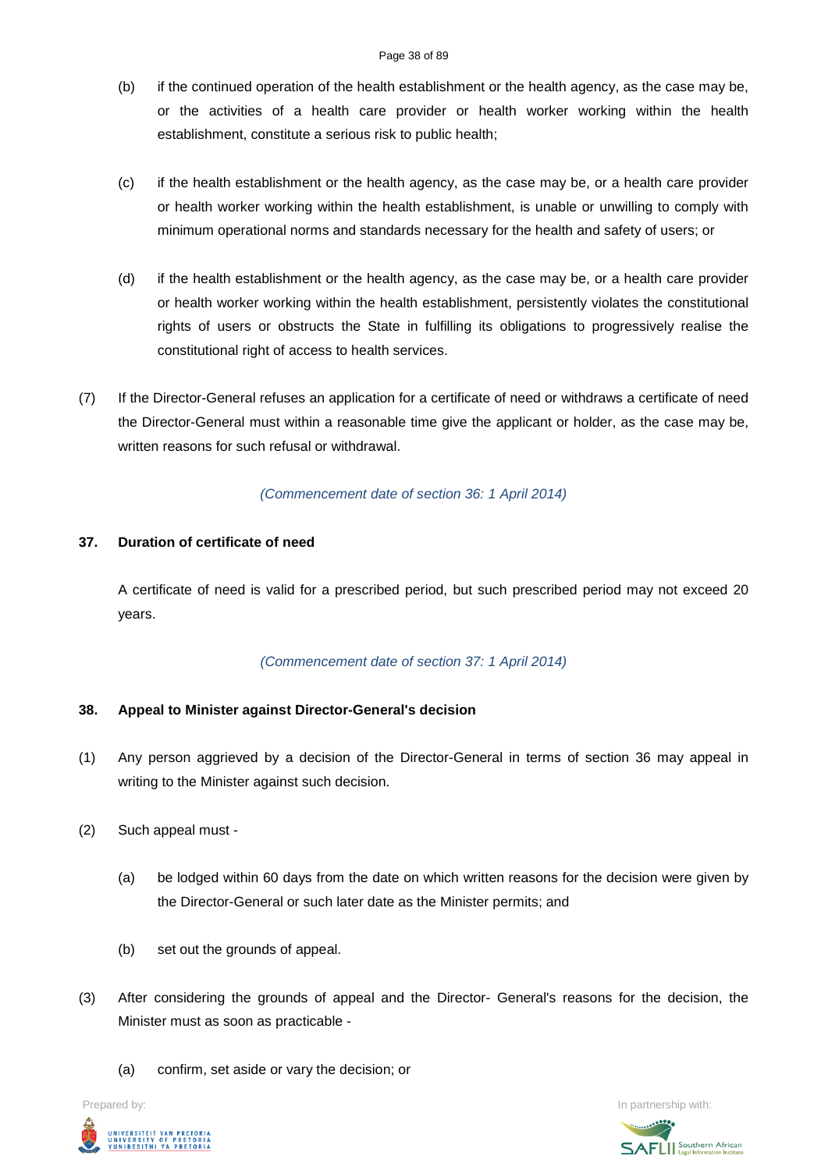#### Page 38 of 89

- (b) if the continued operation of the health establishment or the health agency, as the case may be, or the activities of a health care provider or health worker working within the health establishment, constitute a serious risk to public health;
- (c) if the health establishment or the health agency, as the case may be, or a health care provider or health worker working within the health establishment, is unable or unwilling to comply with minimum operational norms and standards necessary for the health and safety of users; or
- (d) if the health establishment or the health agency, as the case may be, or a health care provider or health worker working within the health establishment, persistently violates the constitutional rights of users or obstructs the State in fulfilling its obligations to progressively realise the constitutional right of access to health services.
- (7) If the Director-General refuses an application for a certificate of need or withdraws a certificate of need the Director-General must within a reasonable time give the applicant or holder, as the case may be, written reasons for such refusal or withdrawal.

# *(Commencement date of section 36: 1 April 2014)*

# **37. Duration of certificate of need**

A certificate of need is valid for a prescribed period, but such prescribed period may not exceed 20 years.

# *(Commencement date of section 37: 1 April 2014)*

# **38. Appeal to Minister against Director-General's decision**

- (1) Any person aggrieved by a decision of the Director-General in terms of section 36 may appeal in writing to the Minister against such decision.
- (2) Such appeal must
	- (a) be lodged within 60 days from the date on which written reasons for the decision were given by the Director-General or such later date as the Minister permits; and
	- (b) set out the grounds of appeal.
- (3) After considering the grounds of appeal and the Director- General's reasons for the decision, the Minister must as soon as practicable -
	- (a) confirm, set aside or vary the decision; or



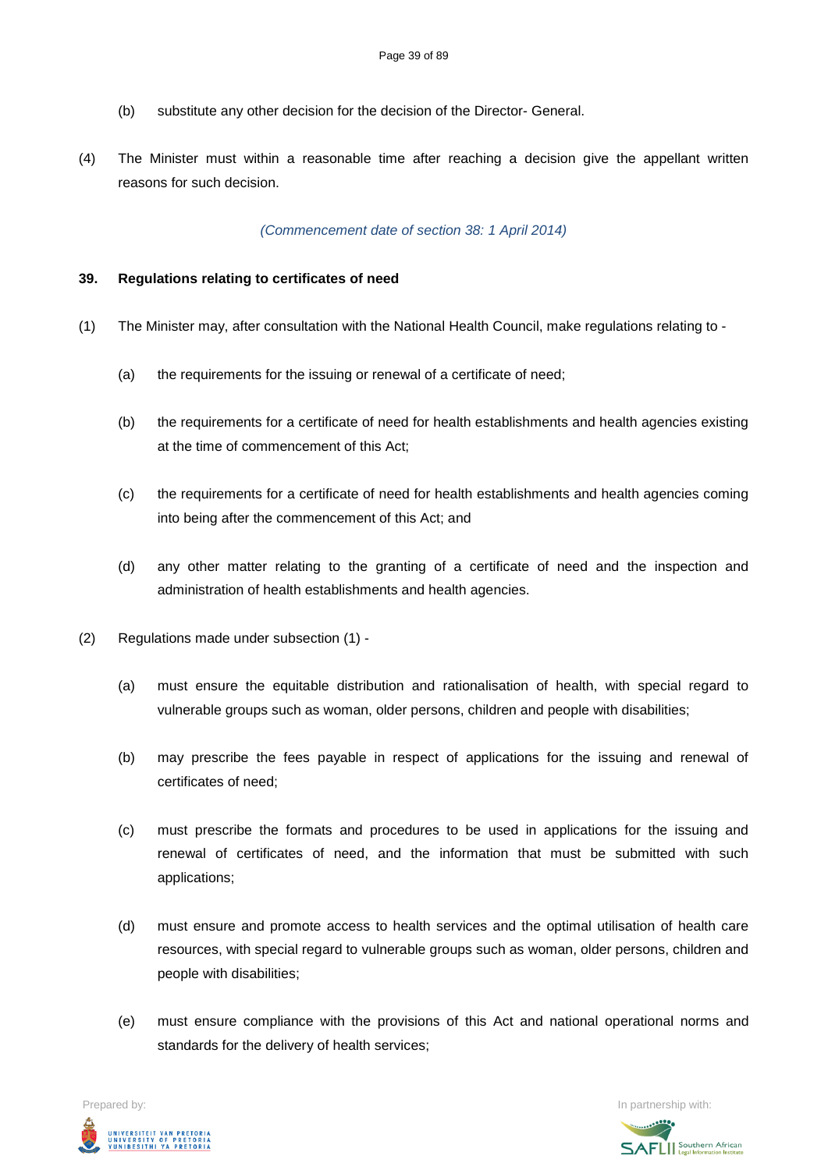- (b) substitute any other decision for the decision of the Director- General.
- (4) The Minister must within a reasonable time after reaching a decision give the appellant written reasons for such decision.

### *(Commencement date of section 38: 1 April 2014)*

### **39. Regulations relating to certificates of need**

- (1) The Minister may, after consultation with the National Health Council, make regulations relating to
	- (a) the requirements for the issuing or renewal of a certificate of need;
	- (b) the requirements for a certificate of need for health establishments and health agencies existing at the time of commencement of this Act;
	- (c) the requirements for a certificate of need for health establishments and health agencies coming into being after the commencement of this Act; and
	- (d) any other matter relating to the granting of a certificate of need and the inspection and administration of health establishments and health agencies.
- (2) Regulations made under subsection (1)
	- (a) must ensure the equitable distribution and rationalisation of health, with special regard to vulnerable groups such as woman, older persons, children and people with disabilities;
	- (b) may prescribe the fees payable in respect of applications for the issuing and renewal of certificates of need;
	- (c) must prescribe the formats and procedures to be used in applications for the issuing and renewal of certificates of need, and the information that must be submitted with such applications;
	- (d) must ensure and promote access to health services and the optimal utilisation of health care resources, with special regard to vulnerable groups such as woman, older persons, children and people with disabilities;
	- (e) must ensure compliance with the provisions of this Act and national operational norms and standards for the delivery of health services;

Prepared by: In partnership with:UNIVERSITEIT VAN PRETORIA<br>UNIVERSITY OF PRETORIA<br>YUNIBESITHI YA PRETORIA

**SAFLI** Southern African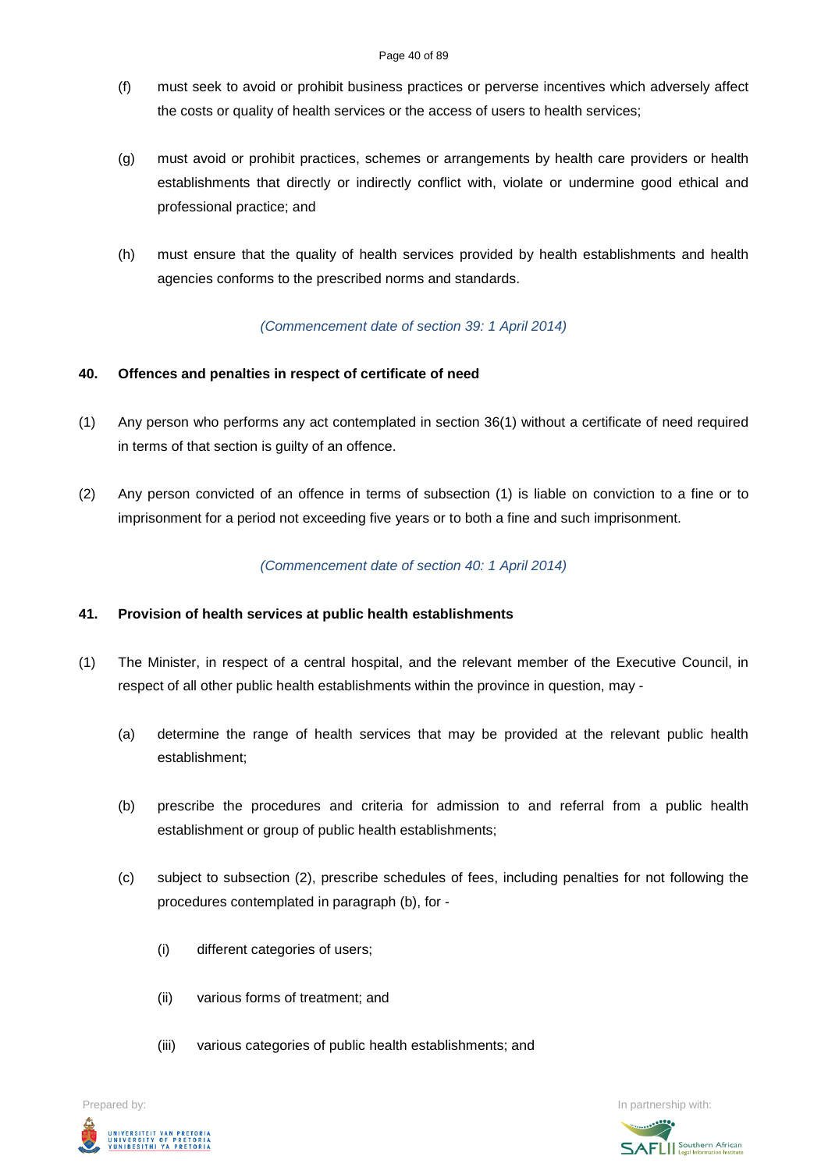- (f) must seek to avoid or prohibit business practices or perverse incentives which adversely affect the costs or quality of health services or the access of users to health services;
- (g) must avoid or prohibit practices, schemes or arrangements by health care providers or health establishments that directly or indirectly conflict with, violate or undermine good ethical and professional practice; and
- (h) must ensure that the quality of health services provided by health establishments and health agencies conforms to the prescribed norms and standards.

# *(Commencement date of section 39: 1 April 2014)*

# **40. Offences and penalties in respect of certificate of need**

- (1) Any person who performs any act contemplated in section 36(1) without a certificate of need required in terms of that section is guilty of an offence.
- (2) Any person convicted of an offence in terms of subsection (1) is liable on conviction to a fine or to imprisonment for a period not exceeding five years or to both a fine and such imprisonment.

### *(Commencement date of section 40: 1 April 2014)*

### **41. Provision of health services at public health establishments**

- (1) The Minister, in respect of a central hospital, and the relevant member of the Executive Council, in respect of all other public health establishments within the province in question, may -
	- (a) determine the range of health services that may be provided at the relevant public health establishment;
	- (b) prescribe the procedures and criteria for admission to and referral from a public health establishment or group of public health establishments;
	- (c) subject to subsection (2), prescribe schedules of fees, including penalties for not following the procedures contemplated in paragraph (b), for -
		- (i) different categories of users;
		- (ii) various forms of treatment; and
		- (iii) various categories of public health establishments; and

Prepared by: In partnership with:UNIVERSITEIT VAN PRETORIA<br>UNIVERSITY OF PRETORIA<br>YUNIBESITHI YA PRETORIA

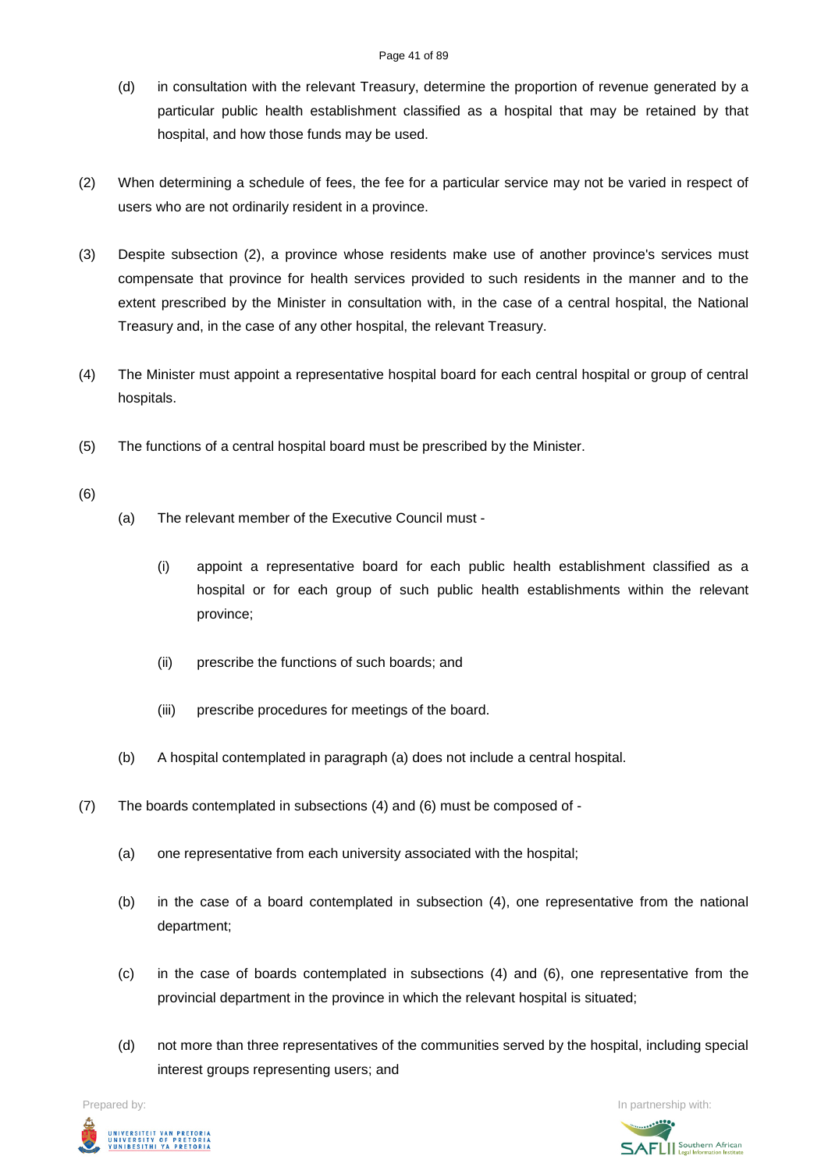- (d) in consultation with the relevant Treasury, determine the proportion of revenue generated by a particular public health establishment classified as a hospital that may be retained by that hospital, and how those funds may be used.
- (2) When determining a schedule of fees, the fee for a particular service may not be varied in respect of users who are not ordinarily resident in a province.
- (3) Despite subsection (2), a province whose residents make use of another province's services must compensate that province for health services provided to such residents in the manner and to the extent prescribed by the Minister in consultation with, in the case of a central hospital, the National Treasury and, in the case of any other hospital, the relevant Treasury.
- (4) The Minister must appoint a representative hospital board for each central hospital or group of central hospitals.
- (5) The functions of a central hospital board must be prescribed by the Minister.
- (6)
- (a) The relevant member of the Executive Council must
	- (i) appoint a representative board for each public health establishment classified as a hospital or for each group of such public health establishments within the relevant province;
	- (ii) prescribe the functions of such boards; and
	- (iii) prescribe procedures for meetings of the board.
- (b) A hospital contemplated in paragraph (a) does not include a central hospital.
- (7) The boards contemplated in subsections (4) and (6) must be composed of
	- (a) one representative from each university associated with the hospital;
	- (b) in the case of a board contemplated in subsection (4), one representative from the national department;
	- (c) in the case of boards contemplated in subsections (4) and (6), one representative from the provincial department in the province in which the relevant hospital is situated;
	- (d) not more than three representatives of the communities served by the hospital, including special interest groups representing users; and

Prepared by: In partnership with:



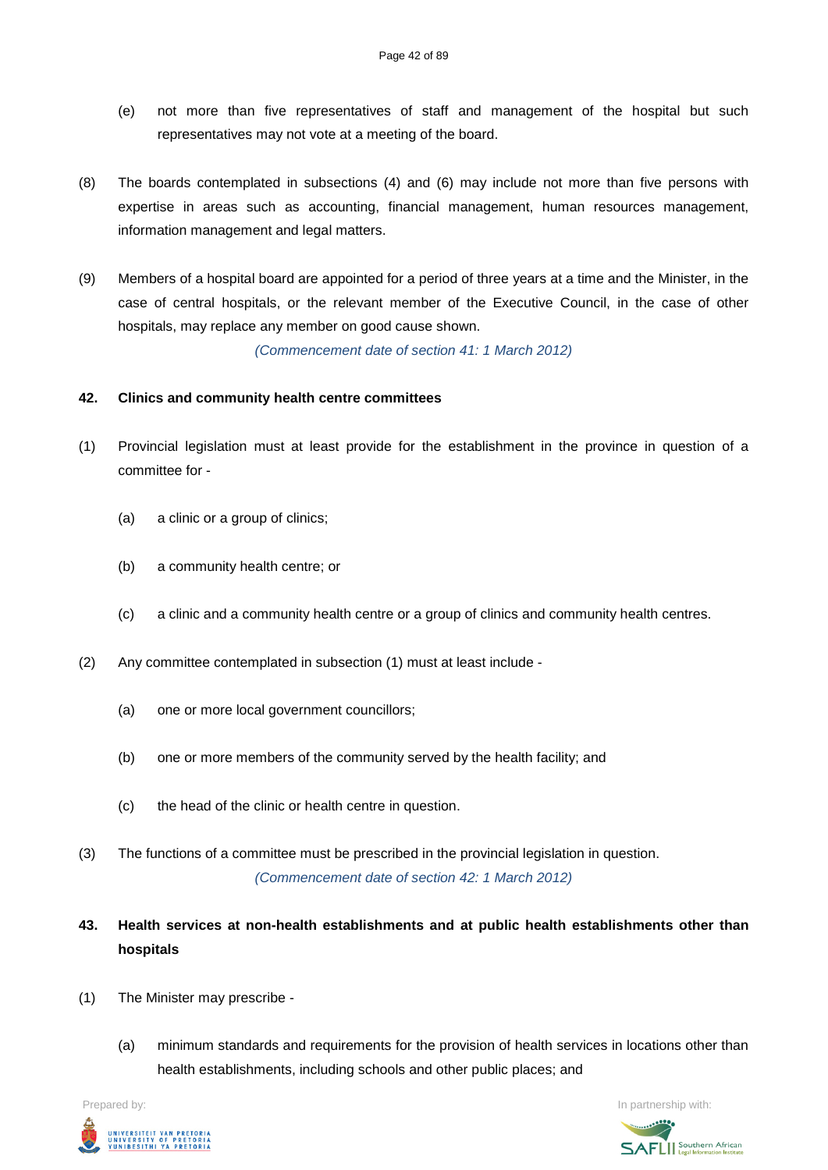- (e) not more than five representatives of staff and management of the hospital but such representatives may not vote at a meeting of the board.
- (8) The boards contemplated in subsections (4) and (6) may include not more than five persons with expertise in areas such as accounting, financial management, human resources management, information management and legal matters.
- (9) Members of a hospital board are appointed for a period of three years at a time and the Minister, in the case of central hospitals, or the relevant member of the Executive Council, in the case of other hospitals, may replace any member on good cause shown.

*(Commencement date of section 41: 1 March 2012)*

### **42. Clinics and community health centre committees**

- (1) Provincial legislation must at least provide for the establishment in the province in question of a committee for -
	- (a) a clinic or a group of clinics;
	- (b) a community health centre; or
	- (c) a clinic and a community health centre or a group of clinics and community health centres.
- (2) Any committee contemplated in subsection (1) must at least include
	- (a) one or more local government councillors;
	- (b) one or more members of the community served by the health facility; and
	- (c) the head of the clinic or health centre in question.
- (3) The functions of a committee must be prescribed in the provincial legislation in question. *(Commencement date of section 42: 1 March 2012)*
- **43. Health services at non-health establishments and at public health establishments other than hospitals**
- (1) The Minister may prescribe
	- (a) minimum standards and requirements for the provision of health services in locations other than health establishments, including schools and other public places; and

Prepared by: In partnership with:



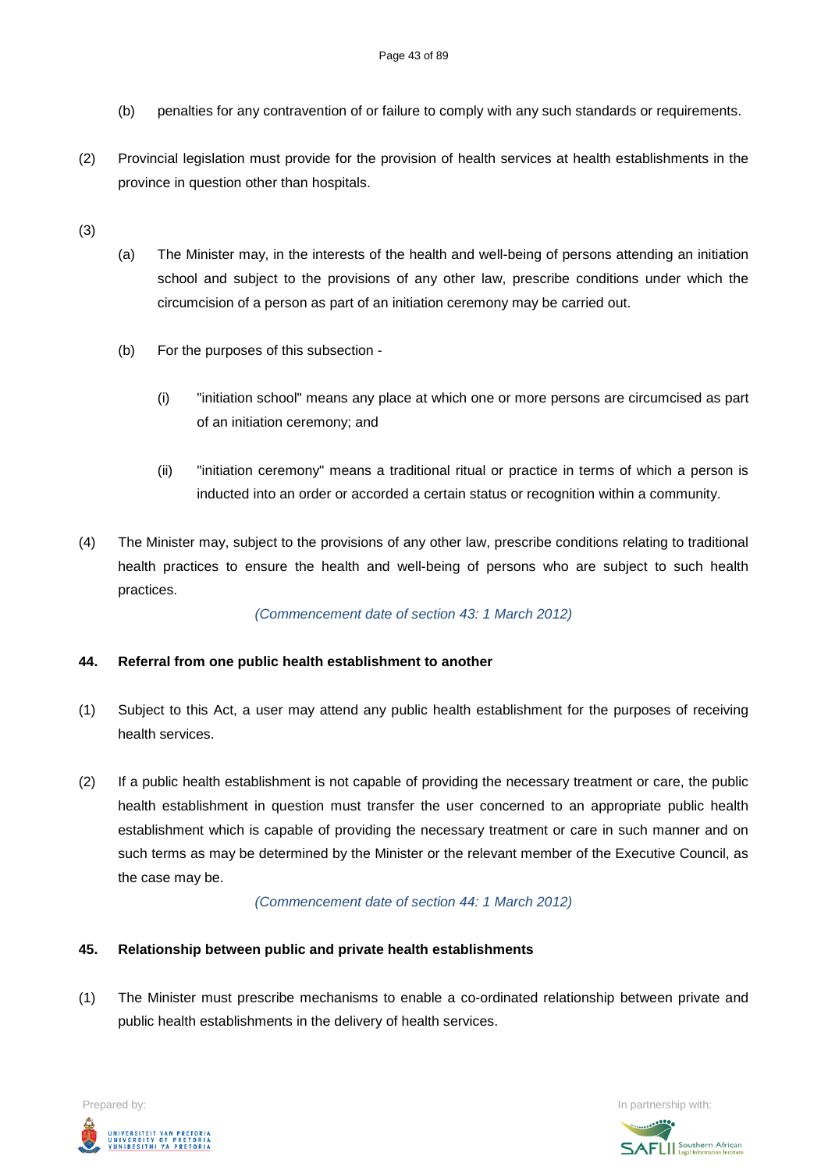- (b) penalties for any contravention of or failure to comply with any such standards or requirements.
- (2) Provincial legislation must provide for the provision of health services at health establishments in the province in question other than hospitals.

(3)

- (a) The Minister may, in the interests of the health and well-being of persons attending an initiation school and subject to the provisions of any other law, prescribe conditions under which the circumcision of a person as part of an initiation ceremony may be carried out.
- (b) For the purposes of this subsection
	- (i) "initiation school" means any place at which one or more persons are circumcised as part of an initiation ceremony; and
	- (ii) "initiation ceremony" means a traditional ritual or practice in terms of which a person is inducted into an order or accorded a certain status or recognition within a community.
- (4) The Minister may, subject to the provisions of any other law, prescribe conditions relating to traditional health practices to ensure the health and well-being of persons who are subject to such health practices.

*(Commencement date of section 43: 1 March 2012)*

# **44. Referral from one public health establishment to another**

- (1) Subject to this Act, a user may attend any public health establishment for the purposes of receiving health services.
- (2) If a public health establishment is not capable of providing the necessary treatment or care, the public health establishment in question must transfer the user concerned to an appropriate public health establishment which is capable of providing the necessary treatment or care in such manner and on such terms as may be determined by the Minister or the relevant member of the Executive Council, as the case may be.

*(Commencement date of section 44: 1 March 2012)*

## **45. Relationship between public and private health establishments**

(1) The Minister must prescribe mechanisms to enable a co-ordinated relationship between private and public health establishments in the delivery of health services.

Prepared by: In partnership with:  $\blacksquare$  is the partnership with:  $\blacksquare$  is the partnership with:  $\blacksquare$ UNIVERSITEIT VAN PRETORIA<br>UNIVERSITY OF PRETORIA<br>YUNIBESITHI YA PRETORIA

**SAFLI** Southern African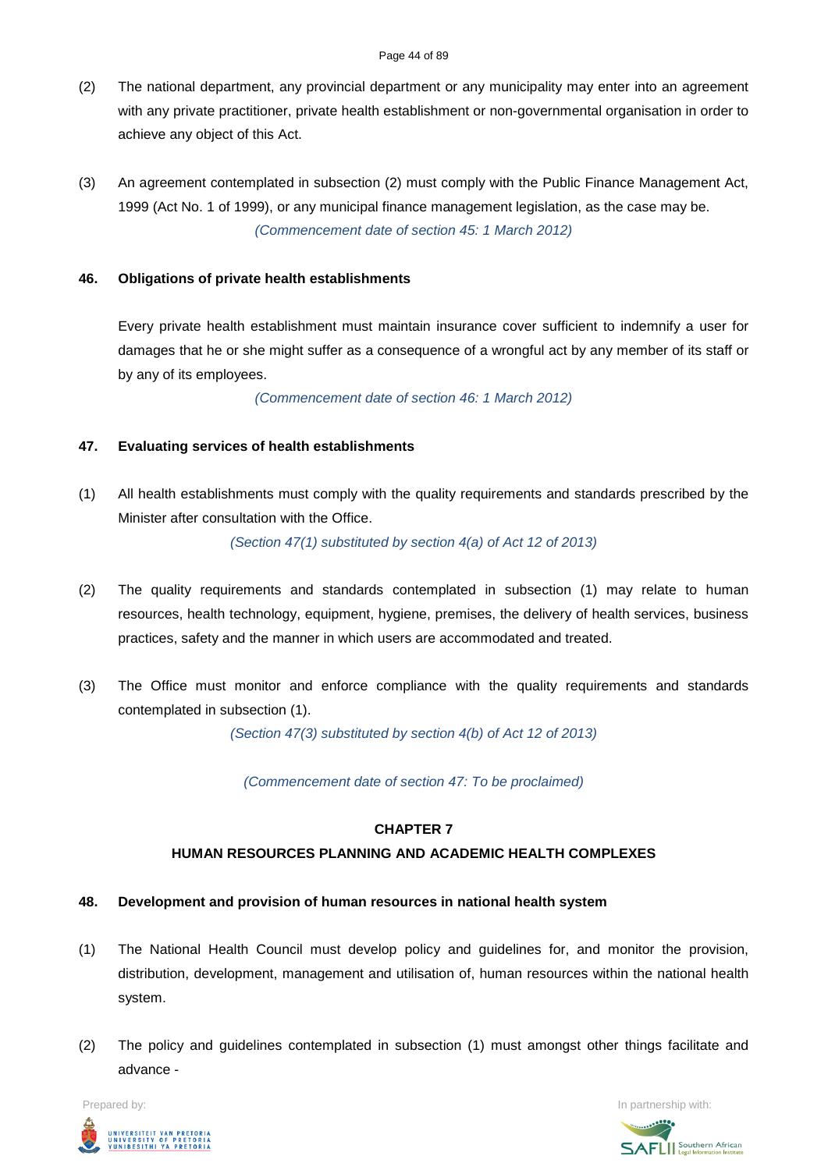- (2) The national department, any provincial department or any municipality may enter into an agreement with any private practitioner, private health establishment or non-governmental organisation in order to achieve any object of this Act.
- (3) An agreement contemplated in subsection (2) must comply with the Public Finance Management Act, 1999 (Act No. 1 of 1999), or any municipal finance management legislation, as the case may be. *(Commencement date of section 45: 1 March 2012)*

# **46. Obligations of private health establishments**

Every private health establishment must maintain insurance cover sufficient to indemnify a user for damages that he or she might suffer as a consequence of a wrongful act by any member of its staff or by any of its employees.

*(Commencement date of section 46: 1 March 2012)*

# **47. Evaluating services of health establishments**

(1) All health establishments must comply with the quality requirements and standards prescribed by the Minister after consultation with the Office.

*(Section 47(1) substituted by section 4(a) of Act 12 of 2013)*

- (2) The quality requirements and standards contemplated in subsection (1) may relate to human resources, health technology, equipment, hygiene, premises, the delivery of health services, business practices, safety and the manner in which users are accommodated and treated.
- (3) The Office must monitor and enforce compliance with the quality requirements and standards contemplated in subsection (1).

*(Section 47(3) substituted by section 4(b) of Act 12 of 2013)*

*(Commencement date of section 47: To be proclaimed)*

# **CHAPTER 7**

# **HUMAN RESOURCES PLANNING AND ACADEMIC HEALTH COMPLEXES**

# **48. Development and provision of human resources in national health system**

- (1) The National Health Council must develop policy and guidelines for, and monitor the provision, distribution, development, management and utilisation of, human resources within the national health system.
- (2) The policy and guidelines contemplated in subsection (1) must amongst other things facilitate and advance -



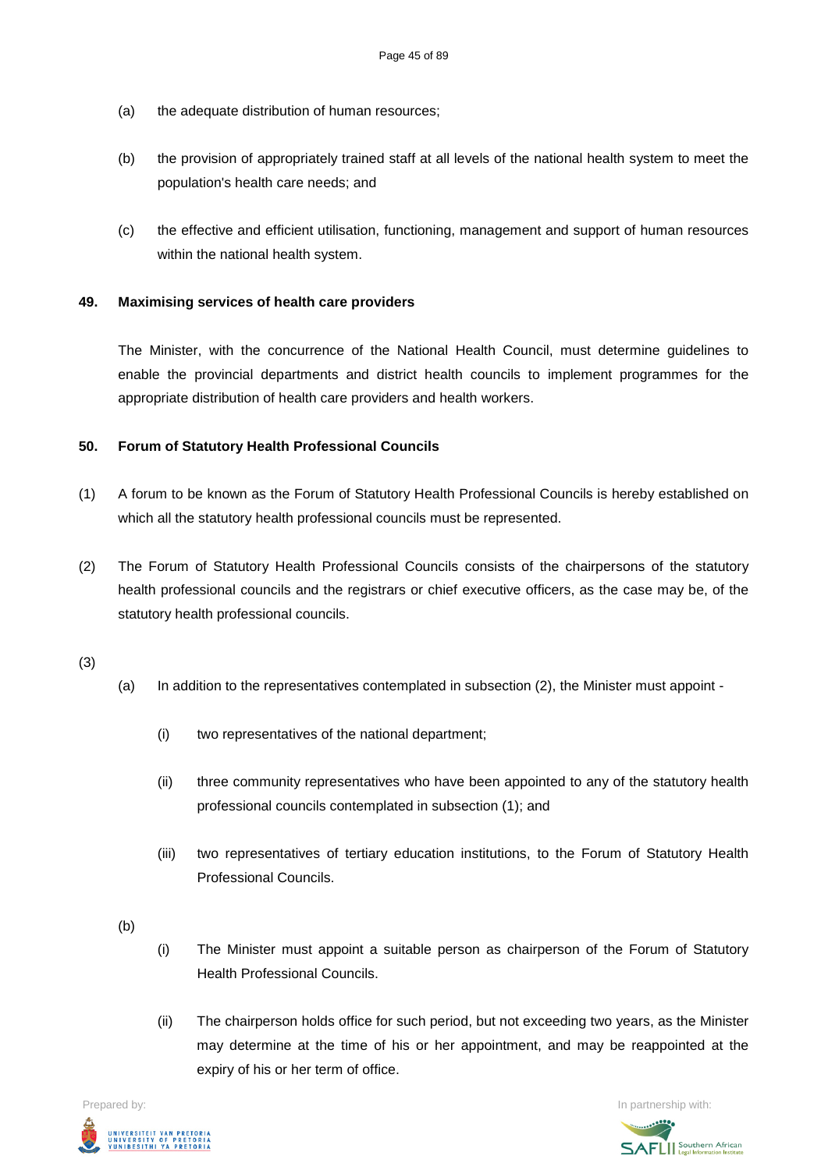- (a) the adequate distribution of human resources;
- (b) the provision of appropriately trained staff at all levels of the national health system to meet the population's health care needs; and
- (c) the effective and efficient utilisation, functioning, management and support of human resources within the national health system.

# **49. Maximising services of health care providers**

The Minister, with the concurrence of the National Health Council, must determine guidelines to enable the provincial departments and district health councils to implement programmes for the appropriate distribution of health care providers and health workers.

### **50. Forum of Statutory Health Professional Councils**

- (1) A forum to be known as the Forum of Statutory Health Professional Councils is hereby established on which all the statutory health professional councils must be represented.
- (2) The Forum of Statutory Health Professional Councils consists of the chairpersons of the statutory health professional councils and the registrars or chief executive officers, as the case may be, of the statutory health professional councils.

(3)

- (a) In addition to the representatives contemplated in subsection (2), the Minister must appoint
	- (i) two representatives of the national department;
	- (ii) three community representatives who have been appointed to any of the statutory health professional councils contemplated in subsection (1); and
	- (iii) two representatives of tertiary education institutions, to the Forum of Statutory Health Professional Councils.

(b)

- (i) The Minister must appoint a suitable person as chairperson of the Forum of Statutory Health Professional Councils.
- (ii) The chairperson holds office for such period, but not exceeding two years, as the Minister may determine at the time of his or her appointment, and may be reappointed at the expiry of his or her term of office.



Prepared by: In partnership with:**SAFLI** Southern African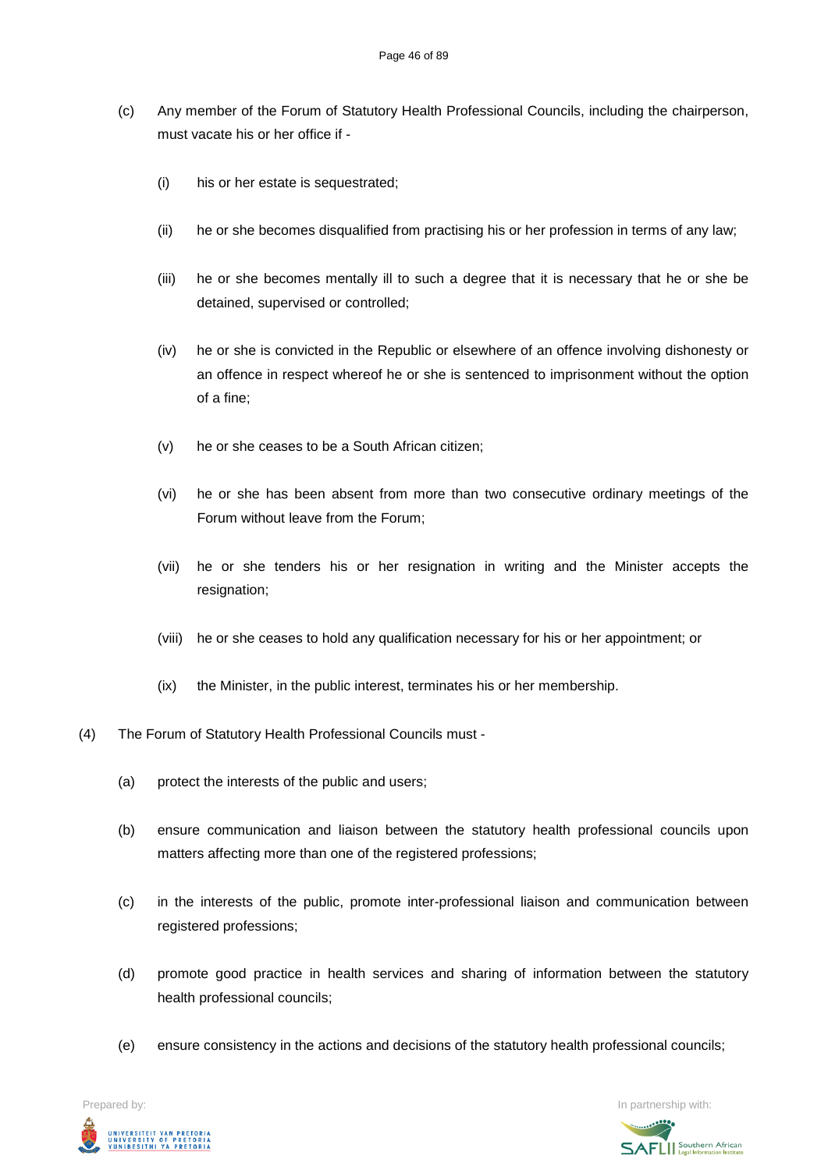- (c) Any member of the Forum of Statutory Health Professional Councils, including the chairperson, must vacate his or her office if -
	- (i) his or her estate is sequestrated;
	- (ii) he or she becomes disqualified from practising his or her profession in terms of any law;
	- (iii) he or she becomes mentally ill to such a degree that it is necessary that he or she be detained, supervised or controlled;
	- (iv) he or she is convicted in the Republic or elsewhere of an offence involving dishonesty or an offence in respect whereof he or she is sentenced to imprisonment without the option of a fine;
	- (v) he or she ceases to be a South African citizen;
	- (vi) he or she has been absent from more than two consecutive ordinary meetings of the Forum without leave from the Forum;
	- (vii) he or she tenders his or her resignation in writing and the Minister accepts the resignation;
	- (viii) he or she ceases to hold any qualification necessary for his or her appointment; or
	- (ix) the Minister, in the public interest, terminates his or her membership.
- (4) The Forum of Statutory Health Professional Councils must
	- (a) protect the interests of the public and users;
	- (b) ensure communication and liaison between the statutory health professional councils upon matters affecting more than one of the registered professions;
	- (c) in the interests of the public, promote inter-professional liaison and communication between registered professions;
	- (d) promote good practice in health services and sharing of information between the statutory health professional councils;
	- (e) ensure consistency in the actions and decisions of the statutory health professional councils;

UNIVERSITEIT VAN PRETORIA<br>UNIVERSITY OF PRETORIA<br>YUNIBESITHI YA PRETORIA

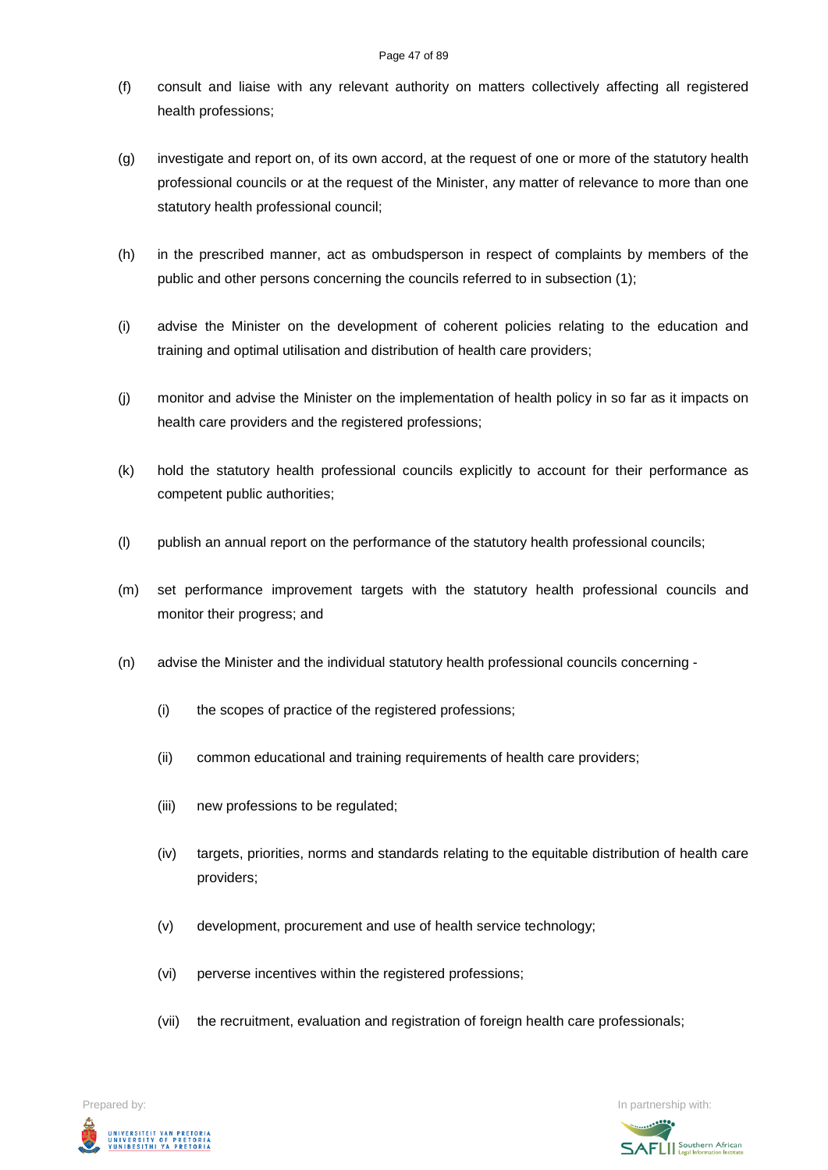- (f) consult and liaise with any relevant authority on matters collectively affecting all registered health professions;
- (g) investigate and report on, of its own accord, at the request of one or more of the statutory health professional councils or at the request of the Minister, any matter of relevance to more than one statutory health professional council;
- (h) in the prescribed manner, act as ombudsperson in respect of complaints by members of the public and other persons concerning the councils referred to in subsection (1);
- (i) advise the Minister on the development of coherent policies relating to the education and training and optimal utilisation and distribution of health care providers;
- (j) monitor and advise the Minister on the implementation of health policy in so far as it impacts on health care providers and the registered professions;
- (k) hold the statutory health professional councils explicitly to account for their performance as competent public authorities;
- (l) publish an annual report on the performance of the statutory health professional councils;
- (m) set performance improvement targets with the statutory health professional councils and monitor their progress; and
- (n) advise the Minister and the individual statutory health professional councils concerning
	- (i) the scopes of practice of the registered professions;
	- (ii) common educational and training requirements of health care providers;
	- (iii) new professions to be regulated;
	- (iv) targets, priorities, norms and standards relating to the equitable distribution of health care providers;
	- (v) development, procurement and use of health service technology;
	- (vi) perverse incentives within the registered professions;
	- (vii) the recruitment, evaluation and registration of foreign health care professionals;

Prepared by: In partnership with:  $\blacksquare$  is the partnership with:  $\blacksquare$  is the partnership with:  $\blacksquare$ UNIVERSITEIT VAN PRETORIA<br>UNIVERSITY OF PRETORIA<br>YUNIBESITHI YA PRETORIA

**SAFLI** Southern African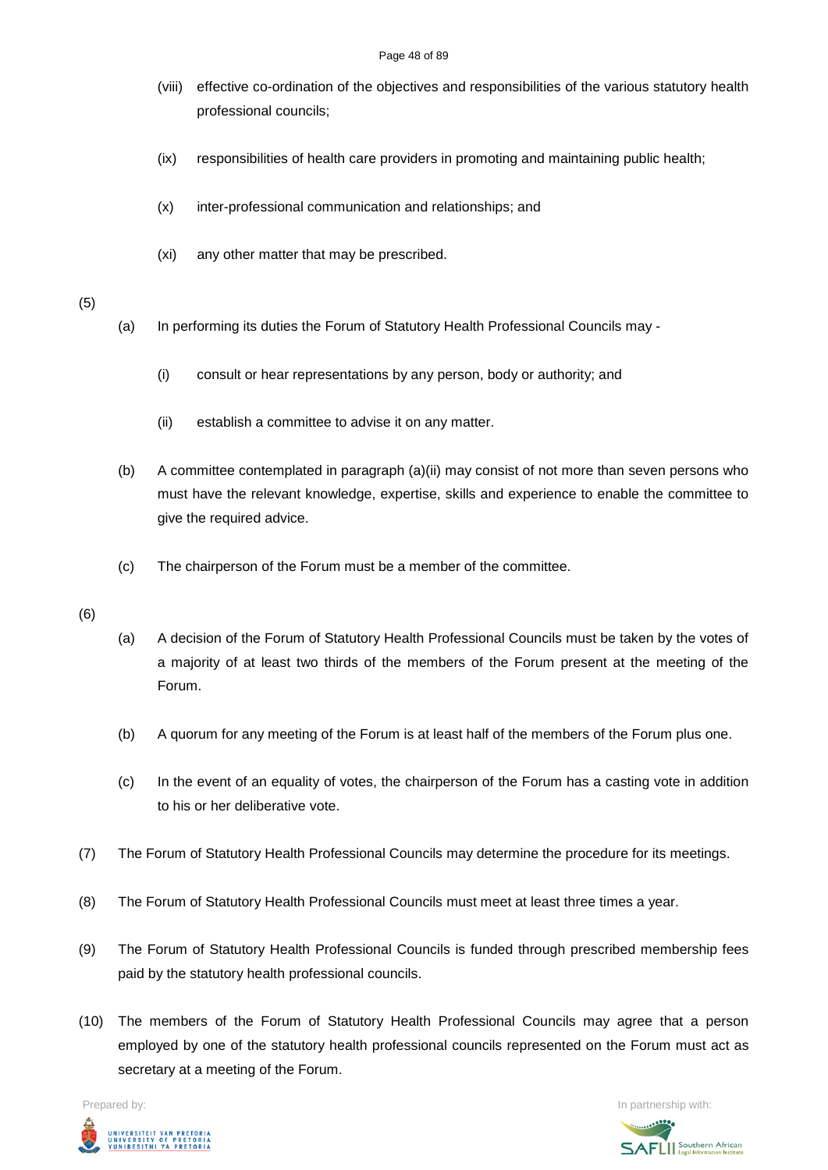#### Page 48 of 89

- (viii) effective co-ordination of the objectives and responsibilities of the various statutory health professional councils;
- (ix) responsibilities of health care providers in promoting and maintaining public health;
- (x) inter-professional communication and relationships; and
- (xi) any other matter that may be prescribed.

# (5)

- (a) In performing its duties the Forum of Statutory Health Professional Councils may
	- (i) consult or hear representations by any person, body or authority; and
	- (ii) establish a committee to advise it on any matter.
- (b) A committee contemplated in paragraph (a)(ii) may consist of not more than seven persons who must have the relevant knowledge, expertise, skills and experience to enable the committee to give the required advice.
- (c) The chairperson of the Forum must be a member of the committee.

### (6)

- (a) A decision of the Forum of Statutory Health Professional Councils must be taken by the votes of a majority of at least two thirds of the members of the Forum present at the meeting of the Forum.
- (b) A quorum for any meeting of the Forum is at least half of the members of the Forum plus one.
- (c) In the event of an equality of votes, the chairperson of the Forum has a casting vote in addition to his or her deliberative vote.
- (7) The Forum of Statutory Health Professional Councils may determine the procedure for its meetings.
- (8) The Forum of Statutory Health Professional Councils must meet at least three times a year.
- (9) The Forum of Statutory Health Professional Councils is funded through prescribed membership fees paid by the statutory health professional councils.
- (10) The members of the Forum of Statutory Health Professional Councils may agree that a person employed by one of the statutory health professional councils represented on the Forum must act as secretary at a meeting of the Forum.



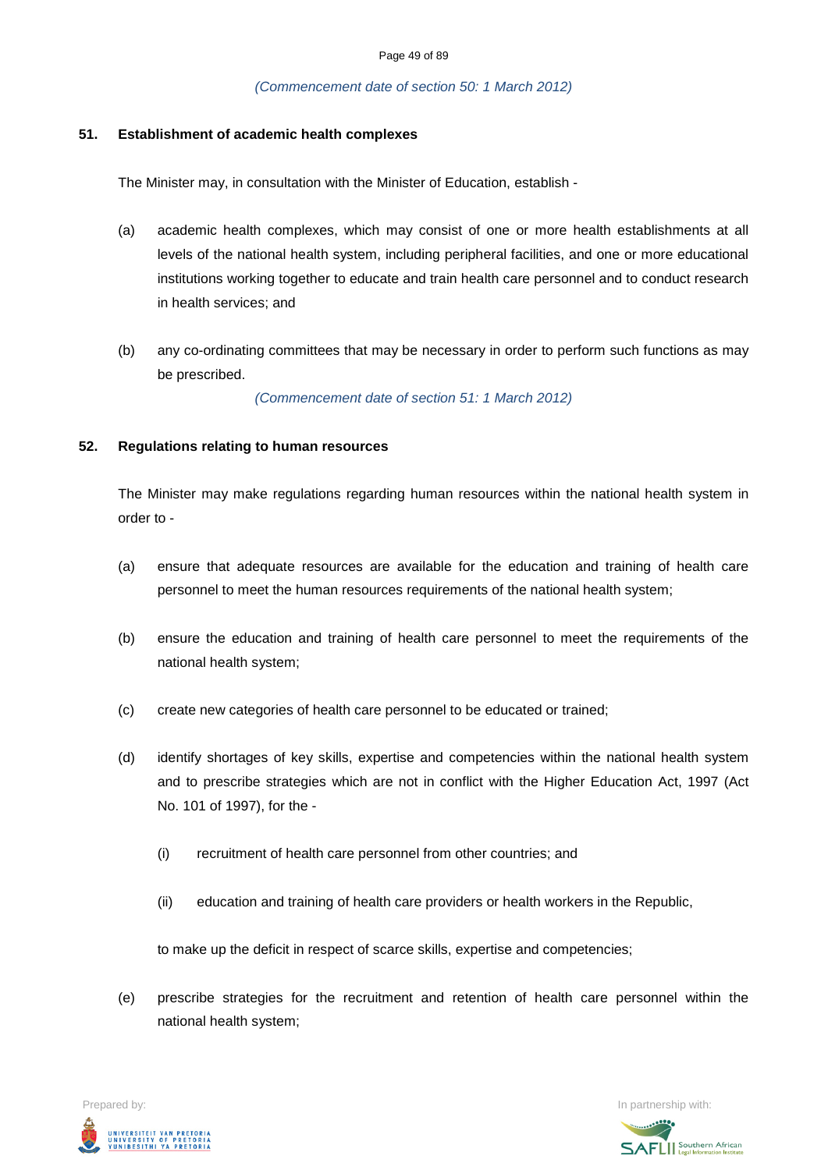### *(Commencement date of section 50: 1 March 2012)*

### **51. Establishment of academic health complexes**

The Minister may, in consultation with the Minister of Education, establish -

- (a) academic health complexes, which may consist of one or more health establishments at all levels of the national health system, including peripheral facilities, and one or more educational institutions working together to educate and train health care personnel and to conduct research in health services; and
- (b) any co-ordinating committees that may be necessary in order to perform such functions as may be prescribed.

*(Commencement date of section 51: 1 March 2012)*

### **52. Regulations relating to human resources**

The Minister may make regulations regarding human resources within the national health system in order to -

- (a) ensure that adequate resources are available for the education and training of health care personnel to meet the human resources requirements of the national health system;
- (b) ensure the education and training of health care personnel to meet the requirements of the national health system;
- (c) create new categories of health care personnel to be educated or trained;
- (d) identify shortages of key skills, expertise and competencies within the national health system and to prescribe strategies which are not in conflict with the Higher Education Act, 1997 (Act No. 101 of 1997), for the -
	- (i) recruitment of health care personnel from other countries; and
	- (ii) education and training of health care providers or health workers in the Republic,

to make up the deficit in respect of scarce skills, expertise and competencies;

(e) prescribe strategies for the recruitment and retention of health care personnel within the national health system;

Prepared by: In partnership with:  $\blacksquare$  is the partnership with:  $\blacksquare$  is the partnership with:  $\blacksquare$ UNIVERSITEIT VAN PRETORIA<br>UNIVERSITY OF PRETORIA<br>YUNIBESITHI YA PRETORIA

**SAFLI** Southern African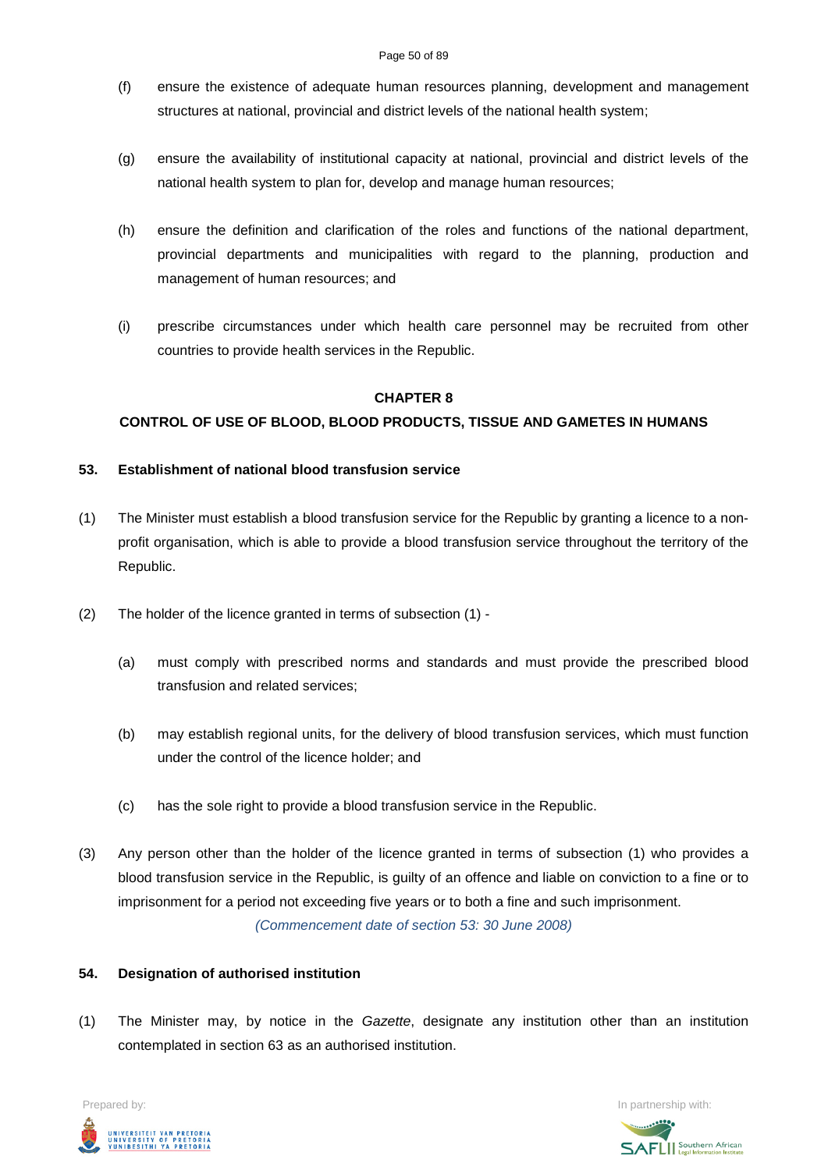- (f) ensure the existence of adequate human resources planning, development and management structures at national, provincial and district levels of the national health system;
- (g) ensure the availability of institutional capacity at national, provincial and district levels of the national health system to plan for, develop and manage human resources;
- (h) ensure the definition and clarification of the roles and functions of the national department, provincial departments and municipalities with regard to the planning, production and management of human resources; and
- (i) prescribe circumstances under which health care personnel may be recruited from other countries to provide health services in the Republic.

# **CHAPTER 8**

# **CONTROL OF USE OF BLOOD, BLOOD PRODUCTS, TISSUE AND GAMETES IN HUMANS**

### **53. Establishment of national blood transfusion service**

- (1) The Minister must establish a blood transfusion service for the Republic by granting a licence to a nonprofit organisation, which is able to provide a blood transfusion service throughout the territory of the Republic.
- (2) The holder of the licence granted in terms of subsection (1)
	- (a) must comply with prescribed norms and standards and must provide the prescribed blood transfusion and related services;
	- (b) may establish regional units, for the delivery of blood transfusion services, which must function under the control of the licence holder; and
	- (c) has the sole right to provide a blood transfusion service in the Republic.
- (3) Any person other than the holder of the licence granted in terms of subsection (1) who provides a blood transfusion service in the Republic, is guilty of an offence and liable on conviction to a fine or to imprisonment for a period not exceeding five years or to both a fine and such imprisonment.

*(Commencement date of section 53: 30 June 2008)*

### **54. Designation of authorised institution**

(1) The Minister may, by notice in the *Gazette*, designate any institution other than an institution contemplated in section 63 as an authorised institution.

Prepared by: In partnership with:  $\blacksquare$  is the partnership with:  $\blacksquare$  is the partnership with:  $\blacksquare$ UNIVERSITEIT VAN PRETORIA<br>UNIVERSITY OF PRETORIA<br>YUNIBESITHI YA PRETORIA

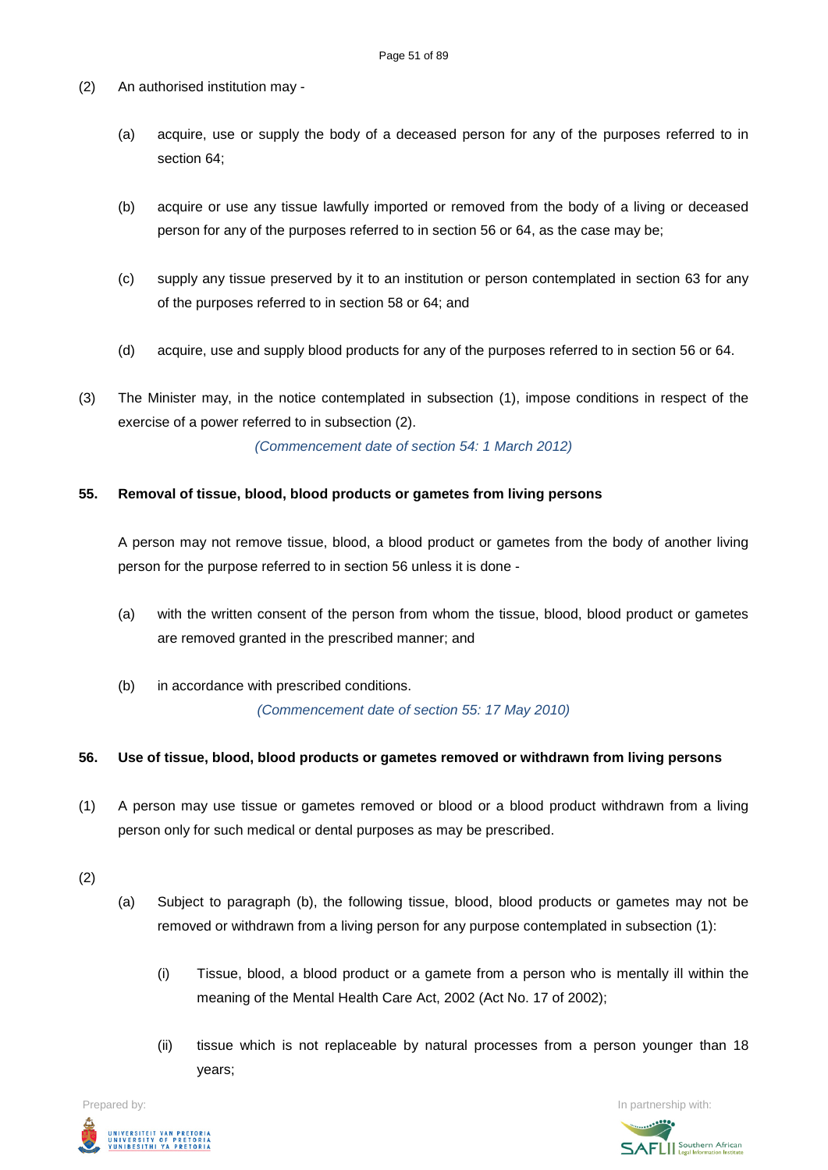- (2) An authorised institution may
	- (a) acquire, use or supply the body of a deceased person for any of the purposes referred to in section 64;
	- (b) acquire or use any tissue lawfully imported or removed from the body of a living or deceased person for any of the purposes referred to in section 56 or 64, as the case may be;
	- (c) supply any tissue preserved by it to an institution or person contemplated in section 63 for any of the purposes referred to in section 58 or 64; and
	- (d) acquire, use and supply blood products for any of the purposes referred to in section 56 or 64.
- (3) The Minister may, in the notice contemplated in subsection (1), impose conditions in respect of the exercise of a power referred to in subsection (2).

*(Commencement date of section 54: 1 March 2012)*

# **55. Removal of tissue, blood, blood products or gametes from living persons**

A person may not remove tissue, blood, a blood product or gametes from the body of another living person for the purpose referred to in section 56 unless it is done -

- (a) with the written consent of the person from whom the tissue, blood, blood product or gametes are removed granted in the prescribed manner; and
- (b) in accordance with prescribed conditions. *(Commencement date of section 55: 17 May 2010)*

### **56. Use of tissue, blood, blood products or gametes removed or withdrawn from living persons**

- (1) A person may use tissue or gametes removed or blood or a blood product withdrawn from a living person only for such medical or dental purposes as may be prescribed.
- (2)
- (a) Subject to paragraph (b), the following tissue, blood, blood products or gametes may not be removed or withdrawn from a living person for any purpose contemplated in subsection (1):
	- (i) Tissue, blood, a blood product or a gamete from a person who is mentally ill within the meaning of the Mental Health Care Act, 2002 (Act No. 17 of 2002);
	- (ii) tissue which is not replaceable by natural processes from a person younger than 18 years;



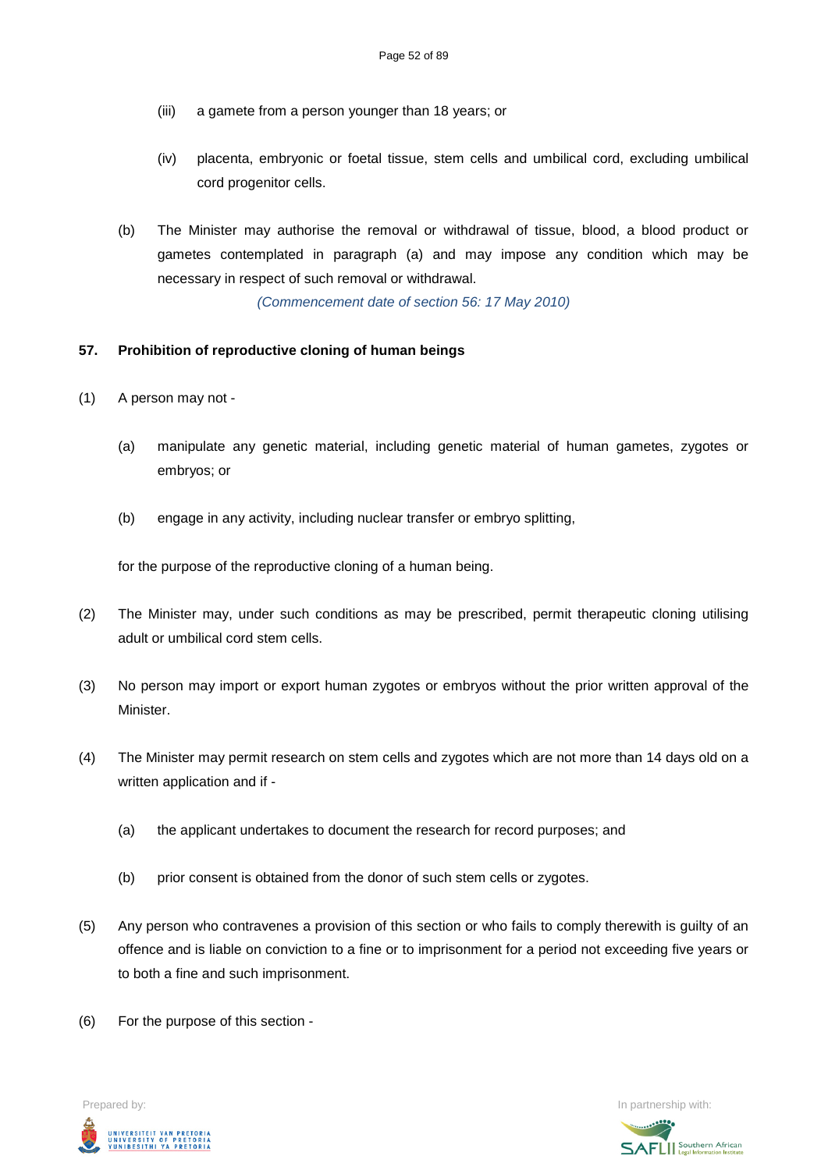- (iii) a gamete from a person younger than 18 years; or
- (iv) placenta, embryonic or foetal tissue, stem cells and umbilical cord, excluding umbilical cord progenitor cells.
- (b) The Minister may authorise the removal or withdrawal of tissue, blood, a blood product or gametes contemplated in paragraph (a) and may impose any condition which may be necessary in respect of such removal or withdrawal.

*(Commencement date of section 56: 17 May 2010)*

# **57. Prohibition of reproductive cloning of human beings**

- (1) A person may not
	- (a) manipulate any genetic material, including genetic material of human gametes, zygotes or embryos; or
	- (b) engage in any activity, including nuclear transfer or embryo splitting,

for the purpose of the reproductive cloning of a human being.

- (2) The Minister may, under such conditions as may be prescribed, permit therapeutic cloning utilising adult or umbilical cord stem cells.
- (3) No person may import or export human zygotes or embryos without the prior written approval of the **Minister**
- (4) The Minister may permit research on stem cells and zygotes which are not more than 14 days old on a written application and if -
	- (a) the applicant undertakes to document the research for record purposes; and
	- (b) prior consent is obtained from the donor of such stem cells or zygotes.
- (5) Any person who contravenes a provision of this section or who fails to comply therewith is guilty of an offence and is liable on conviction to a fine or to imprisonment for a period not exceeding five years or to both a fine and such imprisonment.
- (6) For the purpose of this section -



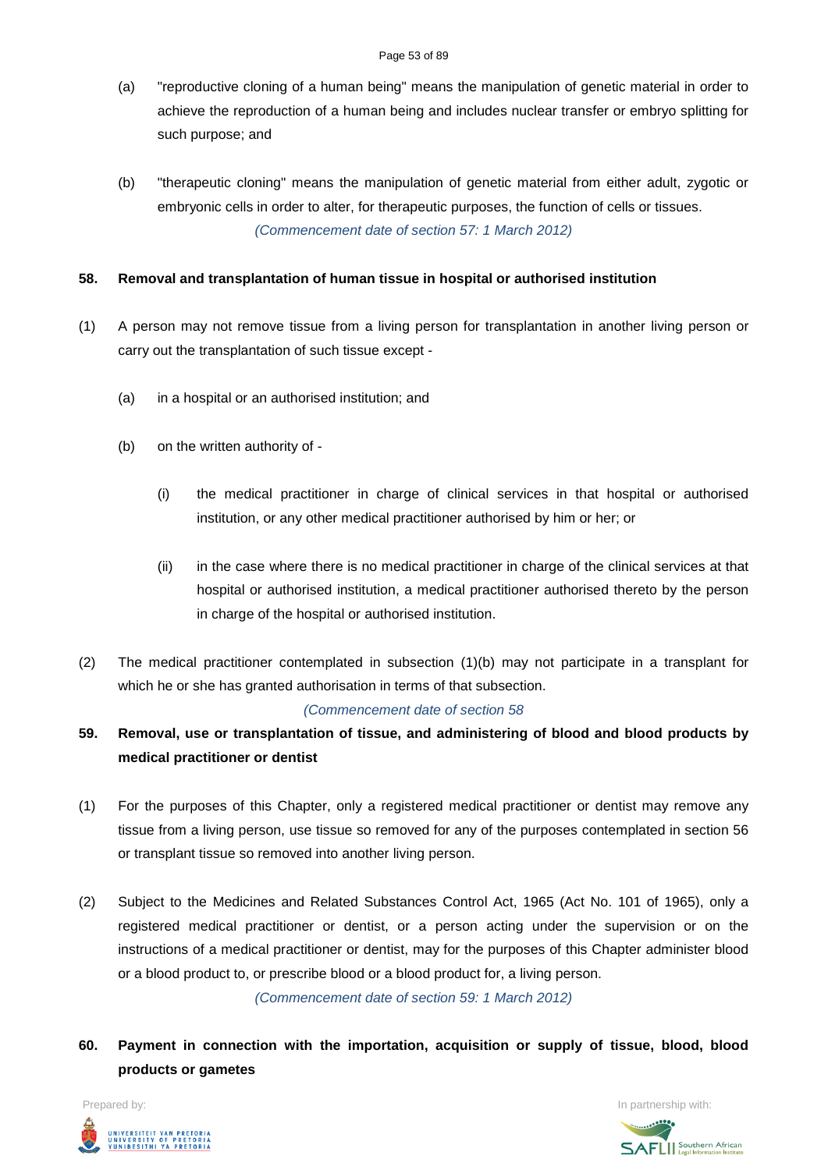- (a) "reproductive cloning of a human being" means the manipulation of genetic material in order to achieve the reproduction of a human being and includes nuclear transfer or embryo splitting for such purpose; and
- (b) "therapeutic cloning" means the manipulation of genetic material from either adult, zygotic or embryonic cells in order to alter, for therapeutic purposes, the function of cells or tissues. *(Commencement date of section 57: 1 March 2012)*

# **58. Removal and transplantation of human tissue in hospital or authorised institution**

- (1) A person may not remove tissue from a living person for transplantation in another living person or carry out the transplantation of such tissue except -
	- (a) in a hospital or an authorised institution; and
	- (b) on the written authority of
		- (i) the medical practitioner in charge of clinical services in that hospital or authorised institution, or any other medical practitioner authorised by him or her; or
		- (ii) in the case where there is no medical practitioner in charge of the clinical services at that hospital or authorised institution, a medical practitioner authorised thereto by the person in charge of the hospital or authorised institution.
- (2) The medical practitioner contemplated in subsection (1)(b) may not participate in a transplant for which he or she has granted authorisation in terms of that subsection.

### *(Commencement date of section 58*

- **59. Removal, use or transplantation of tissue, and administering of blood and blood products by medical practitioner or dentist**
- (1) For the purposes of this Chapter, only a registered medical practitioner or dentist may remove any tissue from a living person, use tissue so removed for any of the purposes contemplated in section 56 or transplant tissue so removed into another living person.
- (2) Subject to the Medicines and Related Substances Control Act, 1965 (Act No. 101 of 1965), only a registered medical practitioner or dentist, or a person acting under the supervision or on the instructions of a medical practitioner or dentist, may for the purposes of this Chapter administer blood or a blood product to, or prescribe blood or a blood product for, a living person.

*(Commencement date of section 59: 1 March 2012)*

**60. Payment in connection with the importation, acquisition or supply of tissue, blood, blood products or gametes**

Prepared by: In partnership with:UNIVERSITEIT VAN PRETORIA<br>UNIVERSITY OF PRETORIA<br>YUNIBESITHI YA PRETORIA

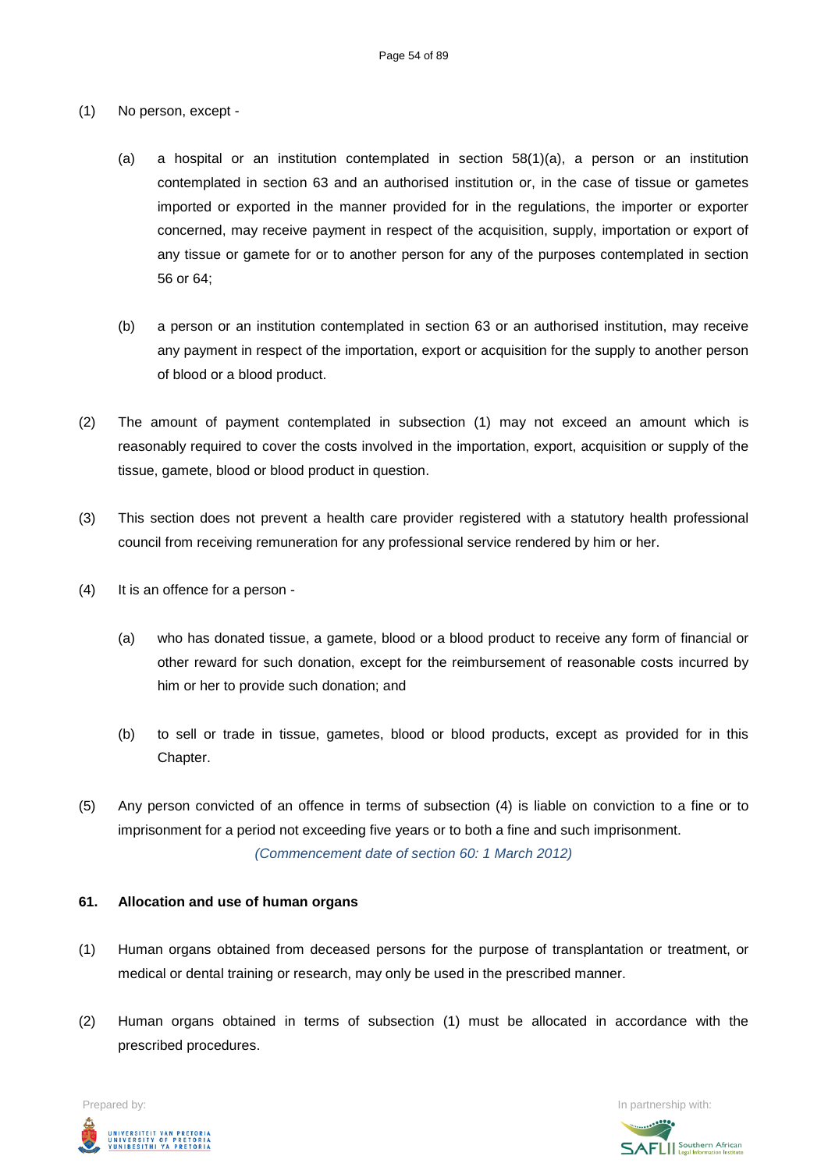- (1) No person, except
	- (a) a hospital or an institution contemplated in section 58(1)(a), a person or an institution contemplated in section 63 and an authorised institution or, in the case of tissue or gametes imported or exported in the manner provided for in the regulations, the importer or exporter concerned, may receive payment in respect of the acquisition, supply, importation or export of any tissue or gamete for or to another person for any of the purposes contemplated in section 56 or 64;
	- (b) a person or an institution contemplated in section 63 or an authorised institution, may receive any payment in respect of the importation, export or acquisition for the supply to another person of blood or a blood product.
- (2) The amount of payment contemplated in subsection (1) may not exceed an amount which is reasonably required to cover the costs involved in the importation, export, acquisition or supply of the tissue, gamete, blood or blood product in question.
- (3) This section does not prevent a health care provider registered with a statutory health professional council from receiving remuneration for any professional service rendered by him or her.
- (4) It is an offence for a person
	- (a) who has donated tissue, a gamete, blood or a blood product to receive any form of financial or other reward for such donation, except for the reimbursement of reasonable costs incurred by him or her to provide such donation; and
	- (b) to sell or trade in tissue, gametes, blood or blood products, except as provided for in this Chapter.
- (5) Any person convicted of an offence in terms of subsection (4) is liable on conviction to a fine or to imprisonment for a period not exceeding five years or to both a fine and such imprisonment. *(Commencement date of section 60: 1 March 2012)*

### **61. Allocation and use of human organs**

- (1) Human organs obtained from deceased persons for the purpose of transplantation or treatment, or medical or dental training or research, may only be used in the prescribed manner.
- (2) Human organs obtained in terms of subsection (1) must be allocated in accordance with the prescribed procedures.

Prepared by: In partnership with:UNIVERSITEIT VAN PRETORIA<br>UNIVERSITY OF PRETORIA<br>YUNIBESITHI YA PRETORIA

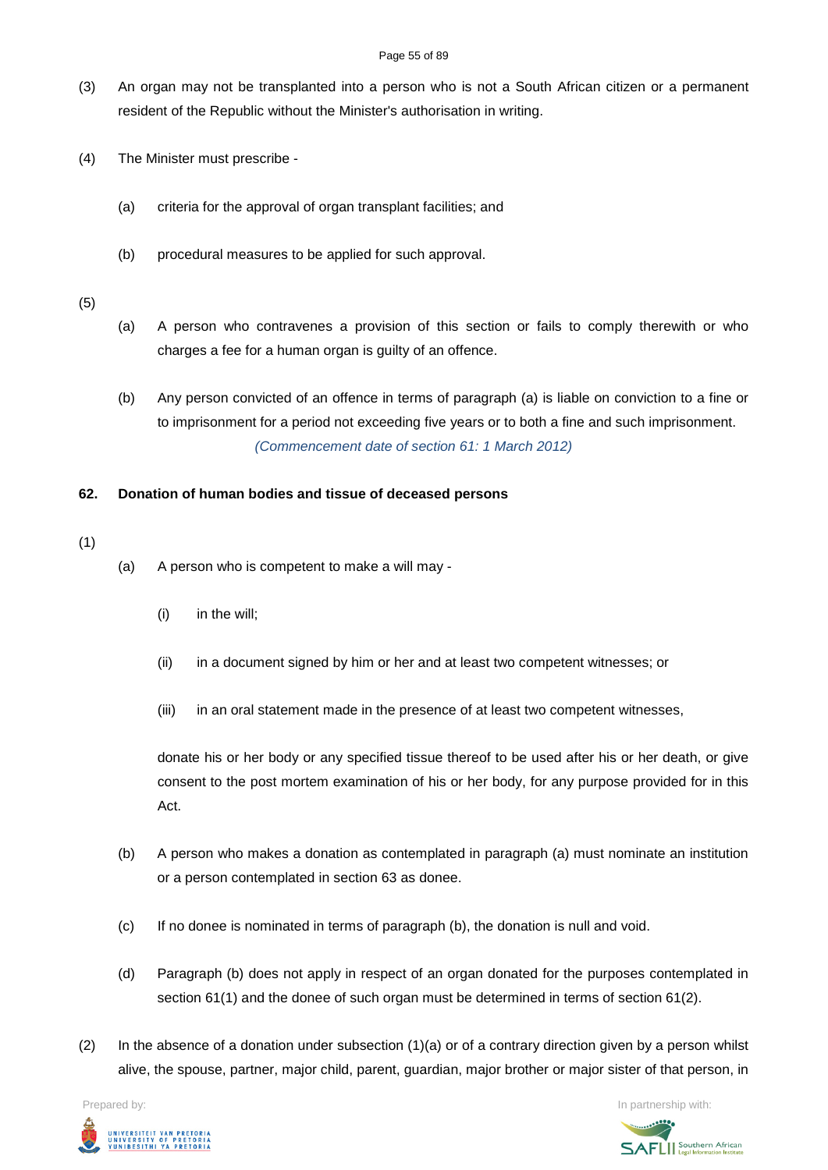#### Page 55 of 89

- (3) An organ may not be transplanted into a person who is not a South African citizen or a permanent resident of the Republic without the Minister's authorisation in writing.
- (4) The Minister must prescribe
	- (a) criteria for the approval of organ transplant facilities; and
	- (b) procedural measures to be applied for such approval.

# (5)

- (a) A person who contravenes a provision of this section or fails to comply therewith or who charges a fee for a human organ is guilty of an offence.
- (b) Any person convicted of an offence in terms of paragraph (a) is liable on conviction to a fine or to imprisonment for a period not exceeding five years or to both a fine and such imprisonment. *(Commencement date of section 61: 1 March 2012)*

# **62. Donation of human bodies and tissue of deceased persons**

# (1)

- (a) A person who is competent to make a will may
	- (i) in the will;
	- (ii) in a document signed by him or her and at least two competent witnesses; or
	- (iii) in an oral statement made in the presence of at least two competent witnesses,

donate his or her body or any specified tissue thereof to be used after his or her death, or give consent to the post mortem examination of his or her body, for any purpose provided for in this Act.

- (b) A person who makes a donation as contemplated in paragraph (a) must nominate an institution or a person contemplated in section 63 as donee.
- (c) If no donee is nominated in terms of paragraph (b), the donation is null and void.
- (d) Paragraph (b) does not apply in respect of an organ donated for the purposes contemplated in section 61(1) and the donee of such organ must be determined in terms of section 61(2).
- (2) In the absence of a donation under subsection  $(1)(a)$  or of a contrary direction given by a person whilst alive, the spouse, partner, major child, parent, guardian, major brother or major sister of that person, in



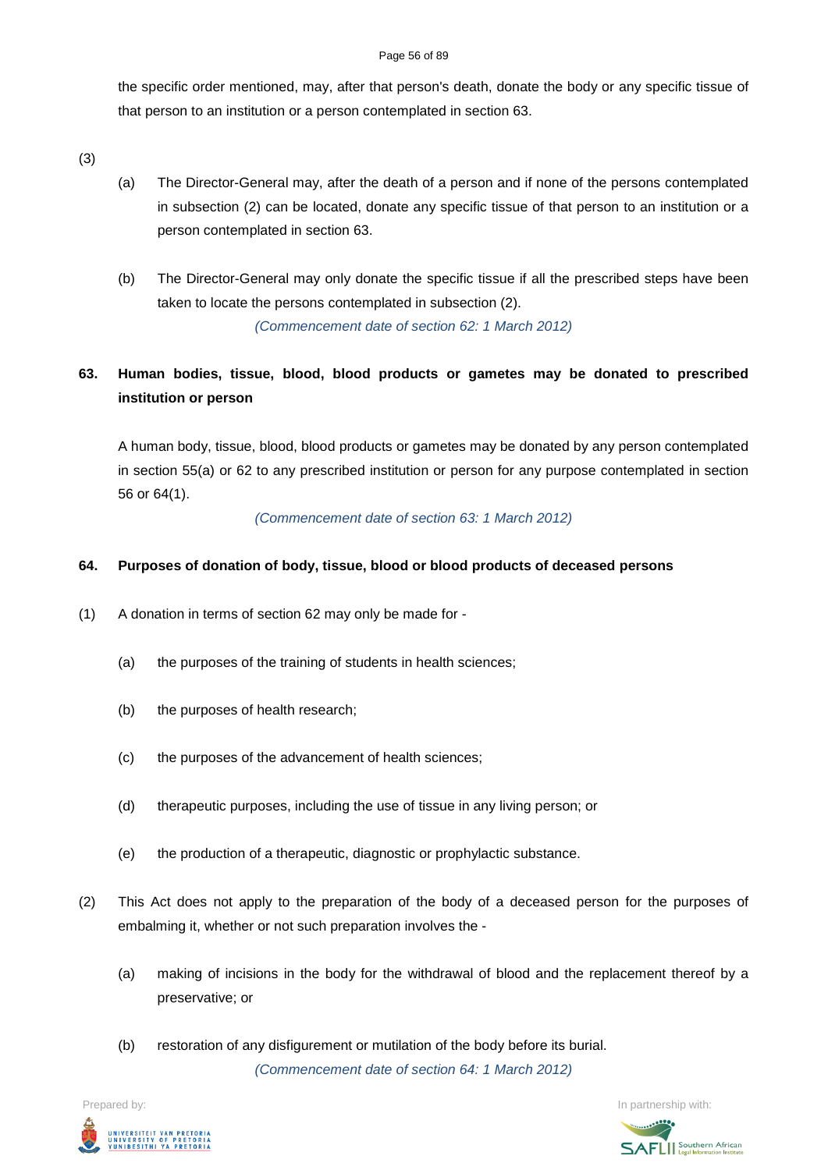#### Page 56 of 89

the specific order mentioned, may, after that person's death, donate the body or any specific tissue of that person to an institution or a person contemplated in section 63.

(3)

- (a) The Director-General may, after the death of a person and if none of the persons contemplated in subsection (2) can be located, donate any specific tissue of that person to an institution or a person contemplated in section 63.
- (b) The Director-General may only donate the specific tissue if all the prescribed steps have been taken to locate the persons contemplated in subsection (2).

*(Commencement date of section 62: 1 March 2012)*

# **63. Human bodies, tissue, blood, blood products or gametes may be donated to prescribed institution or person**

A human body, tissue, blood, blood products or gametes may be donated by any person contemplated in section 55(a) or 62 to any prescribed institution or person for any purpose contemplated in section 56 or 64(1).

*(Commencement date of section 63: 1 March 2012)*

# **64. Purposes of donation of body, tissue, blood or blood products of deceased persons**

- (1) A donation in terms of section 62 may only be made for
	- (a) the purposes of the training of students in health sciences;
	- (b) the purposes of health research;
	- (c) the purposes of the advancement of health sciences;
	- (d) therapeutic purposes, including the use of tissue in any living person; or
	- (e) the production of a therapeutic, diagnostic or prophylactic substance.
- (2) This Act does not apply to the preparation of the body of a deceased person for the purposes of embalming it, whether or not such preparation involves the -
	- (a) making of incisions in the body for the withdrawal of blood and the replacement thereof by a preservative; or
	- (b) restoration of any disfigurement or mutilation of the body before its burial. *(Commencement date of section 64: 1 March 2012)*



Prepared by: **In partnership with:**  $\blacksquare$  **In partnership with:**  $\blacksquare$  **In partnership with:**  $\blacksquare$ 

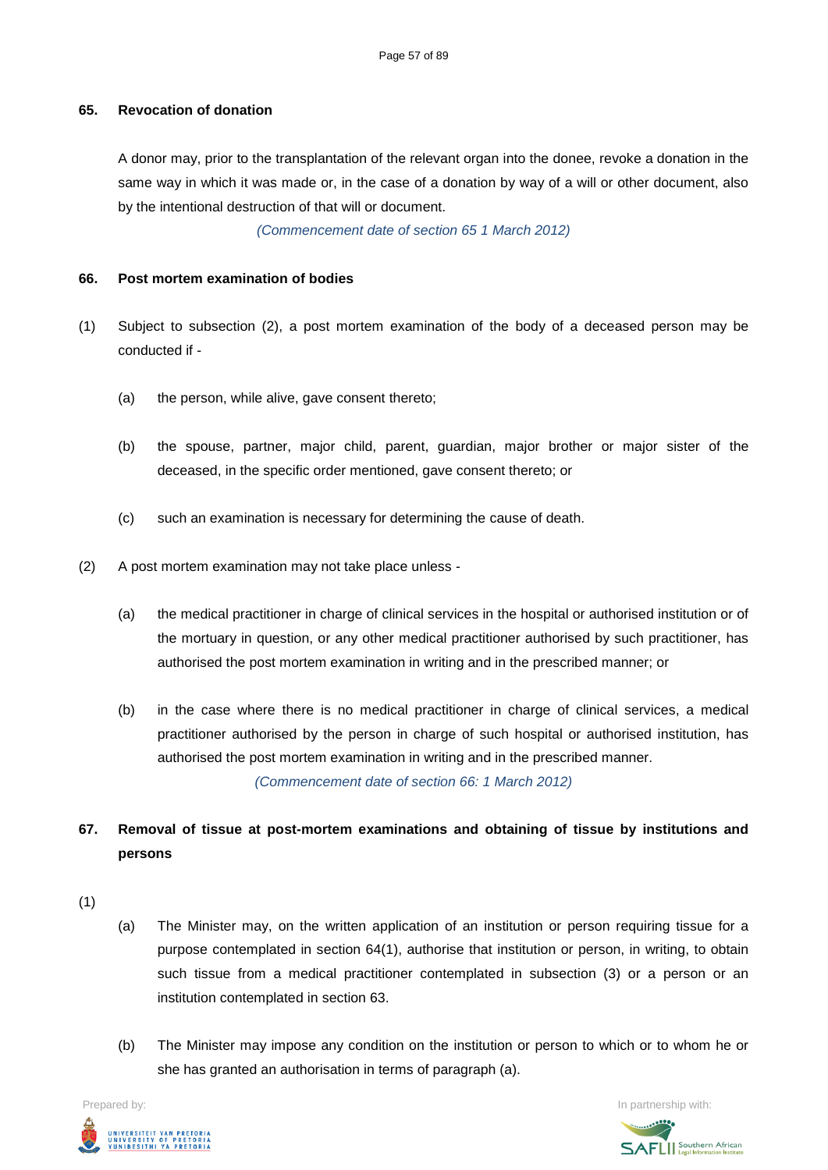# **65. Revocation of donation**

A donor may, prior to the transplantation of the relevant organ into the donee, revoke a donation in the same way in which it was made or, in the case of a donation by way of a will or other document, also by the intentional destruction of that will or document.

*(Commencement date of section 65 1 March 2012)*

# **66. Post mortem examination of bodies**

- (1) Subject to subsection (2), a post mortem examination of the body of a deceased person may be conducted if -
	- (a) the person, while alive, gave consent thereto;
	- (b) the spouse, partner, major child, parent, guardian, major brother or major sister of the deceased, in the specific order mentioned, gave consent thereto; or
	- (c) such an examination is necessary for determining the cause of death.
- (2) A post mortem examination may not take place unless
	- (a) the medical practitioner in charge of clinical services in the hospital or authorised institution or of the mortuary in question, or any other medical practitioner authorised by such practitioner, has authorised the post mortem examination in writing and in the prescribed manner; or
	- (b) in the case where there is no medical practitioner in charge of clinical services, a medical practitioner authorised by the person in charge of such hospital or authorised institution, has authorised the post mortem examination in writing and in the prescribed manner. *(Commencement date of section 66: 1 March 2012)*

**67. Removal of tissue at post-mortem examinations and obtaining of tissue by institutions and persons**

- (1)
- (a) The Minister may, on the written application of an institution or person requiring tissue for a purpose contemplated in section 64(1), authorise that institution or person, in writing, to obtain such tissue from a medical practitioner contemplated in subsection (3) or a person or an institution contemplated in section 63.
- (b) The Minister may impose any condition on the institution or person to which or to whom he or she has granted an authorisation in terms of paragraph (a).



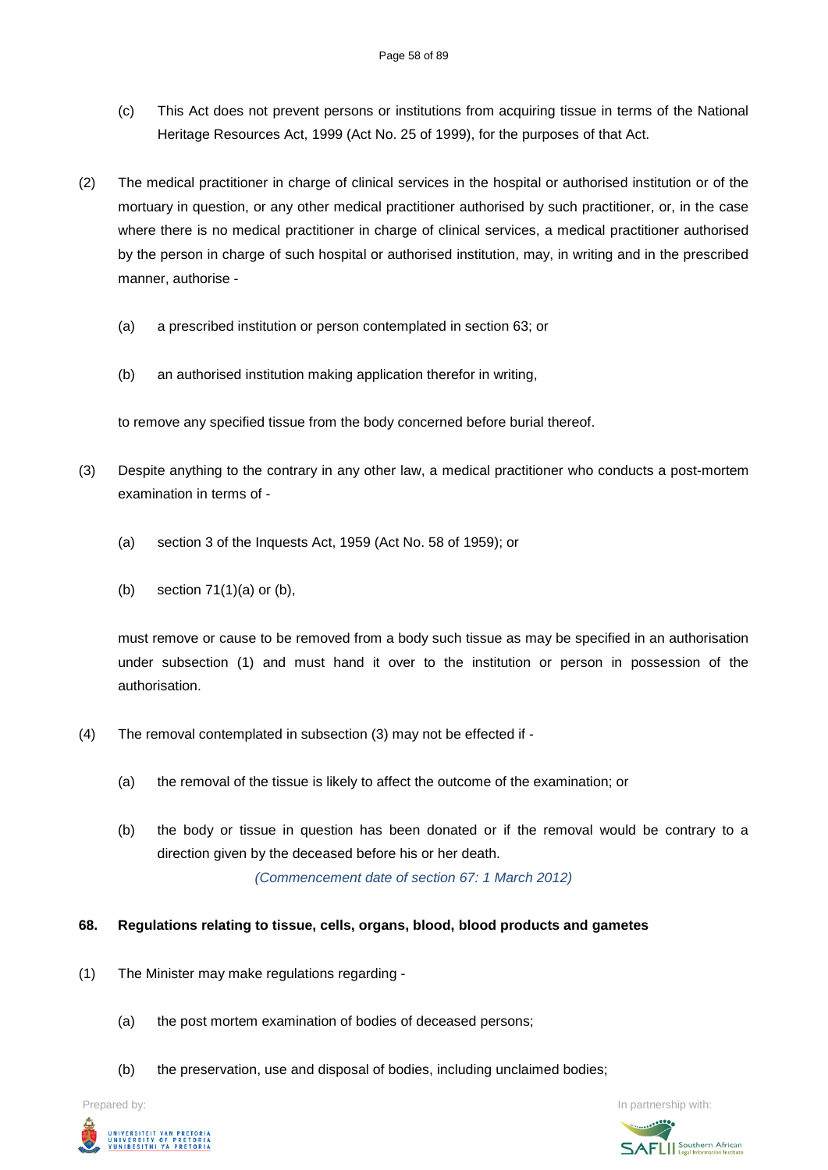- (c) This Act does not prevent persons or institutions from acquiring tissue in terms of the National Heritage Resources Act, 1999 (Act No. 25 of 1999), for the purposes of that Act.
- (2) The medical practitioner in charge of clinical services in the hospital or authorised institution or of the mortuary in question, or any other medical practitioner authorised by such practitioner, or, in the case where there is no medical practitioner in charge of clinical services, a medical practitioner authorised by the person in charge of such hospital or authorised institution, may, in writing and in the prescribed manner, authorise -
	- (a) a prescribed institution or person contemplated in section 63; or
	- (b) an authorised institution making application therefor in writing,

to remove any specified tissue from the body concerned before burial thereof.

- (3) Despite anything to the contrary in any other law, a medical practitioner who conducts a post-mortem examination in terms of -
	- (a) section 3 of the Inquests Act, 1959 (Act No. 58 of 1959); or
	- (b) section 71(1)(a) or (b),

must remove or cause to be removed from a body such tissue as may be specified in an authorisation under subsection (1) and must hand it over to the institution or person in possession of the authorisation.

- (4) The removal contemplated in subsection (3) may not be effected if
	- (a) the removal of the tissue is likely to affect the outcome of the examination; or
	- (b) the body or tissue in question has been donated or if the removal would be contrary to a direction given by the deceased before his or her death.

*(Commencement date of section 67: 1 March 2012)*

# **68. Regulations relating to tissue, cells, organs, blood, blood products and gametes**

- (1) The Minister may make regulations regarding
	- (a) the post mortem examination of bodies of deceased persons;
	- (b) the preservation, use and disposal of bodies, including unclaimed bodies;

Prepared by: In partnership with:



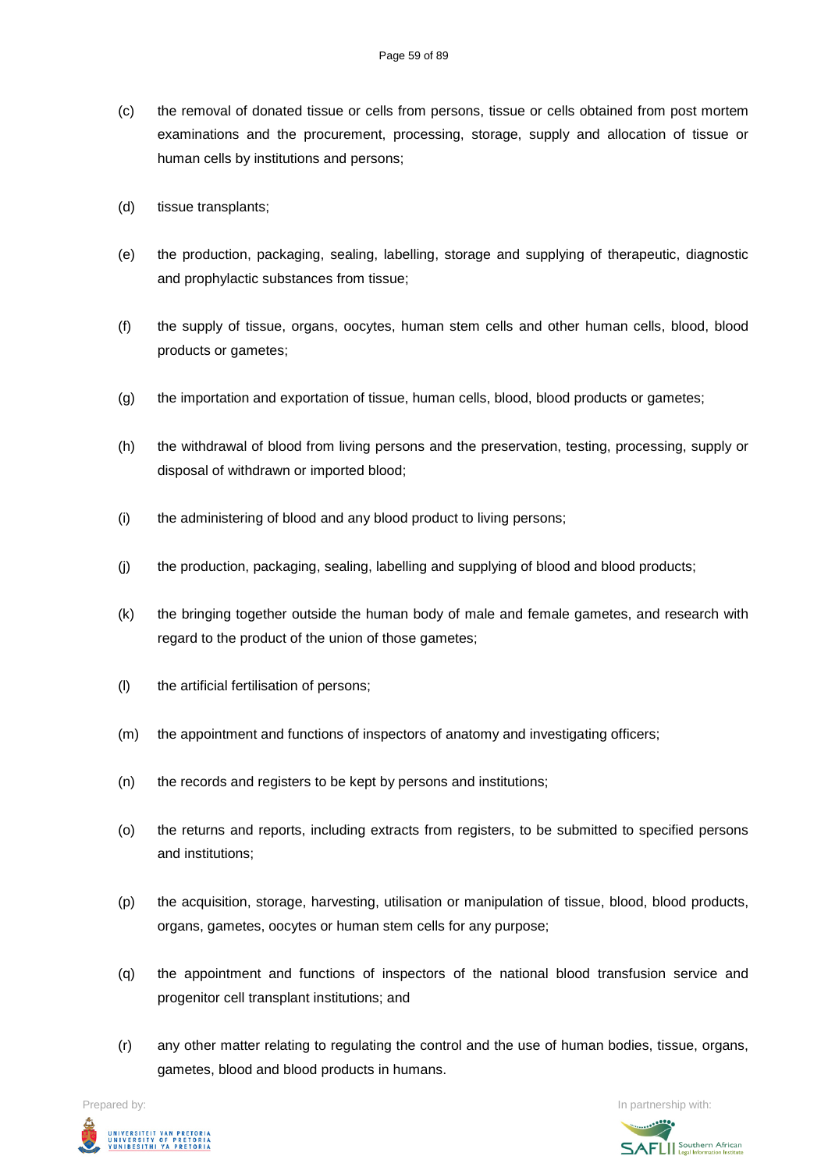- (c) the removal of donated tissue or cells from persons, tissue or cells obtained from post mortem examinations and the procurement, processing, storage, supply and allocation of tissue or human cells by institutions and persons;
- (d) tissue transplants;
- (e) the production, packaging, sealing, labelling, storage and supplying of therapeutic, diagnostic and prophylactic substances from tissue;
- (f) the supply of tissue, organs, oocytes, human stem cells and other human cells, blood, blood products or gametes;
- (g) the importation and exportation of tissue, human cells, blood, blood products or gametes;
- (h) the withdrawal of blood from living persons and the preservation, testing, processing, supply or disposal of withdrawn or imported blood;
- (i) the administering of blood and any blood product to living persons;
- (j) the production, packaging, sealing, labelling and supplying of blood and blood products;
- (k) the bringing together outside the human body of male and female gametes, and research with regard to the product of the union of those gametes;
- (l) the artificial fertilisation of persons;
- (m) the appointment and functions of inspectors of anatomy and investigating officers;
- (n) the records and registers to be kept by persons and institutions;
- (o) the returns and reports, including extracts from registers, to be submitted to specified persons and institutions;
- (p) the acquisition, storage, harvesting, utilisation or manipulation of tissue, blood, blood products, organs, gametes, oocytes or human stem cells for any purpose;
- (q) the appointment and functions of inspectors of the national blood transfusion service and progenitor cell transplant institutions; and
- (r) any other matter relating to regulating the control and the use of human bodies, tissue, organs, gametes, blood and blood products in humans.



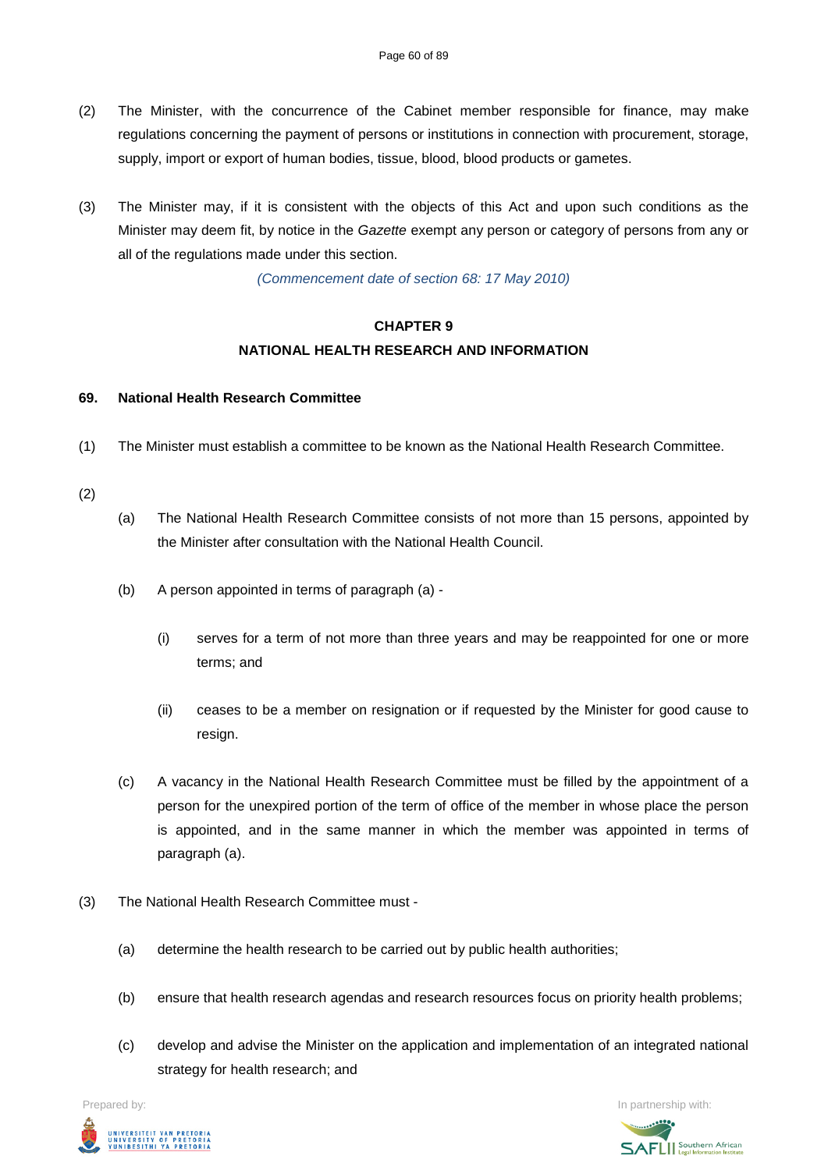- (2) The Minister, with the concurrence of the Cabinet member responsible for finance, may make regulations concerning the payment of persons or institutions in connection with procurement, storage, supply, import or export of human bodies, tissue, blood, blood products or gametes.
- (3) The Minister may, if it is consistent with the objects of this Act and upon such conditions as the Minister may deem fit, by notice in the *Gazette* exempt any person or category of persons from any or all of the regulations made under this section.

*(Commencement date of section 68: 17 May 2010)*

# **CHAPTER 9 NATIONAL HEALTH RESEARCH AND INFORMATION**

### **69. National Health Research Committee**

(1) The Minister must establish a committee to be known as the National Health Research Committee.

### (2)

- (a) The National Health Research Committee consists of not more than 15 persons, appointed by the Minister after consultation with the National Health Council.
- (b) A person appointed in terms of paragraph (a)
	- (i) serves for a term of not more than three years and may be reappointed for one or more terms; and
	- (ii) ceases to be a member on resignation or if requested by the Minister for good cause to resign.
- (c) A vacancy in the National Health Research Committee must be filled by the appointment of a person for the unexpired portion of the term of office of the member in whose place the person is appointed, and in the same manner in which the member was appointed in terms of paragraph (a).
- (3) The National Health Research Committee must
	- (a) determine the health research to be carried out by public health authorities;
	- (b) ensure that health research agendas and research resources focus on priority health problems;
	- (c) develop and advise the Minister on the application and implementation of an integrated national strategy for health research; and



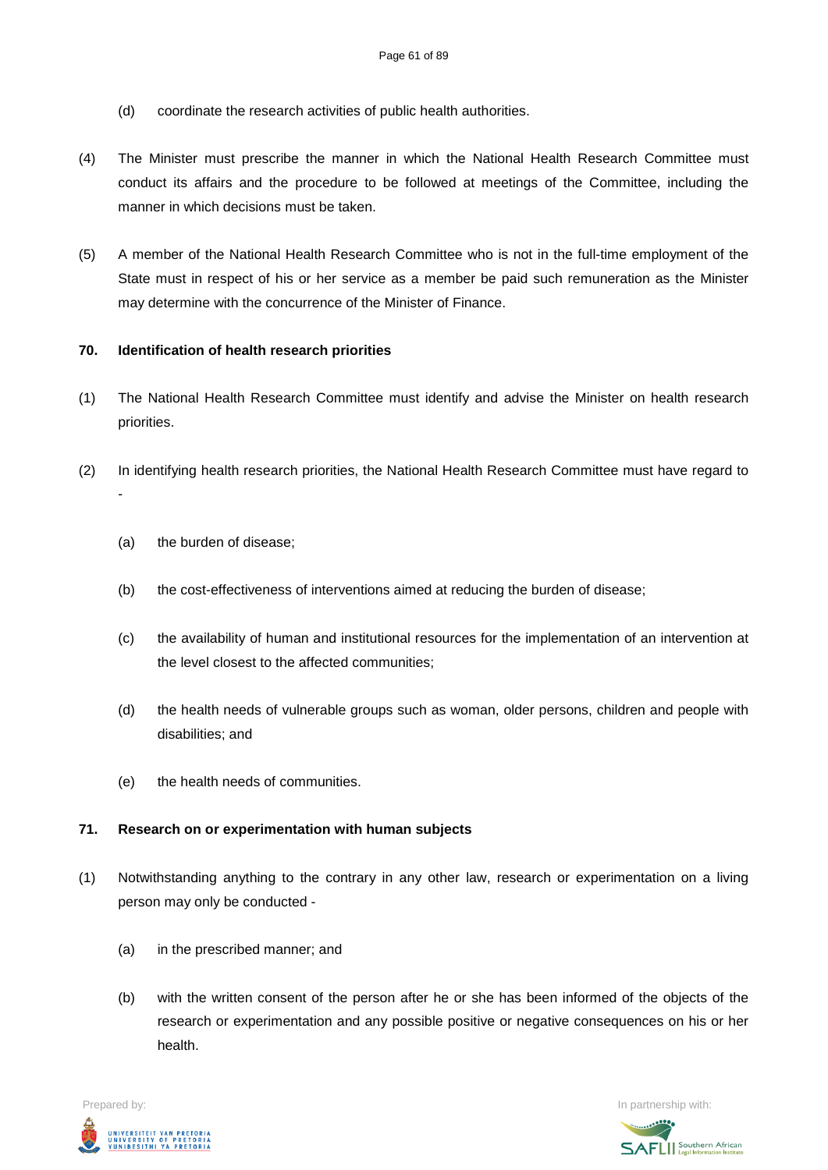- (d) coordinate the research activities of public health authorities.
- (4) The Minister must prescribe the manner in which the National Health Research Committee must conduct its affairs and the procedure to be followed at meetings of the Committee, including the manner in which decisions must be taken.
- (5) A member of the National Health Research Committee who is not in the full-time employment of the State must in respect of his or her service as a member be paid such remuneration as the Minister may determine with the concurrence of the Minister of Finance.

# **70. Identification of health research priorities**

- (1) The National Health Research Committee must identify and advise the Minister on health research priorities.
- (2) In identifying health research priorities, the National Health Research Committee must have regard to -
	- (a) the burden of disease;
	- (b) the cost-effectiveness of interventions aimed at reducing the burden of disease;
	- (c) the availability of human and institutional resources for the implementation of an intervention at the level closest to the affected communities;
	- (d) the health needs of vulnerable groups such as woman, older persons, children and people with disabilities; and
	- (e) the health needs of communities.

### **71. Research on or experimentation with human subjects**

- (1) Notwithstanding anything to the contrary in any other law, research or experimentation on a living person may only be conducted -
	- (a) in the prescribed manner; and
	- (b) with the written consent of the person after he or she has been informed of the objects of the research or experimentation and any possible positive or negative consequences on his or her health.



**SAFLI** Southern African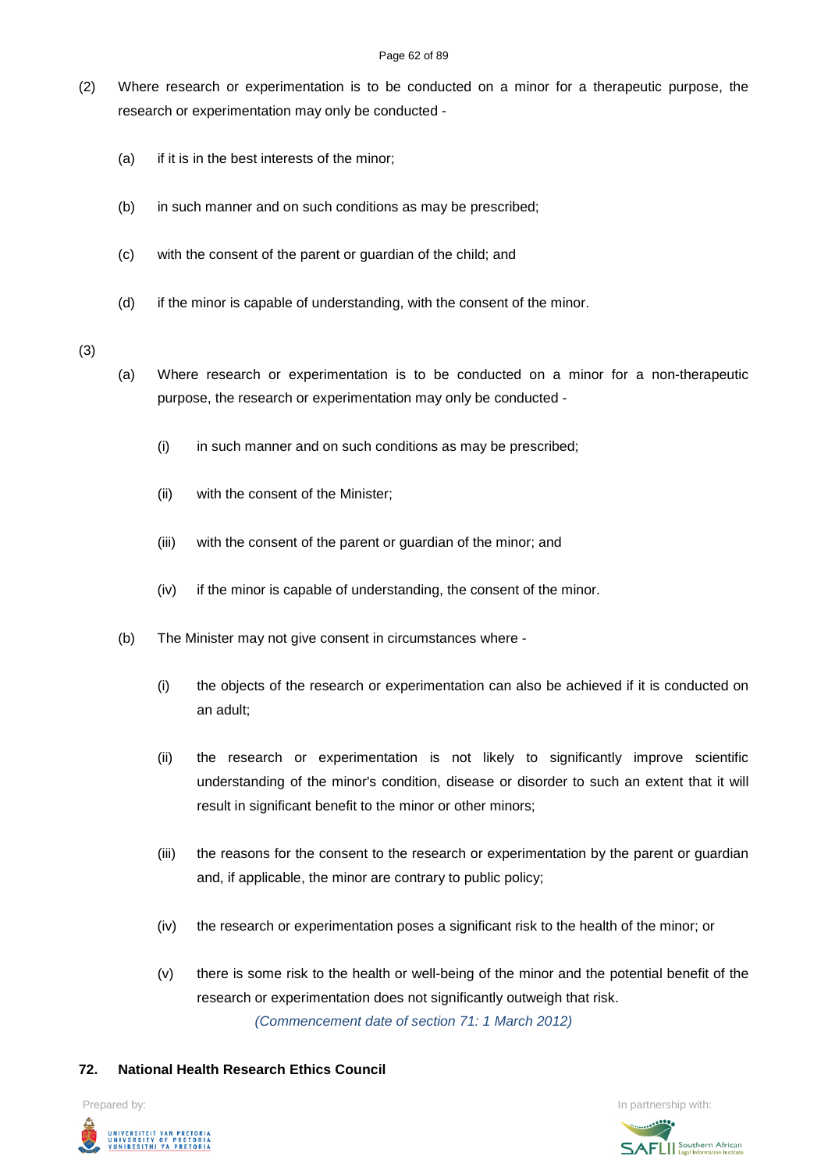- (2) Where research or experimentation is to be conducted on a minor for a therapeutic purpose, the research or experimentation may only be conducted -
	- (a) if it is in the best interests of the minor;
	- (b) in such manner and on such conditions as may be prescribed;
	- (c) with the consent of the parent or guardian of the child; and
	- (d) if the minor is capable of understanding, with the consent of the minor.

### (3)

- (a) Where research or experimentation is to be conducted on a minor for a non-therapeutic purpose, the research or experimentation may only be conducted -
	- (i) in such manner and on such conditions as may be prescribed;
	- (ii) with the consent of the Minister;
	- (iii) with the consent of the parent or guardian of the minor; and
	- (iv) if the minor is capable of understanding, the consent of the minor.
- (b) The Minister may not give consent in circumstances where
	- (i) the objects of the research or experimentation can also be achieved if it is conducted on an adult;
	- (ii) the research or experimentation is not likely to significantly improve scientific understanding of the minor's condition, disease or disorder to such an extent that it will result in significant benefit to the minor or other minors;
	- (iii) the reasons for the consent to the research or experimentation by the parent or guardian and, if applicable, the minor are contrary to public policy;
	- (iv) the research or experimentation poses a significant risk to the health of the minor; or
	- (v) there is some risk to the health or well-being of the minor and the potential benefit of the research or experimentation does not significantly outweigh that risk. *(Commencement date of section 71: 1 March 2012)*

### **72. National Health Research Ethics Council**

Prepared by: In partnership with:UNIVERSITEIT VAN PRETORIA<br>UNIVERSITY OF PRETORIA<br>YUNIBESITHI YA PRETORIA

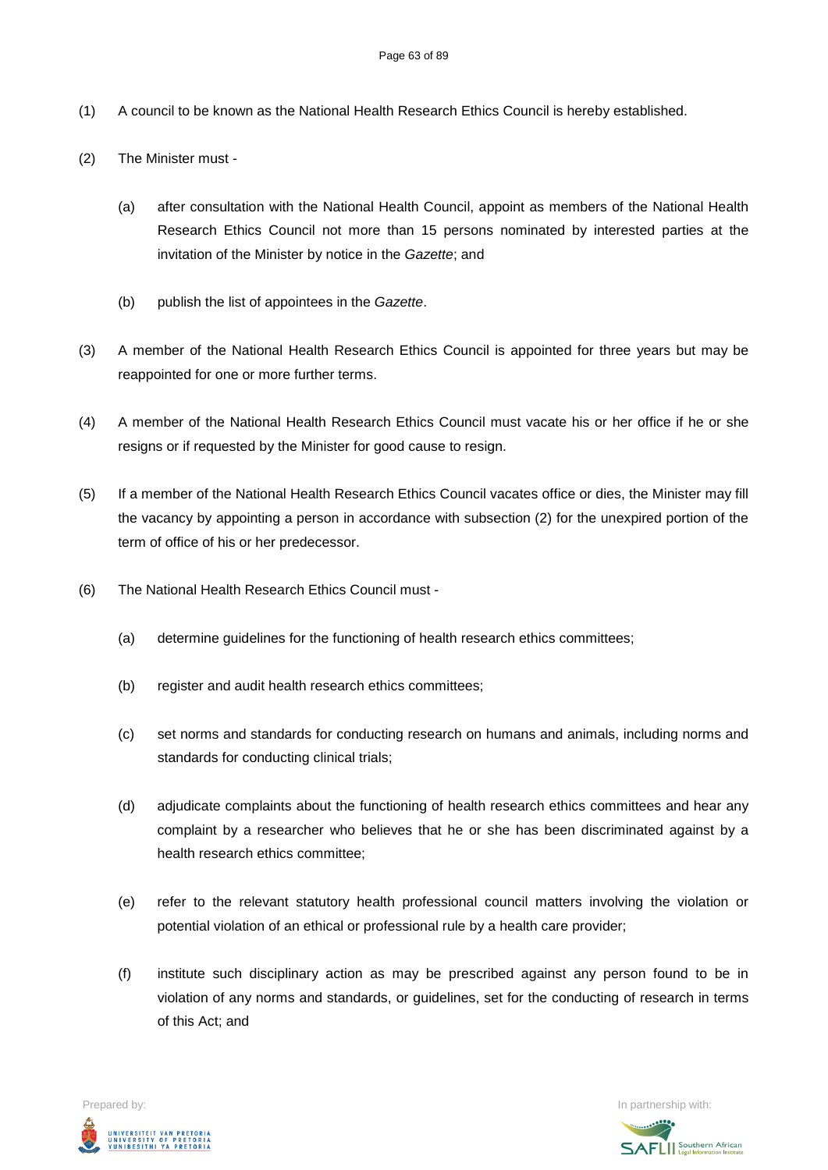- (1) A council to be known as the National Health Research Ethics Council is hereby established.
- (2) The Minister must
	- (a) after consultation with the National Health Council, appoint as members of the National Health Research Ethics Council not more than 15 persons nominated by interested parties at the invitation of the Minister by notice in the *Gazette*; and
	- (b) publish the list of appointees in the *Gazette*.
- (3) A member of the National Health Research Ethics Council is appointed for three years but may be reappointed for one or more further terms.
- (4) A member of the National Health Research Ethics Council must vacate his or her office if he or she resigns or if requested by the Minister for good cause to resign.
- (5) If a member of the National Health Research Ethics Council vacates office or dies, the Minister may fill the vacancy by appointing a person in accordance with subsection (2) for the unexpired portion of the term of office of his or her predecessor.
- (6) The National Health Research Ethics Council must
	- (a) determine guidelines for the functioning of health research ethics committees;
	- (b) register and audit health research ethics committees;
	- (c) set norms and standards for conducting research on humans and animals, including norms and standards for conducting clinical trials;
	- (d) adjudicate complaints about the functioning of health research ethics committees and hear any complaint by a researcher who believes that he or she has been discriminated against by a health research ethics committee;
	- (e) refer to the relevant statutory health professional council matters involving the violation or potential violation of an ethical or professional rule by a health care provider;
	- (f) institute such disciplinary action as may be prescribed against any person found to be in violation of any norms and standards, or guidelines, set for the conducting of research in terms of this Act; and

Prepared by: In partnership with:  $\blacksquare$  is the partnership with:  $\blacksquare$  is the partnership with:  $\blacksquare$ UNIVERSITEIT VAN PRETORIA<br>UNIVERSITY OF PRETORIA<br>YUNIBESITHI YA PRETORIA

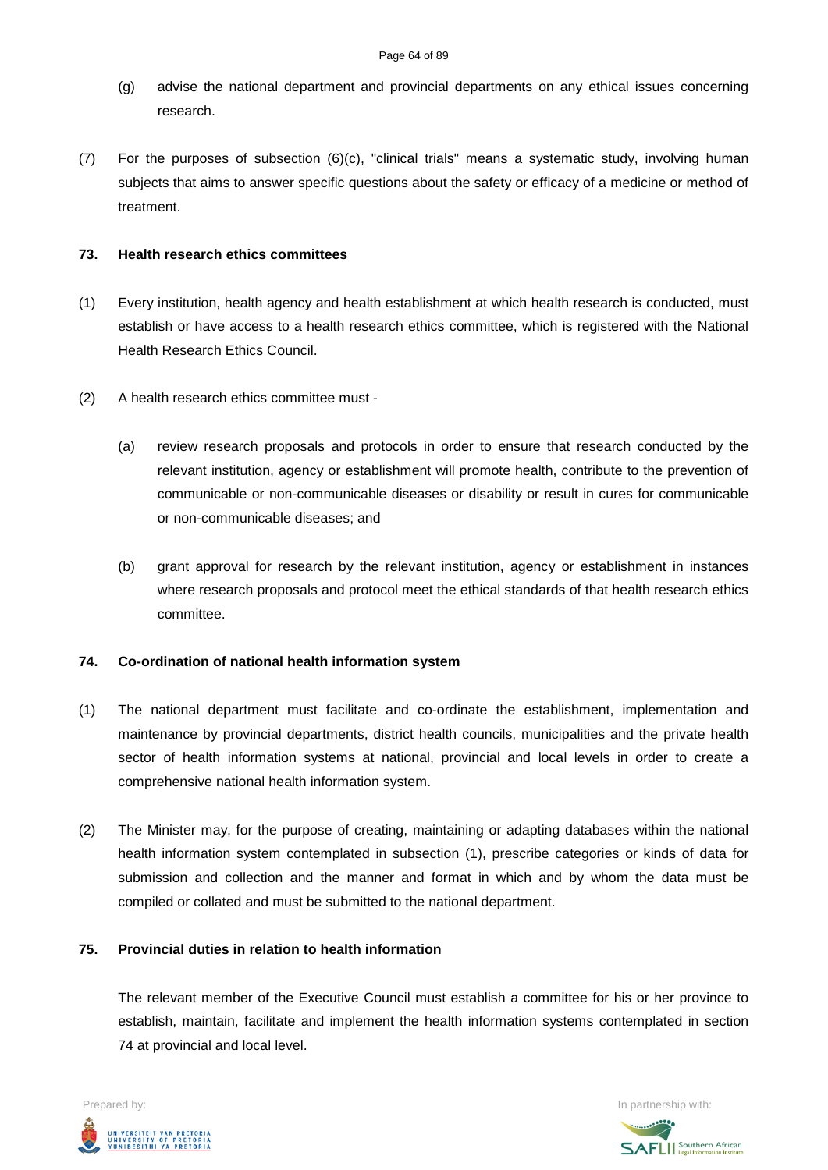- (g) advise the national department and provincial departments on any ethical issues concerning research.
- (7) For the purposes of subsection (6)(c), "clinical trials" means a systematic study, involving human subjects that aims to answer specific questions about the safety or efficacy of a medicine or method of treatment.

# **73. Health research ethics committees**

- (1) Every institution, health agency and health establishment at which health research is conducted, must establish or have access to a health research ethics committee, which is registered with the National Health Research Ethics Council.
- (2) A health research ethics committee must
	- (a) review research proposals and protocols in order to ensure that research conducted by the relevant institution, agency or establishment will promote health, contribute to the prevention of communicable or non-communicable diseases or disability or result in cures for communicable or non-communicable diseases; and
	- (b) grant approval for research by the relevant institution, agency or establishment in instances where research proposals and protocol meet the ethical standards of that health research ethics committee.

# **74. Co-ordination of national health information system**

- (1) The national department must facilitate and co-ordinate the establishment, implementation and maintenance by provincial departments, district health councils, municipalities and the private health sector of health information systems at national, provincial and local levels in order to create a comprehensive national health information system.
- (2) The Minister may, for the purpose of creating, maintaining or adapting databases within the national health information system contemplated in subsection (1), prescribe categories or kinds of data for submission and collection and the manner and format in which and by whom the data must be compiled or collated and must be submitted to the national department.

# **75. Provincial duties in relation to health information**

The relevant member of the Executive Council must establish a committee for his or her province to establish, maintain, facilitate and implement the health information systems contemplated in section 74 at provincial and local level.



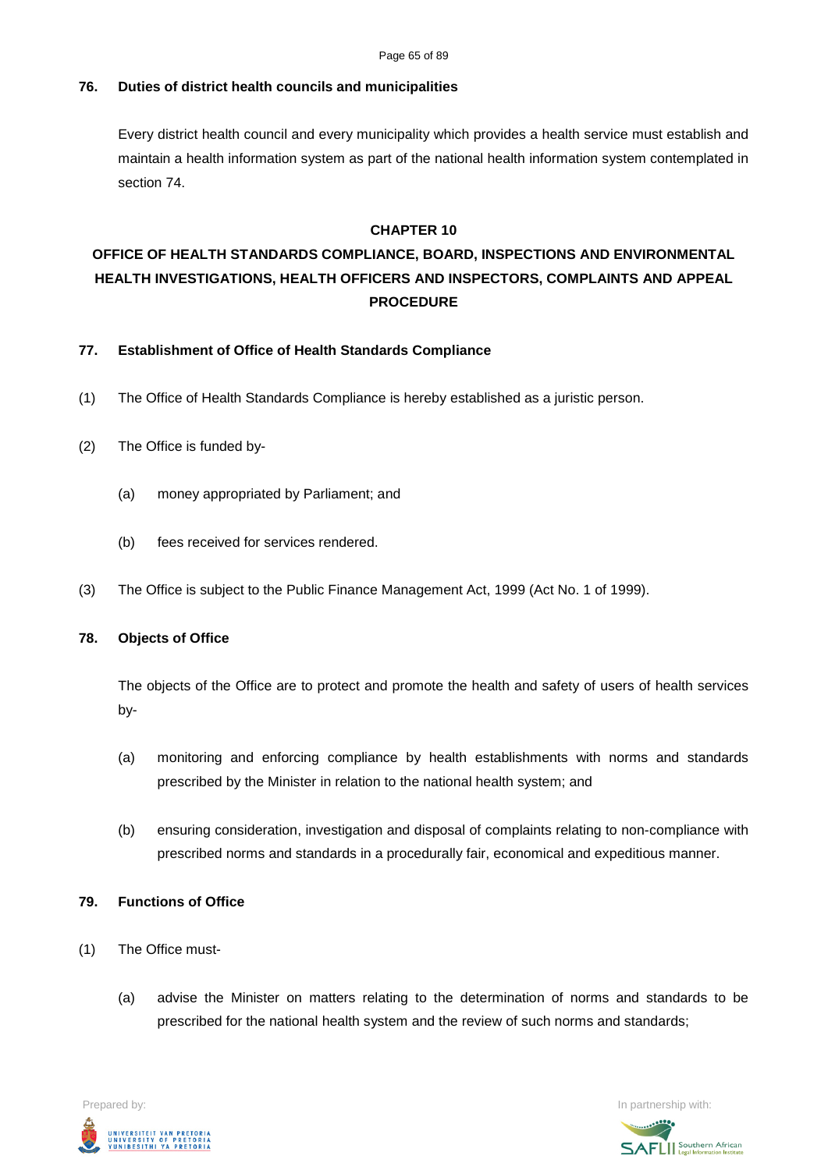# **76. Duties of district health councils and municipalities**

Every district health council and every municipality which provides a health service must establish and maintain a health information system as part of the national health information system contemplated in section 74.

### **CHAPTER 10**

# **OFFICE OF HEALTH STANDARDS COMPLIANCE, BOARD, INSPECTIONS AND ENVIRONMENTAL HEALTH INVESTIGATIONS, HEALTH OFFICERS AND INSPECTORS, COMPLAINTS AND APPEAL PROCEDURE**

### **77. Establishment of Office of Health Standards Compliance**

- (1) The Office of Health Standards Compliance is hereby established as a juristic person.
- (2) The Office is funded by-
	- (a) money appropriated by Parliament; and
	- (b) fees received for services rendered.
- (3) The Office is subject to the Public Finance Management Act, 1999 (Act No. 1 of 1999).

### **78. Objects of Office**

The objects of the Office are to protect and promote the health and safety of users of health services by-

- (a) monitoring and enforcing compliance by health establishments with norms and standards prescribed by the Minister in relation to the national health system; and
- (b) ensuring consideration, investigation and disposal of complaints relating to non-compliance with prescribed norms and standards in a procedurally fair, economical and expeditious manner.

### **79. Functions of Office**

- (1) The Office must-
	- (a) advise the Minister on matters relating to the determination of norms and standards to be prescribed for the national health system and the review of such norms and standards;



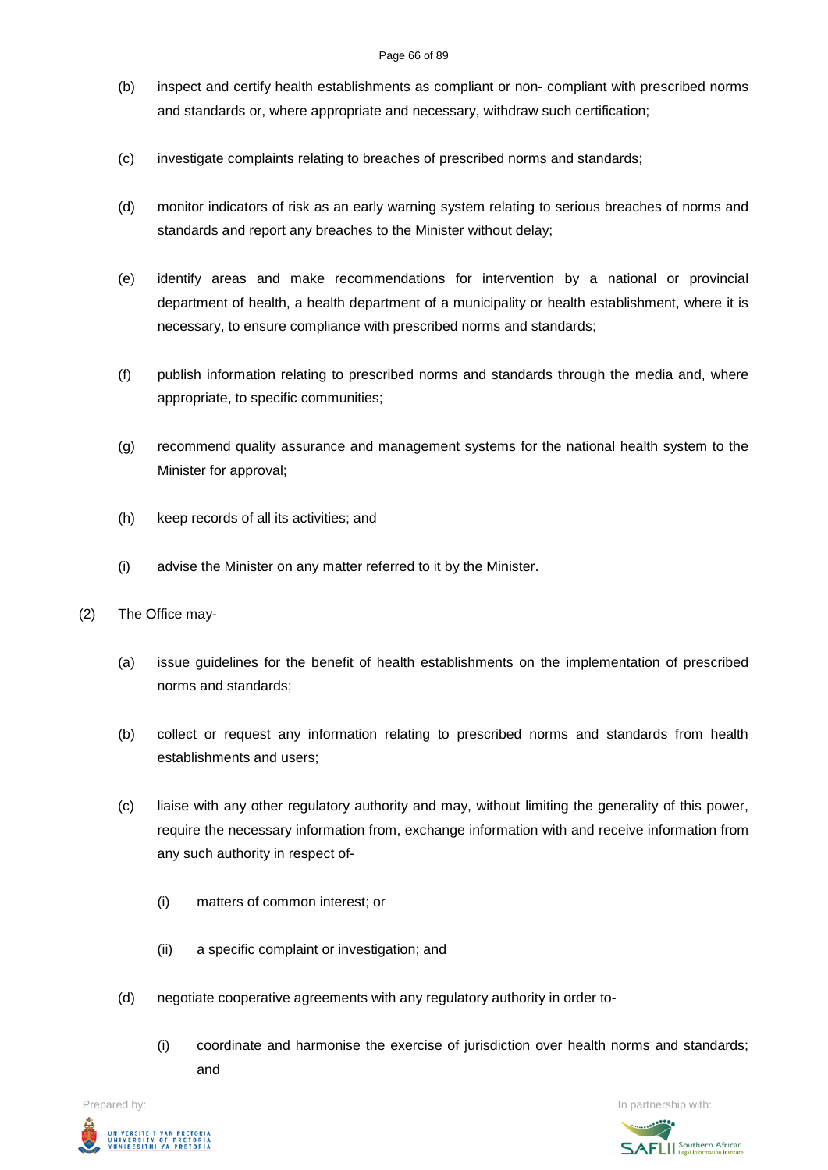#### Page 66 of 89

- (b) inspect and certify health establishments as compliant or non- compliant with prescribed norms and standards or, where appropriate and necessary, withdraw such certification;
- (c) investigate complaints relating to breaches of prescribed norms and standards;
- (d) monitor indicators of risk as an early warning system relating to serious breaches of norms and standards and report any breaches to the Minister without delay;
- (e) identify areas and make recommendations for intervention by a national or provincial department of health, a health department of a municipality or health establishment, where it is necessary, to ensure compliance with prescribed norms and standards;
- (f) publish information relating to prescribed norms and standards through the media and, where appropriate, to specific communities;
- (g) recommend quality assurance and management systems for the national health system to the Minister for approval;
- (h) keep records of all its activities; and
- (i) advise the Minister on any matter referred to it by the Minister.
- (2) The Office may-
	- (a) issue guidelines for the benefit of health establishments on the implementation of prescribed norms and standards;
	- (b) collect or request any information relating to prescribed norms and standards from health establishments and users;
	- (c) liaise with any other regulatory authority and may, without limiting the generality of this power, require the necessary information from, exchange information with and receive information from any such authority in respect of-
		- (i) matters of common interest; or
		- (ii) a specific complaint or investigation; and
	- (d) negotiate cooperative agreements with any regulatory authority in order to-
		- (i) coordinate and harmonise the exercise of jurisdiction over health norms and standards; and



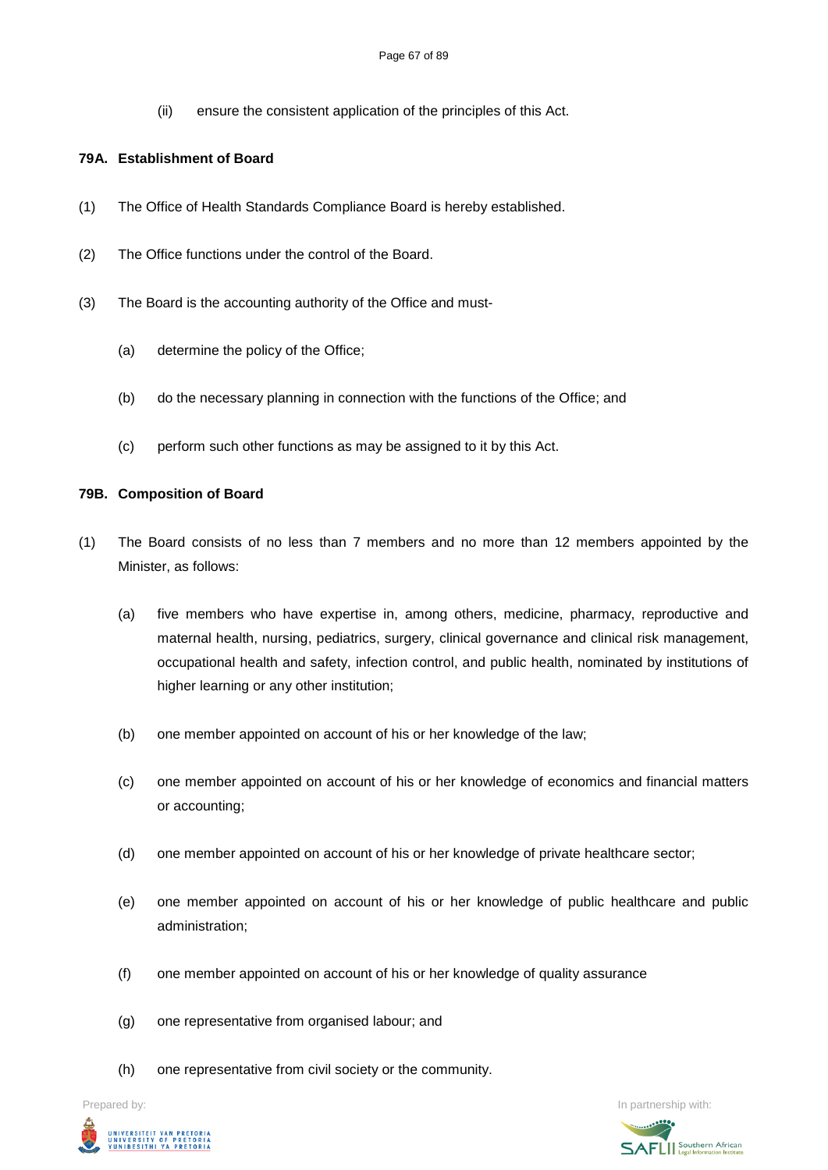(ii) ensure the consistent application of the principles of this Act.

### **79A. Establishment of Board**

- (1) The Office of Health Standards Compliance Board is hereby established.
- (2) The Office functions under the control of the Board.
- (3) The Board is the accounting authority of the Office and must-
	- (a) determine the policy of the Office;
	- (b) do the necessary planning in connection with the functions of the Office; and
	- (c) perform such other functions as may be assigned to it by this Act.

### **79B. Composition of Board**

- (1) The Board consists of no less than 7 members and no more than 12 members appointed by the Minister, as follows:
	- (a) five members who have expertise in, among others, medicine, pharmacy, reproductive and maternal health, nursing, pediatrics, surgery, clinical governance and clinical risk management, occupational health and safety, infection control, and public health, nominated by institutions of higher learning or any other institution;
	- (b) one member appointed on account of his or her knowledge of the law;
	- (c) one member appointed on account of his or her knowledge of economics and financial matters or accounting;
	- (d) one member appointed on account of his or her knowledge of private healthcare sector;
	- (e) one member appointed on account of his or her knowledge of public healthcare and public administration;
	- (f) one member appointed on account of his or her knowledge of quality assurance
	- (g) one representative from organised labour; and
	- (h) one representative from civil society or the community.



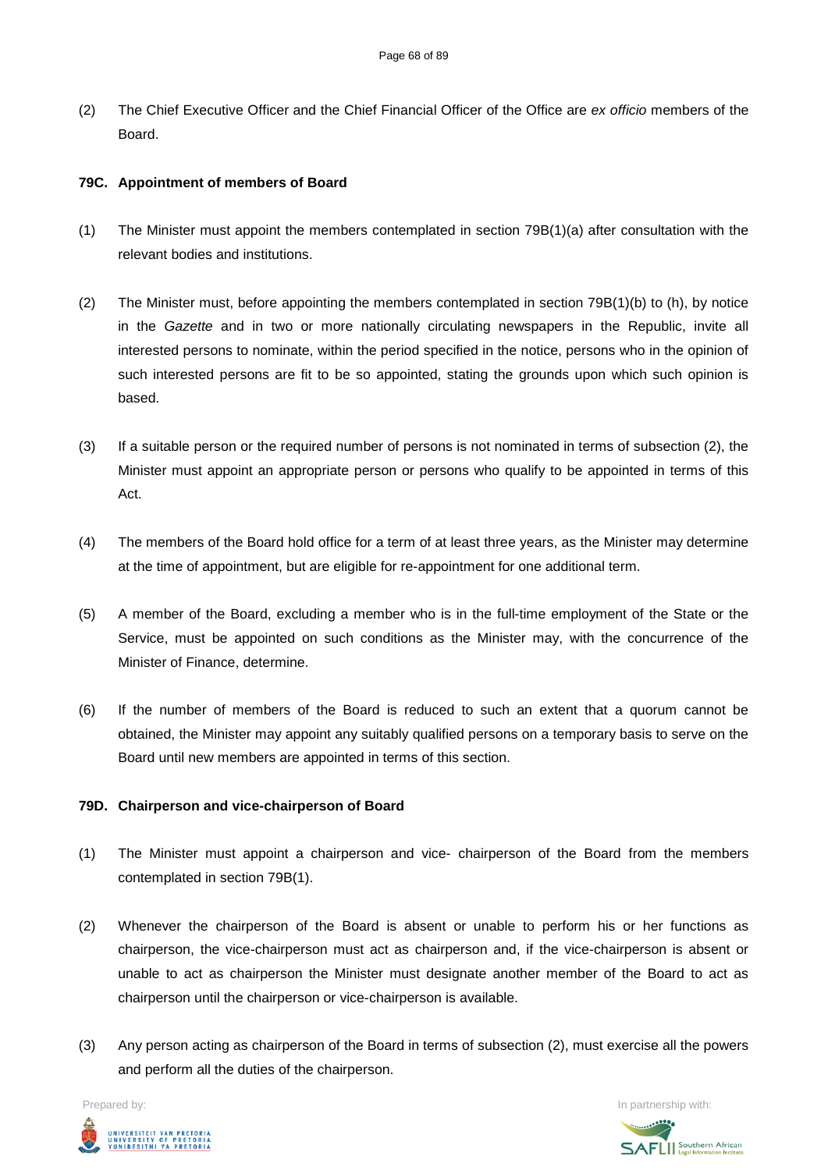(2) The Chief Executive Officer and the Chief Financial Officer of the Office are *ex officio* members of the Board.

# **79C. Appointment of members of Board**

- (1) The Minister must appoint the members contemplated in section 79B(1)(a) after consultation with the relevant bodies and institutions.
- (2) The Minister must, before appointing the members contemplated in section 79B(1)(b) to (h), by notice in the *Gazette* and in two or more nationally circulating newspapers in the Republic, invite all interested persons to nominate, within the period specified in the notice, persons who in the opinion of such interested persons are fit to be so appointed, stating the grounds upon which such opinion is based.
- (3) If a suitable person or the required number of persons is not nominated in terms of subsection (2), the Minister must appoint an appropriate person or persons who qualify to be appointed in terms of this Act.
- (4) The members of the Board hold office for a term of at least three years, as the Minister may determine at the time of appointment, but are eligible for re-appointment for one additional term.
- (5) A member of the Board, excluding a member who is in the full-time employment of the State or the Service, must be appointed on such conditions as the Minister may, with the concurrence of the Minister of Finance, determine.
- (6) If the number of members of the Board is reduced to such an extent that a quorum cannot be obtained, the Minister may appoint any suitably qualified persons on a temporary basis to serve on the Board until new members are appointed in terms of this section.

### **79D. Chairperson and vice-chairperson of Board**

- (1) The Minister must appoint a chairperson and vice- chairperson of the Board from the members contemplated in section 79B(1).
- (2) Whenever the chairperson of the Board is absent or unable to perform his or her functions as chairperson, the vice-chairperson must act as chairperson and, if the vice-chairperson is absent or unable to act as chairperson the Minister must designate another member of the Board to act as chairperson until the chairperson or vice-chairperson is available.
- (3) Any person acting as chairperson of the Board in terms of subsection (2), must exercise all the powers and perform all the duties of the chairperson.



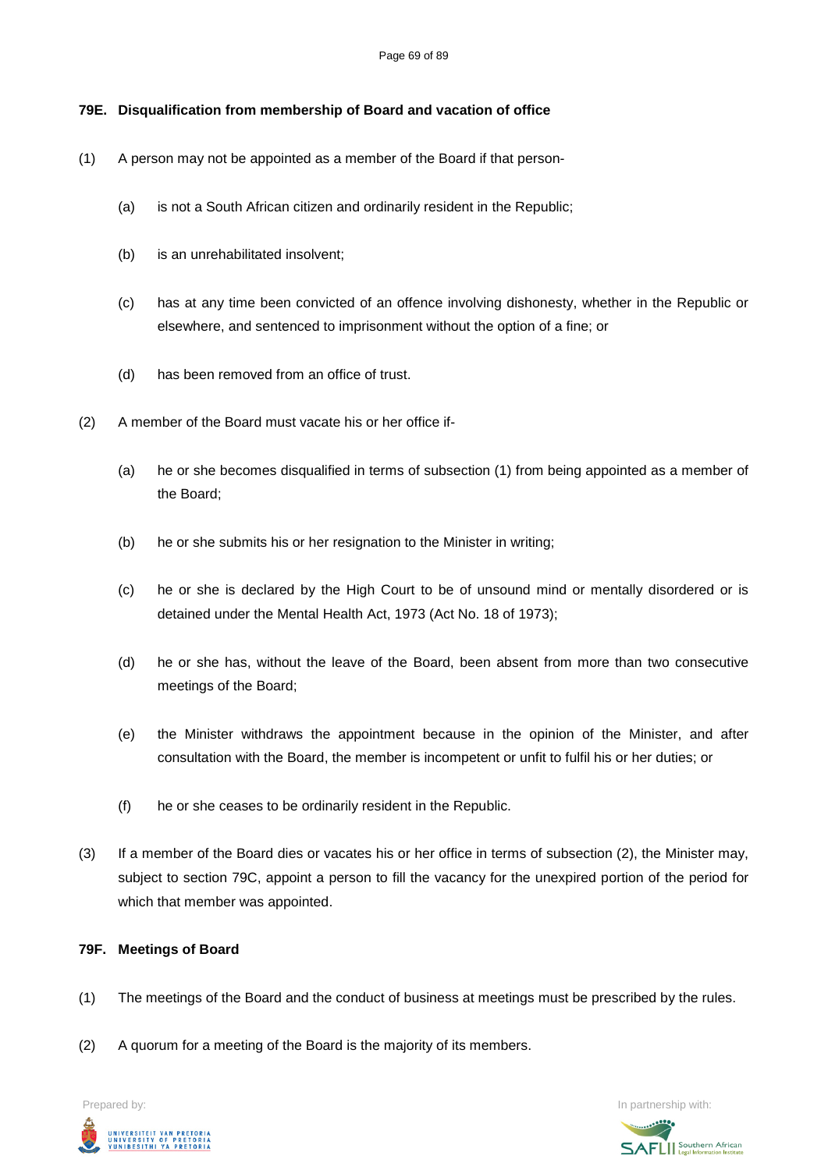# **79E. Disqualification from membership of Board and vacation of office**

- (1) A person may not be appointed as a member of the Board if that person-
	- (a) is not a South African citizen and ordinarily resident in the Republic;
	- (b) is an unrehabilitated insolvent;
	- (c) has at any time been convicted of an offence involving dishonesty, whether in the Republic or elsewhere, and sentenced to imprisonment without the option of a fine; or
	- (d) has been removed from an office of trust.
- (2) A member of the Board must vacate his or her office if-
	- (a) he or she becomes disqualified in terms of subsection (1) from being appointed as a member of the Board;
	- (b) he or she submits his or her resignation to the Minister in writing;
	- (c) he or she is declared by the High Court to be of unsound mind or mentally disordered or is detained under the Mental Health Act, 1973 (Act No. 18 of 1973);
	- (d) he or she has, without the leave of the Board, been absent from more than two consecutive meetings of the Board;
	- (e) the Minister withdraws the appointment because in the opinion of the Minister, and after consultation with the Board, the member is incompetent or unfit to fulfil his or her duties; or
	- (f) he or she ceases to be ordinarily resident in the Republic.
- (3) If a member of the Board dies or vacates his or her office in terms of subsection (2), the Minister may, subject to section 79C, appoint a person to fill the vacancy for the unexpired portion of the period for which that member was appointed.

### **79F. Meetings of Board**

- (1) The meetings of the Board and the conduct of business at meetings must be prescribed by the rules.
- (2) A quorum for a meeting of the Board is the majority of its members.

**Prepared by:** In partnership with:  $\blacksquare$  In partnership with:  $\blacksquare$ UNIVERSITEIT VAN PRETORIA<br>UNIVERSITY OF PRETORIA<br>YUNIBESITHI YA PRETORIA

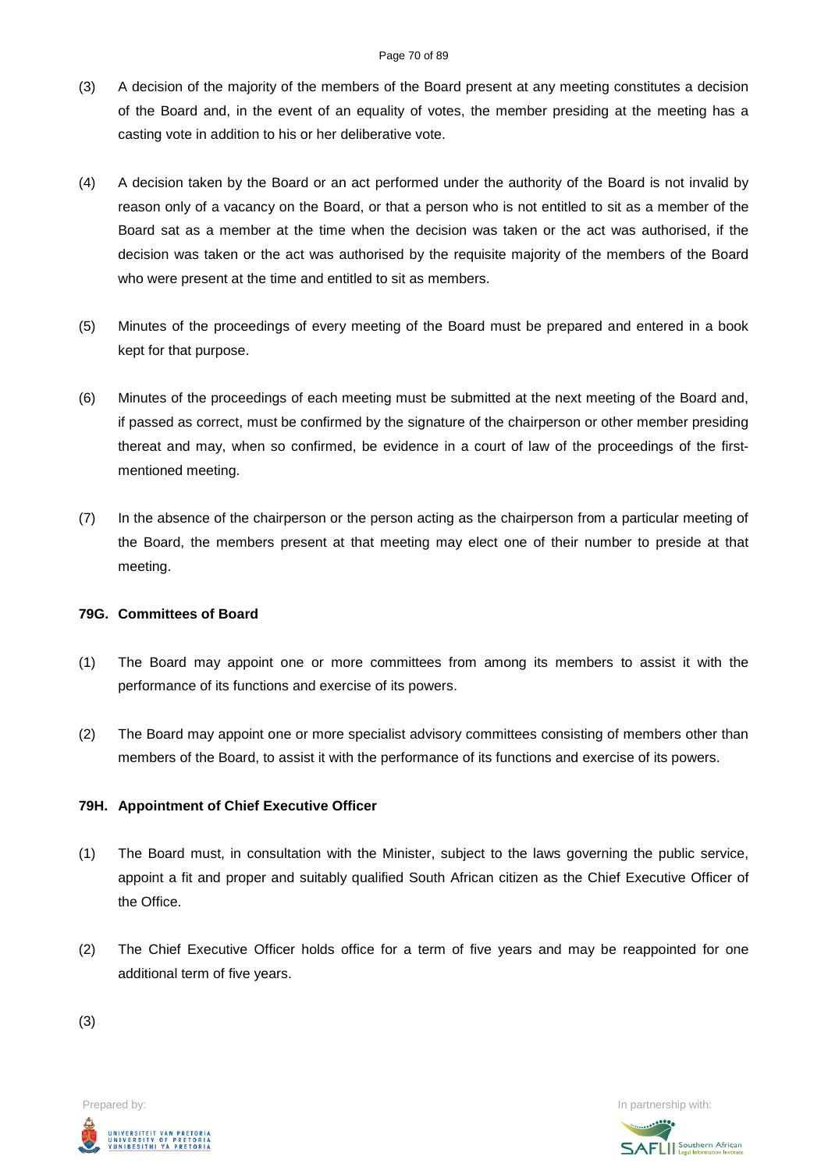- (3) A decision of the majority of the members of the Board present at any meeting constitutes a decision of the Board and, in the event of an equality of votes, the member presiding at the meeting has a casting vote in addition to his or her deliberative vote.
- (4) A decision taken by the Board or an act performed under the authority of the Board is not invalid by reason only of a vacancy on the Board, or that a person who is not entitled to sit as a member of the Board sat as a member at the time when the decision was taken or the act was authorised, if the decision was taken or the act was authorised by the requisite majority of the members of the Board who were present at the time and entitled to sit as members.
- (5) Minutes of the proceedings of every meeting of the Board must be prepared and entered in a book kept for that purpose.
- (6) Minutes of the proceedings of each meeting must be submitted at the next meeting of the Board and, if passed as correct, must be confirmed by the signature of the chairperson or other member presiding thereat and may, when so confirmed, be evidence in a court of law of the proceedings of the firstmentioned meeting.
- (7) In the absence of the chairperson or the person acting as the chairperson from a particular meeting of the Board, the members present at that meeting may elect one of their number to preside at that meeting.

### **79G. Committees of Board**

- (1) The Board may appoint one or more committees from among its members to assist it with the performance of its functions and exercise of its powers.
- (2) The Board may appoint one or more specialist advisory committees consisting of members other than members of the Board, to assist it with the performance of its functions and exercise of its powers.

### **79H. Appointment of Chief Executive Officer**

- (1) The Board must, in consultation with the Minister, subject to the laws governing the public service, appoint a fit and proper and suitably qualified South African citizen as the Chief Executive Officer of the Office.
- (2) The Chief Executive Officer holds office for a term of five years and may be reappointed for one additional term of five years.

(3)



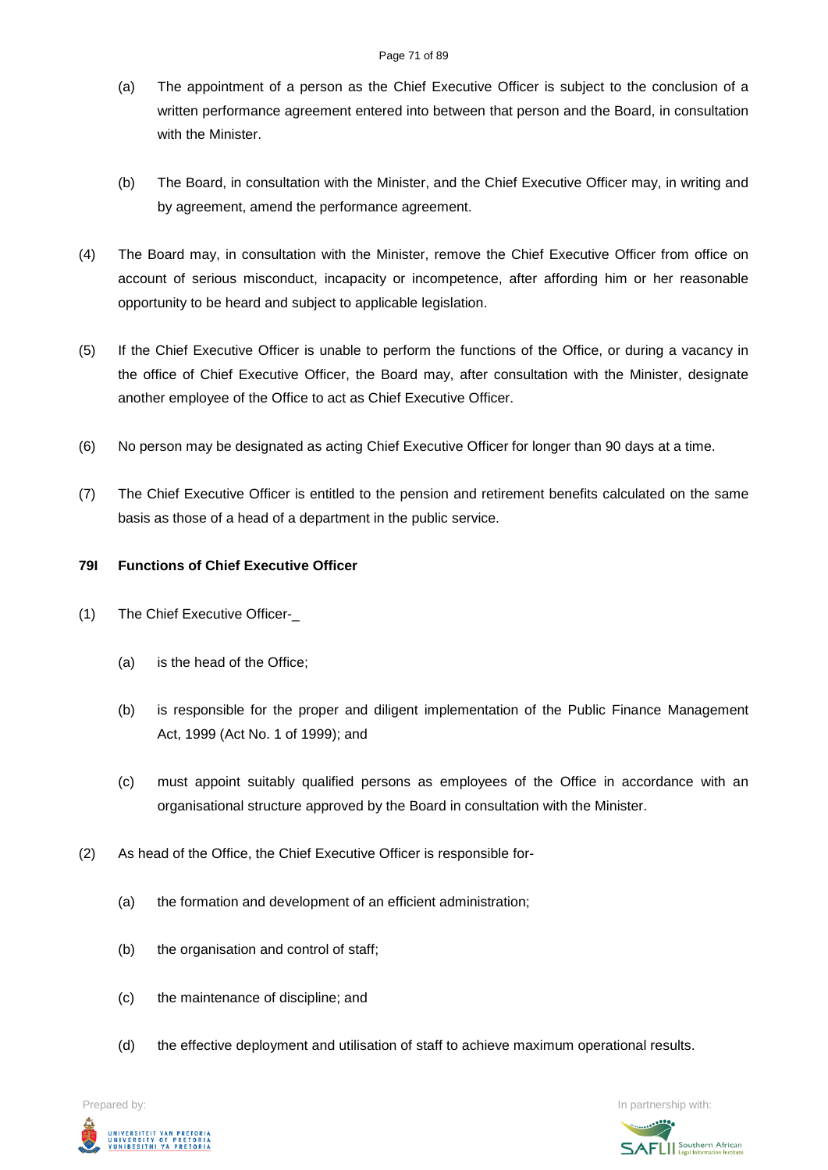- (a) The appointment of a person as the Chief Executive Officer is subject to the conclusion of a written performance agreement entered into between that person and the Board, in consultation with the Minister.
- (b) The Board, in consultation with the Minister, and the Chief Executive Officer may, in writing and by agreement, amend the performance agreement.
- (4) The Board may, in consultation with the Minister, remove the Chief Executive Officer from office on account of serious misconduct, incapacity or incompetence, after affording him or her reasonable opportunity to be heard and subject to applicable legislation.
- (5) If the Chief Executive Officer is unable to perform the functions of the Office, or during a vacancy in the office of Chief Executive Officer, the Board may, after consultation with the Minister, designate another employee of the Office to act as Chief Executive Officer.
- (6) No person may be designated as acting Chief Executive Officer for longer than 90 days at a time.
- (7) The Chief Executive Officer is entitled to the pension and retirement benefits calculated on the same basis as those of a head of a department in the public service.

# **79I Functions of Chief Executive Officer**

- (1) The Chief Executive Officer-\_
	- (a) is the head of the Office;
	- (b) is responsible for the proper and diligent implementation of the Public Finance Management Act, 1999 (Act No. 1 of 1999); and
	- (c) must appoint suitably qualified persons as employees of the Office in accordance with an organisational structure approved by the Board in consultation with the Minister.
- (2) As head of the Office, the Chief Executive Officer is responsible for-
	- (a) the formation and development of an efficient administration;
	- (b) the organisation and control of staff;
	- (c) the maintenance of discipline; and
	- (d) the effective deployment and utilisation of staff to achieve maximum operational results.



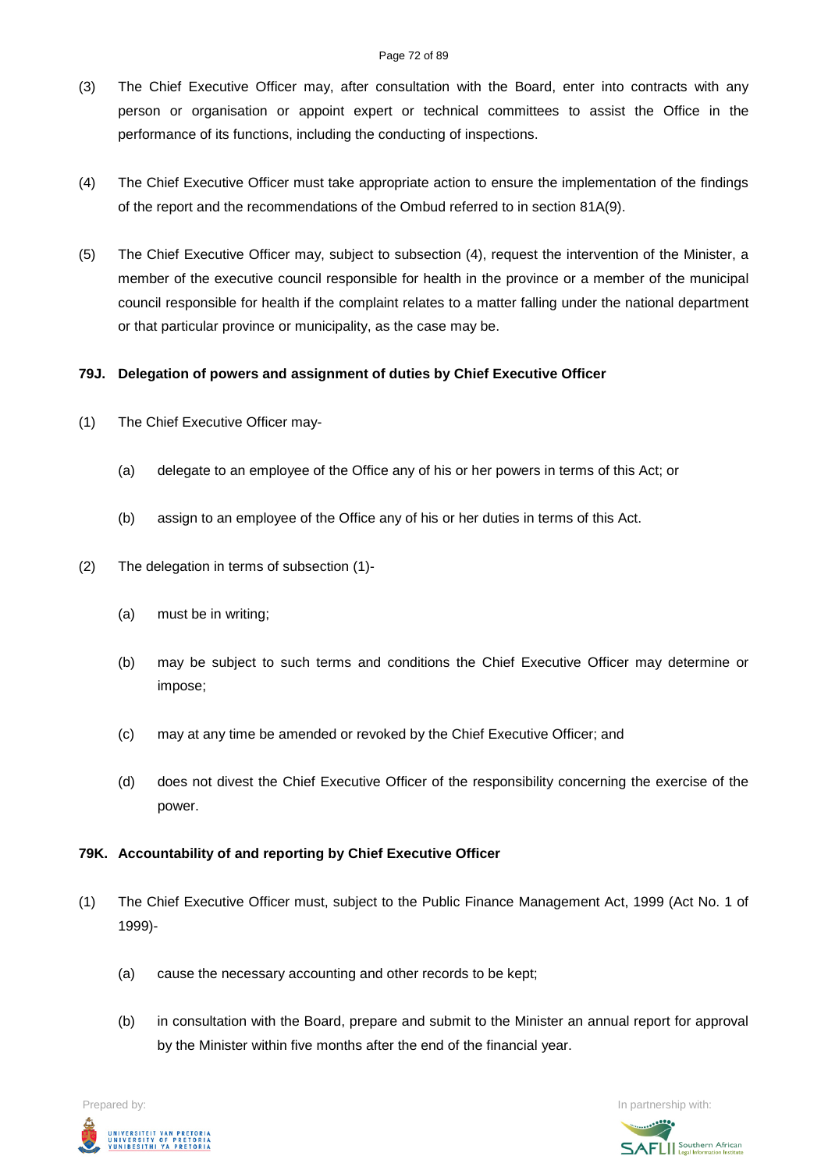#### Page 72 of 89

- (3) The Chief Executive Officer may, after consultation with the Board, enter into contracts with any person or organisation or appoint expert or technical committees to assist the Office in the performance of its functions, including the conducting of inspections.
- (4) The Chief Executive Officer must take appropriate action to ensure the implementation of the findings of the report and the recommendations of the Ombud referred to in section 81A(9).
- (5) The Chief Executive Officer may, subject to subsection (4), request the intervention of the Minister, a member of the executive council responsible for health in the province or a member of the municipal council responsible for health if the complaint relates to a matter falling under the national department or that particular province or municipality, as the case may be.

# **79J. Delegation of powers and assignment of duties by Chief Executive Officer**

- (1) The Chief Executive Officer may-
	- (a) delegate to an employee of the Office any of his or her powers in terms of this Act; or
	- (b) assign to an employee of the Office any of his or her duties in terms of this Act.
- (2) The delegation in terms of subsection (1)-
	- (a) must be in writing;
	- (b) may be subject to such terms and conditions the Chief Executive Officer may determine or impose;
	- (c) may at any time be amended or revoked by the Chief Executive Officer; and
	- (d) does not divest the Chief Executive Officer of the responsibility concerning the exercise of the power.

### **79K. Accountability of and reporting by Chief Executive Officer**

- (1) The Chief Executive Officer must, subject to the Public Finance Management Act, 1999 (Act No. 1 of 1999)-
	- (a) cause the necessary accounting and other records to be kept;
	- (b) in consultation with the Board, prepare and submit to the Minister an annual report for approval by the Minister within five months after the end of the financial year.

Prepared by: In partnership with:UNIVERSITEIT VAN PRETORIA<br>UNIVERSITY OF PRETORIA<br>YUNIBESITHI YA PRETORIA

**SAFLI** Southern African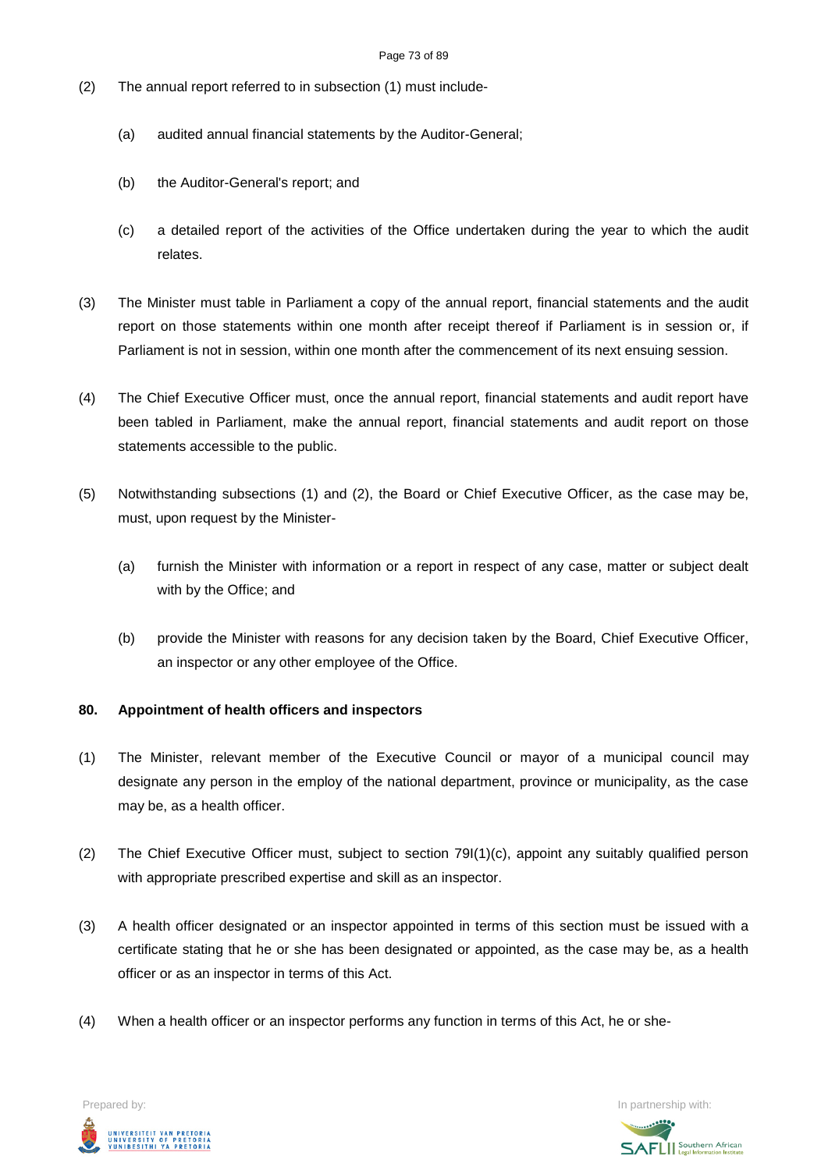- (2) The annual report referred to in subsection (1) must include-
	- (a) audited annual financial statements by the Auditor-General;
	- (b) the Auditor-General's report; and
	- (c) a detailed report of the activities of the Office undertaken during the year to which the audit relates.
- (3) The Minister must table in Parliament a copy of the annual report, financial statements and the audit report on those statements within one month after receipt thereof if Parliament is in session or, if Parliament is not in session, within one month after the commencement of its next ensuing session.
- (4) The Chief Executive Officer must, once the annual report, financial statements and audit report have been tabled in Parliament, make the annual report, financial statements and audit report on those statements accessible to the public.
- (5) Notwithstanding subsections (1) and (2), the Board or Chief Executive Officer, as the case may be, must, upon request by the Minister-
	- (a) furnish the Minister with information or a report in respect of any case, matter or subject dealt with by the Office; and
	- (b) provide the Minister with reasons for any decision taken by the Board, Chief Executive Officer, an inspector or any other employee of the Office.

#### **80. Appointment of health officers and inspectors**

- (1) The Minister, relevant member of the Executive Council or mayor of a municipal council may designate any person in the employ of the national department, province or municipality, as the case may be, as a health officer.
- (2) The Chief Executive Officer must, subject to section 79I(1)(c), appoint any suitably qualified person with appropriate prescribed expertise and skill as an inspector.
- (3) A health officer designated or an inspector appointed in terms of this section must be issued with a certificate stating that he or she has been designated or appointed, as the case may be, as a health officer or as an inspector in terms of this Act.
- (4) When a health officer or an inspector performs any function in terms of this Act, he or she-

Prepared by: In partnership with:  $\blacksquare$  In partnership with:  $\blacksquare$ UNIVERSITEIT VAN PRETORIA<br>UNIVERSITY OF PRETORIA<br>YUNIBESITHI YA PRETORIA

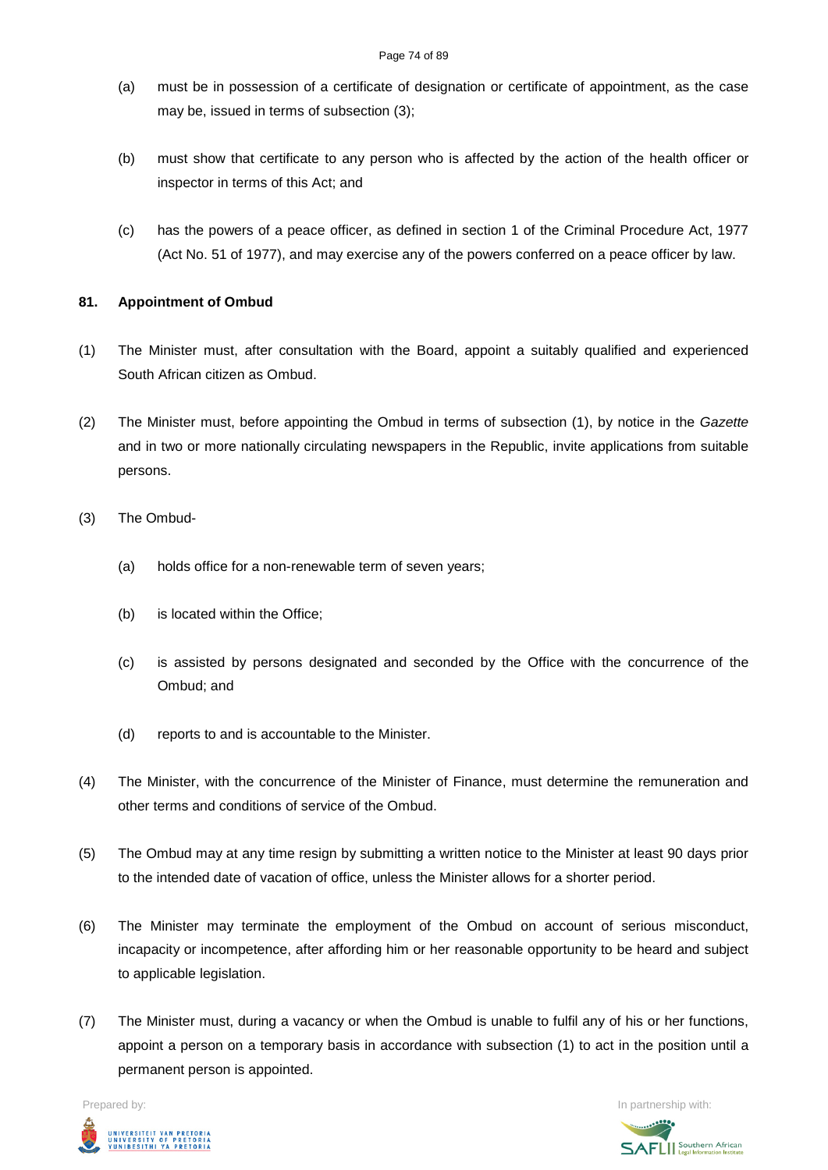- (a) must be in possession of a certificate of designation or certificate of appointment, as the case may be, issued in terms of subsection (3);
- (b) must show that certificate to any person who is affected by the action of the health officer or inspector in terms of this Act; and
- (c) has the powers of a peace officer, as defined in section 1 of the Criminal Procedure Act, 1977 (Act No. 51 of 1977), and may exercise any of the powers conferred on a peace officer by law.

#### **81. Appointment of Ombud**

- (1) The Minister must, after consultation with the Board, appoint a suitably qualified and experienced South African citizen as Ombud.
- (2) The Minister must, before appointing the Ombud in terms of subsection (1), by notice in the *Gazette* and in two or more nationally circulating newspapers in the Republic, invite applications from suitable persons.
- (3) The Ombud-
	- (a) holds office for a non-renewable term of seven years;
	- (b) is located within the Office;
	- (c) is assisted by persons designated and seconded by the Office with the concurrence of the Ombud; and
	- (d) reports to and is accountable to the Minister.
- (4) The Minister, with the concurrence of the Minister of Finance, must determine the remuneration and other terms and conditions of service of the Ombud.
- (5) The Ombud may at any time resign by submitting a written notice to the Minister at least 90 days prior to the intended date of vacation of office, unless the Minister allows for a shorter period.
- (6) The Minister may terminate the employment of the Ombud on account of serious misconduct, incapacity or incompetence, after affording him or her reasonable opportunity to be heard and subject to applicable legislation.
- (7) The Minister must, during a vacancy or when the Ombud is unable to fulfil any of his or her functions, appoint a person on a temporary basis in accordance with subsection (1) to act in the position until a permanent person is appointed.



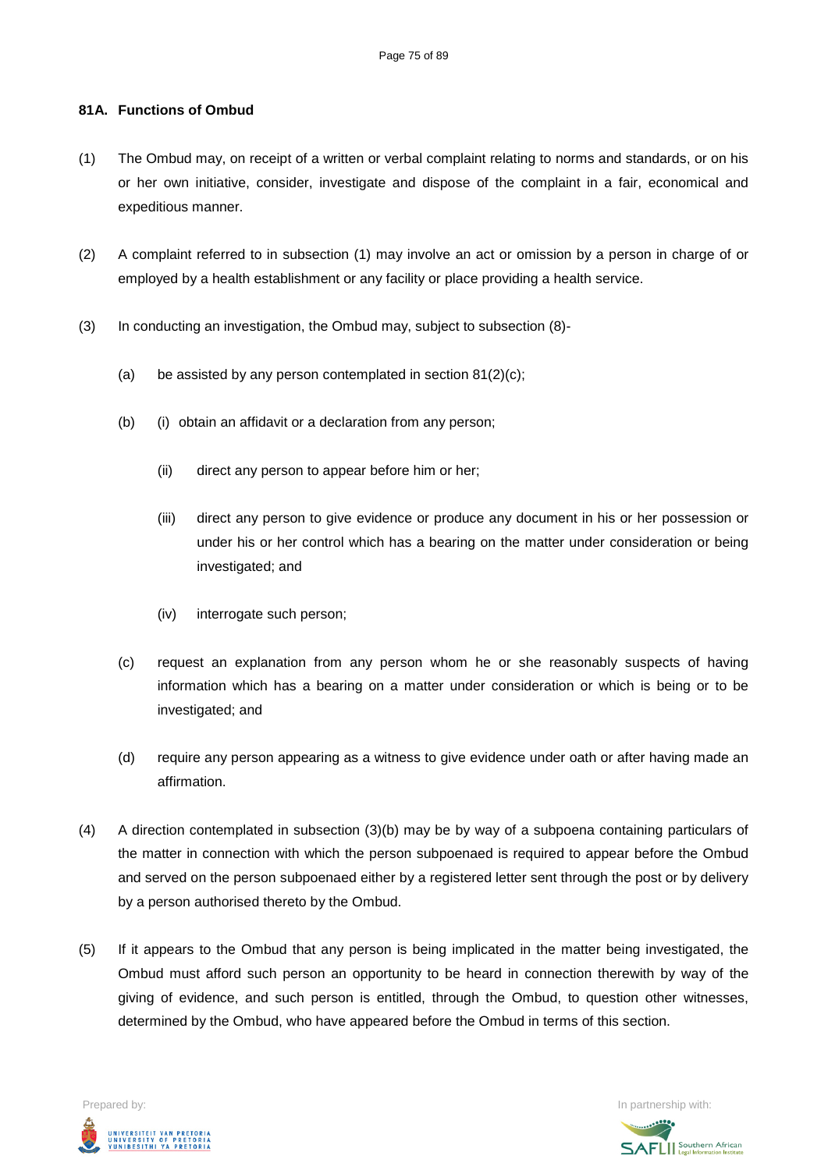#### **81A. Functions of Ombud**

- (1) The Ombud may, on receipt of a written or verbal complaint relating to norms and standards, or on his or her own initiative, consider, investigate and dispose of the complaint in a fair, economical and expeditious manner.
- (2) A complaint referred to in subsection (1) may involve an act or omission by a person in charge of or employed by a health establishment or any facility or place providing a health service.
- (3) In conducting an investigation, the Ombud may, subject to subsection (8)-
	- (a) be assisted by any person contemplated in section  $81(2)(c)$ ;
	- (b) (i) obtain an affidavit or a declaration from any person;
		- (ii) direct any person to appear before him or her;
		- (iii) direct any person to give evidence or produce any document in his or her possession or under his or her control which has a bearing on the matter under consideration or being investigated; and
		- (iv) interrogate such person;
	- (c) request an explanation from any person whom he or she reasonably suspects of having information which has a bearing on a matter under consideration or which is being or to be investigated; and
	- (d) require any person appearing as a witness to give evidence under oath or after having made an affirmation.
- (4) A direction contemplated in subsection (3)(b) may be by way of a subpoena containing particulars of the matter in connection with which the person subpoenaed is required to appear before the Ombud and served on the person subpoenaed either by a registered letter sent through the post or by delivery by a person authorised thereto by the Ombud.
- (5) If it appears to the Ombud that any person is being implicated in the matter being investigated, the Ombud must afford such person an opportunity to be heard in connection therewith by way of the giving of evidence, and such person is entitled, through the Ombud, to question other witnesses, determined by the Ombud, who have appeared before the Ombud in terms of this section.





**SAFLI** Southern African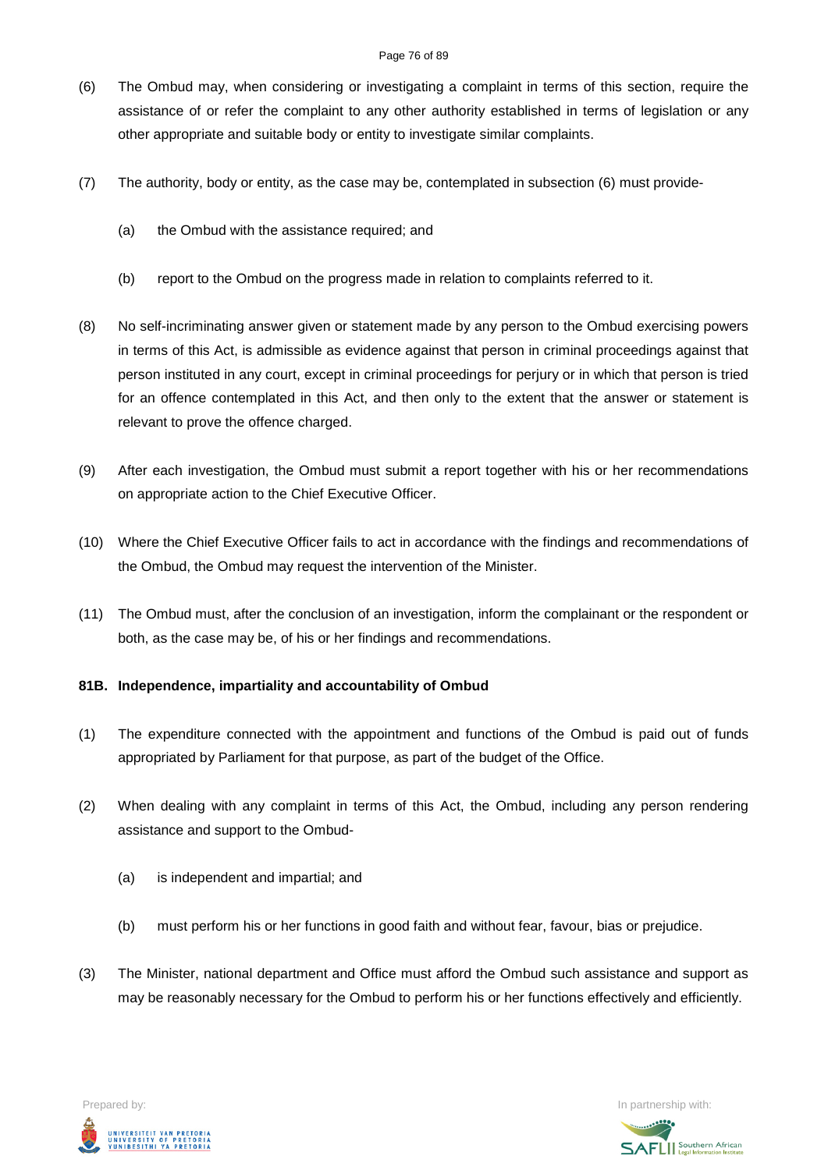#### Page 76 of 89

- (6) The Ombud may, when considering or investigating a complaint in terms of this section, require the assistance of or refer the complaint to any other authority established in terms of legislation or any other appropriate and suitable body or entity to investigate similar complaints.
- (7) The authority, body or entity, as the case may be, contemplated in subsection (6) must provide-
	- (a) the Ombud with the assistance required; and
	- (b) report to the Ombud on the progress made in relation to complaints referred to it.
- (8) No self-incriminating answer given or statement made by any person to the Ombud exercising powers in terms of this Act, is admissible as evidence against that person in criminal proceedings against that person instituted in any court, except in criminal proceedings for perjury or in which that person is tried for an offence contemplated in this Act, and then only to the extent that the answer or statement is relevant to prove the offence charged.
- (9) After each investigation, the Ombud must submit a report together with his or her recommendations on appropriate action to the Chief Executive Officer.
- (10) Where the Chief Executive Officer fails to act in accordance with the findings and recommendations of the Ombud, the Ombud may request the intervention of the Minister.
- (11) The Ombud must, after the conclusion of an investigation, inform the complainant or the respondent or both, as the case may be, of his or her findings and recommendations.

#### **81B. Independence, impartiality and accountability of Ombud**

- (1) The expenditure connected with the appointment and functions of the Ombud is paid out of funds appropriated by Parliament for that purpose, as part of the budget of the Office.
- (2) When dealing with any complaint in terms of this Act, the Ombud, including any person rendering assistance and support to the Ombud-
	- (a) is independent and impartial; and
	- (b) must perform his or her functions in good faith and without fear, favour, bias or prejudice.
- (3) The Minister, national department and Office must afford the Ombud such assistance and support as may be reasonably necessary for the Ombud to perform his or her functions effectively and efficiently.



Prepared by: In partnership with:  $\blacksquare$  is the partnership with:  $\blacksquare$  is the partnership with:  $\blacksquare$ 

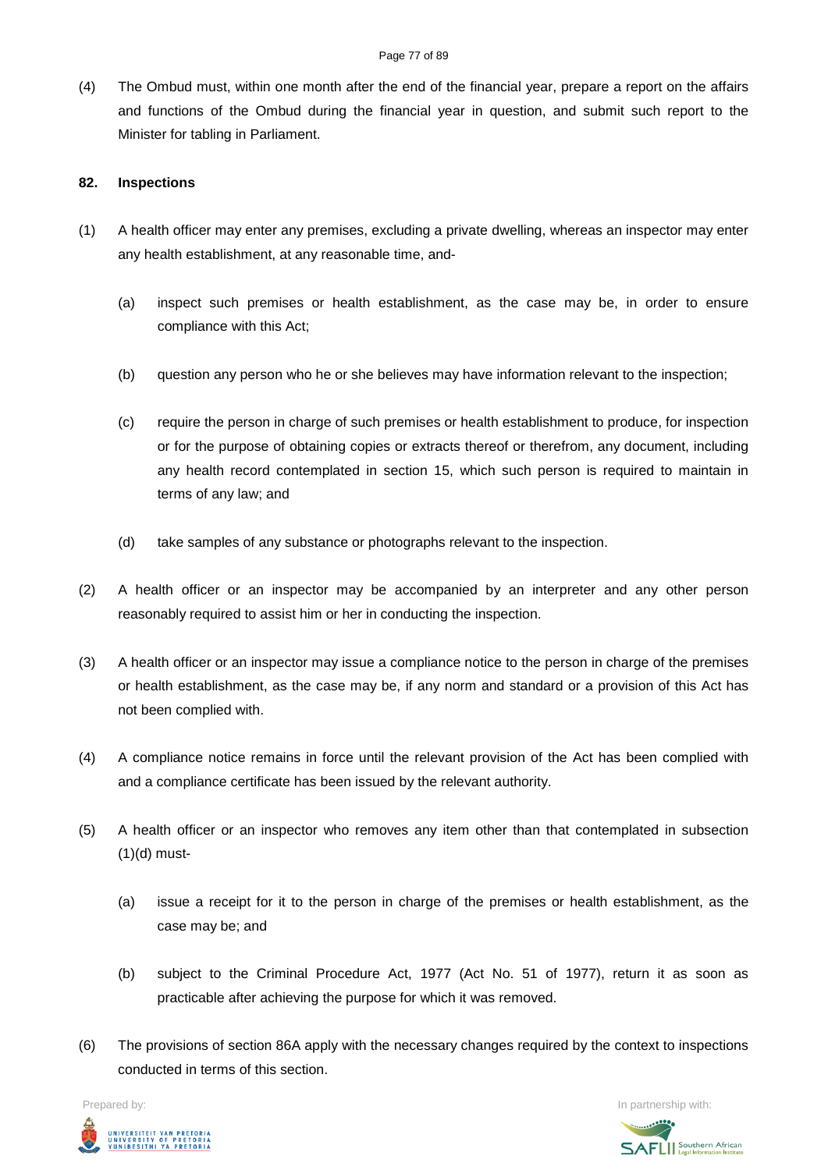(4) The Ombud must, within one month after the end of the financial year, prepare a report on the affairs and functions of the Ombud during the financial year in question, and submit such report to the Minister for tabling in Parliament.

#### **82. Inspections**

- (1) A health officer may enter any premises, excluding a private dwelling, whereas an inspector may enter any health establishment, at any reasonable time, and-
	- (a) inspect such premises or health establishment, as the case may be, in order to ensure compliance with this Act;
	- (b) question any person who he or she believes may have information relevant to the inspection;
	- (c) require the person in charge of such premises or health establishment to produce, for inspection or for the purpose of obtaining copies or extracts thereof or therefrom, any document, including any health record contemplated in section 15, which such person is required to maintain in terms of any law; and
	- (d) take samples of any substance or photographs relevant to the inspection.
- (2) A health officer or an inspector may be accompanied by an interpreter and any other person reasonably required to assist him or her in conducting the inspection.
- (3) A health officer or an inspector may issue a compliance notice to the person in charge of the premises or health establishment, as the case may be, if any norm and standard or a provision of this Act has not been complied with.
- (4) A compliance notice remains in force until the relevant provision of the Act has been complied with and a compliance certificate has been issued by the relevant authority.
- (5) A health officer or an inspector who removes any item other than that contemplated in subsection (1)(d) must-
	- (a) issue a receipt for it to the person in charge of the premises or health establishment, as the case may be; and
	- (b) subject to the Criminal Procedure Act, 1977 (Act No. 51 of 1977), return it as soon as practicable after achieving the purpose for which it was removed.
- (6) The provisions of section 86A apply with the necessary changes required by the context to inspections conducted in terms of this section.



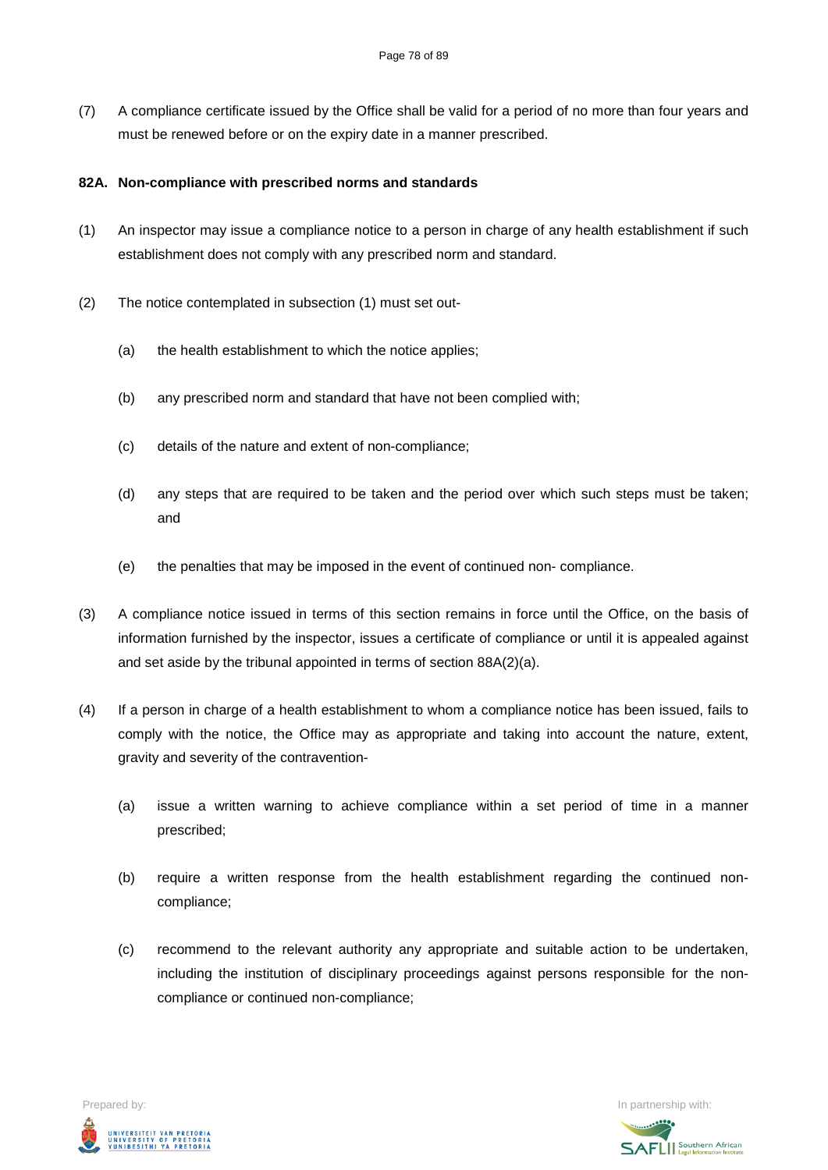(7) A compliance certificate issued by the Office shall be valid for a period of no more than four years and must be renewed before or on the expiry date in a manner prescribed.

#### **82A. Non-compliance with prescribed norms and standards**

- (1) An inspector may issue a compliance notice to a person in charge of any health establishment if such establishment does not comply with any prescribed norm and standard.
- (2) The notice contemplated in subsection (1) must set out-
	- (a) the health establishment to which the notice applies;
	- (b) any prescribed norm and standard that have not been complied with;
	- (c) details of the nature and extent of non-compliance;
	- (d) any steps that are required to be taken and the period over which such steps must be taken; and
	- (e) the penalties that may be imposed in the event of continued non- compliance.
- (3) A compliance notice issued in terms of this section remains in force until the Office, on the basis of information furnished by the inspector, issues a certificate of compliance or until it is appealed against and set aside by the tribunal appointed in terms of section 88A(2)(a).
- (4) If a person in charge of a health establishment to whom a compliance notice has been issued, fails to comply with the notice, the Office may as appropriate and taking into account the nature, extent, gravity and severity of the contravention-
	- (a) issue a written warning to achieve compliance within a set period of time in a manner prescribed;
	- (b) require a written response from the health establishment regarding the continued noncompliance;
	- (c) recommend to the relevant authority any appropriate and suitable action to be undertaken, including the institution of disciplinary proceedings against persons responsible for the noncompliance or continued non-compliance;



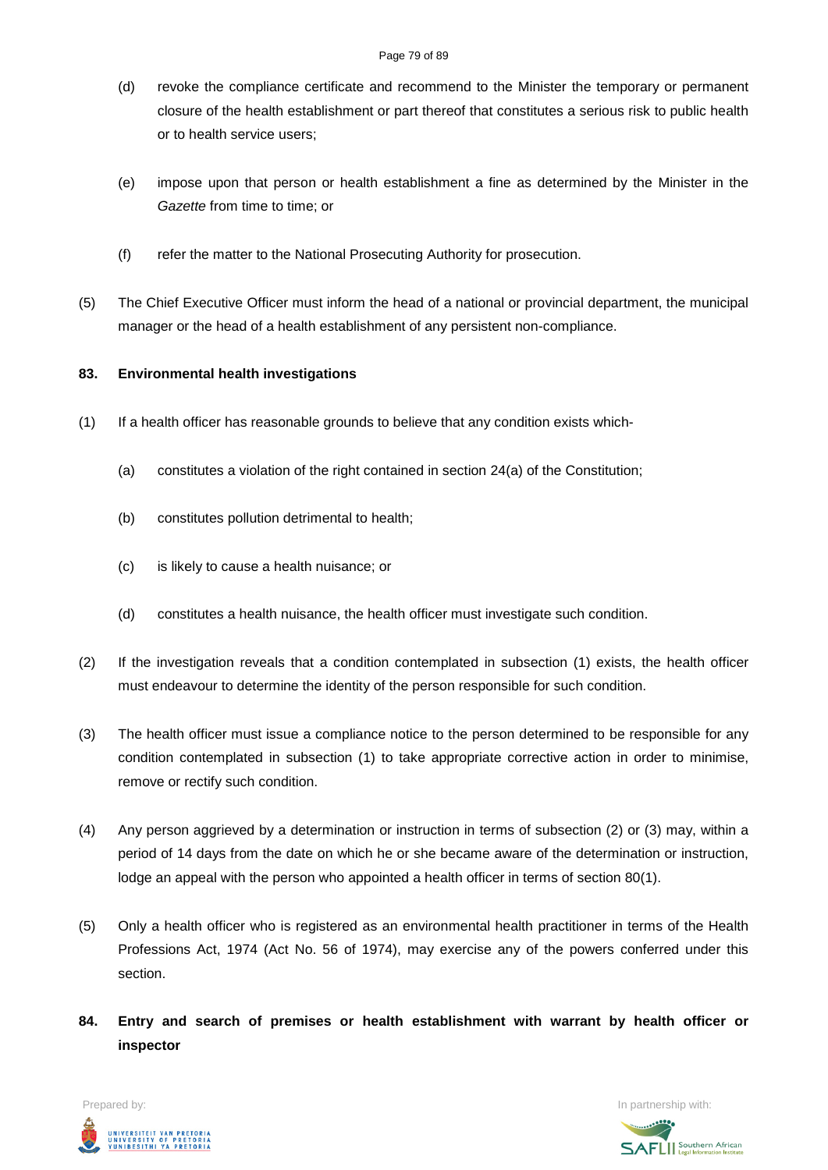- (d) revoke the compliance certificate and recommend to the Minister the temporary or permanent closure of the health establishment or part thereof that constitutes a serious risk to public health or to health service users;
- (e) impose upon that person or health establishment a fine as determined by the Minister in the *Gazette* from time to time; or
- (f) refer the matter to the National Prosecuting Authority for prosecution.
- (5) The Chief Executive Officer must inform the head of a national or provincial department, the municipal manager or the head of a health establishment of any persistent non-compliance.

### **83. Environmental health investigations**

- (1) If a health officer has reasonable grounds to believe that any condition exists which-
	- (a) constitutes a violation of the right contained in section 24(a) of the Constitution;
	- (b) constitutes pollution detrimental to health;
	- (c) is likely to cause a health nuisance; or
	- (d) constitutes a health nuisance, the health officer must investigate such condition.
- (2) If the investigation reveals that a condition contemplated in subsection (1) exists, the health officer must endeavour to determine the identity of the person responsible for such condition.
- (3) The health officer must issue a compliance notice to the person determined to be responsible for any condition contemplated in subsection (1) to take appropriate corrective action in order to minimise, remove or rectify such condition.
- (4) Any person aggrieved by a determination or instruction in terms of subsection (2) or (3) may, within a period of 14 days from the date on which he or she became aware of the determination or instruction, lodge an appeal with the person who appointed a health officer in terms of section 80(1).
- (5) Only a health officer who is registered as an environmental health practitioner in terms of the Health Professions Act, 1974 (Act No. 56 of 1974), may exercise any of the powers conferred under this section.
- **84. Entry and search of premises or health establishment with warrant by health officer or inspector**



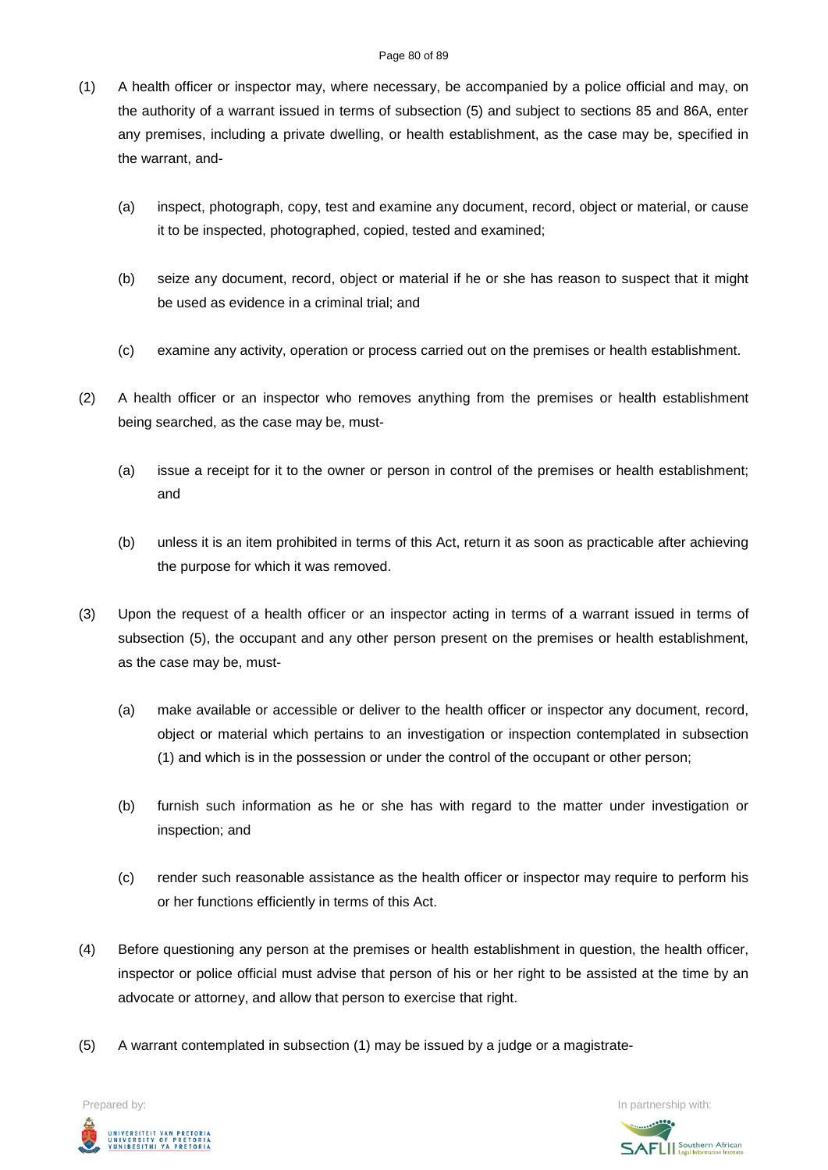- (1) A health officer or inspector may, where necessary, be accompanied by a police official and may, on the authority of a warrant issued in terms of subsection (5) and subject to sections 85 and 86A, enter any premises, including a private dwelling, or health establishment, as the case may be, specified in the warrant, and-
	- (a) inspect, photograph, copy, test and examine any document, record, object or material, or cause it to be inspected, photographed, copied, tested and examined;
	- (b) seize any document, record, object or material if he or she has reason to suspect that it might be used as evidence in a criminal trial; and
	- (c) examine any activity, operation or process carried out on the premises or health establishment.
- (2) A health officer or an inspector who removes anything from the premises or health establishment being searched, as the case may be, must-
	- (a) issue a receipt for it to the owner or person in control of the premises or health establishment; and
	- (b) unless it is an item prohibited in terms of this Act, return it as soon as practicable after achieving the purpose for which it was removed.
- (3) Upon the request of a health officer or an inspector acting in terms of a warrant issued in terms of subsection (5), the occupant and any other person present on the premises or health establishment, as the case may be, must-
	- (a) make available or accessible or deliver to the health officer or inspector any document, record, object or material which pertains to an investigation or inspection contemplated in subsection (1) and which is in the possession or under the control of the occupant or other person;
	- (b) furnish such information as he or she has with regard to the matter under investigation or inspection; and
	- (c) render such reasonable assistance as the health officer or inspector may require to perform his or her functions efficiently in terms of this Act.
- (4) Before questioning any person at the premises or health establishment in question, the health officer, inspector or police official must advise that person of his or her right to be assisted at the time by an advocate or attorney, and allow that person to exercise that right.
- (5) A warrant contemplated in subsection (1) may be issued by a judge or a magistrate-



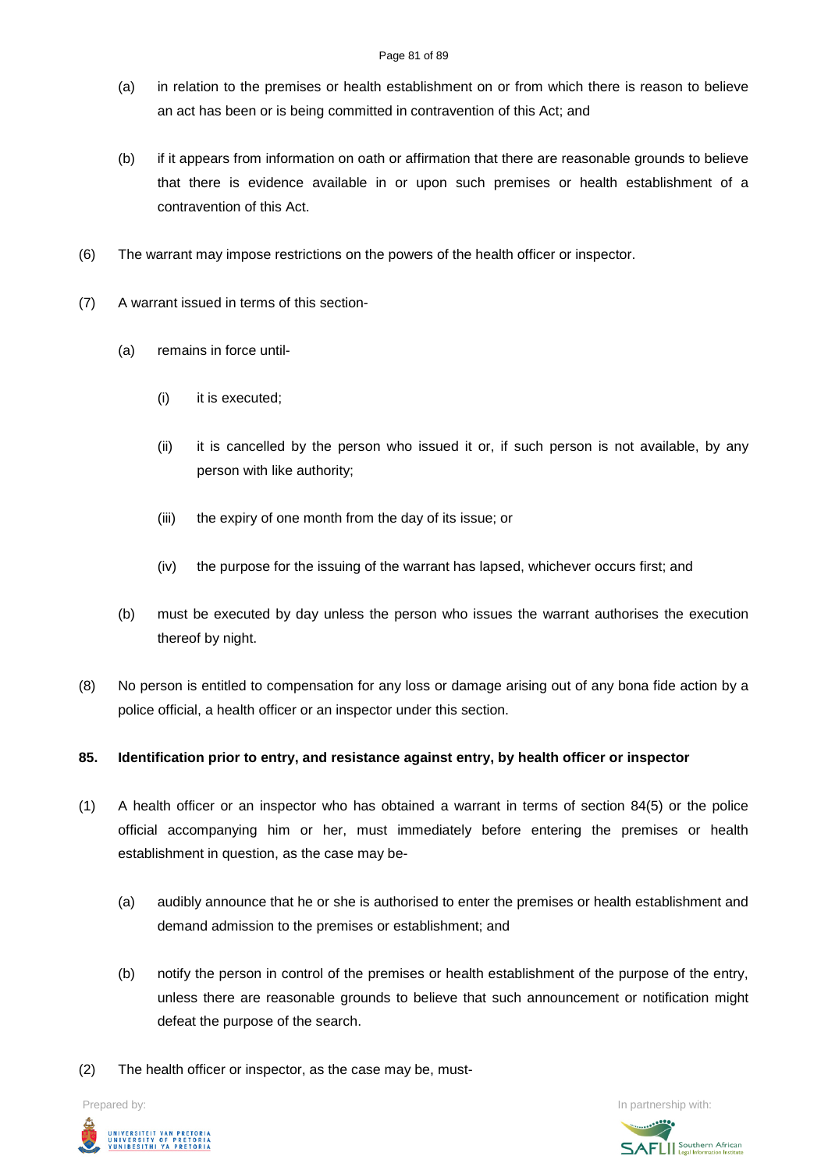- (a) in relation to the premises or health establishment on or from which there is reason to believe an act has been or is being committed in contravention of this Act; and
- (b) if it appears from information on oath or affirmation that there are reasonable grounds to believe that there is evidence available in or upon such premises or health establishment of a contravention of this Act.
- (6) The warrant may impose restrictions on the powers of the health officer or inspector.
- (7) A warrant issued in terms of this section-
	- (a) remains in force until-
		- (i) it is executed;
		- (ii) it is cancelled by the person who issued it or, if such person is not available, by any person with like authority;
		- (iii) the expiry of one month from the day of its issue; or
		- (iv) the purpose for the issuing of the warrant has lapsed, whichever occurs first; and
	- (b) must be executed by day unless the person who issues the warrant authorises the execution thereof by night.
- (8) No person is entitled to compensation for any loss or damage arising out of any bona fide action by a police official, a health officer or an inspector under this section.

### **85. Identification prior to entry, and resistance against entry, by health officer or inspector**

- (1) A health officer or an inspector who has obtained a warrant in terms of section 84(5) or the police official accompanying him or her, must immediately before entering the premises or health establishment in question, as the case may be-
	- (a) audibly announce that he or she is authorised to enter the premises or health establishment and demand admission to the premises or establishment; and
	- (b) notify the person in control of the premises or health establishment of the purpose of the entry, unless there are reasonable grounds to believe that such announcement or notification might defeat the purpose of the search.
- (2) The health officer or inspector, as the case may be, must-



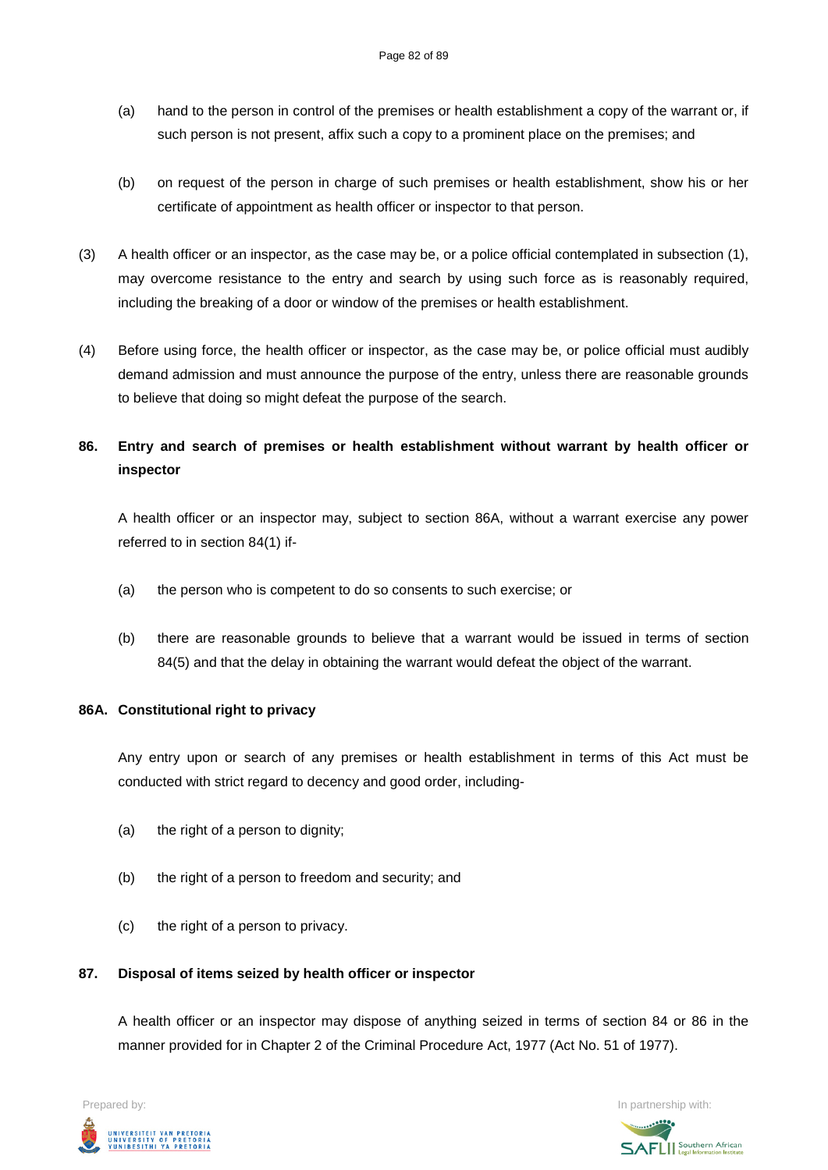- (a) hand to the person in control of the premises or health establishment a copy of the warrant or, if such person is not present, affix such a copy to a prominent place on the premises; and
- (b) on request of the person in charge of such premises or health establishment, show his or her certificate of appointment as health officer or inspector to that person.
- (3) A health officer or an inspector, as the case may be, or a police official contemplated in subsection (1), may overcome resistance to the entry and search by using such force as is reasonably required, including the breaking of a door or window of the premises or health establishment.
- (4) Before using force, the health officer or inspector, as the case may be, or police official must audibly demand admission and must announce the purpose of the entry, unless there are reasonable grounds to believe that doing so might defeat the purpose of the search.

## **86. Entry and search of premises or health establishment without warrant by health officer or inspector**

A health officer or an inspector may, subject to section 86A, without a warrant exercise any power referred to in section 84(1) if-

- (a) the person who is competent to do so consents to such exercise; or
- (b) there are reasonable grounds to believe that a warrant would be issued in terms of section 84(5) and that the delay in obtaining the warrant would defeat the object of the warrant.

### **86A. Constitutional right to privacy**

Any entry upon or search of any premises or health establishment in terms of this Act must be conducted with strict regard to decency and good order, including-

- (a) the right of a person to dignity;
- (b) the right of a person to freedom and security; and
- (c) the right of a person to privacy.

### **87. Disposal of items seized by health officer or inspector**

A health officer or an inspector may dispose of anything seized in terms of section 84 or 86 in the manner provided for in Chapter 2 of the Criminal Procedure Act, 1977 (Act No. 51 of 1977).



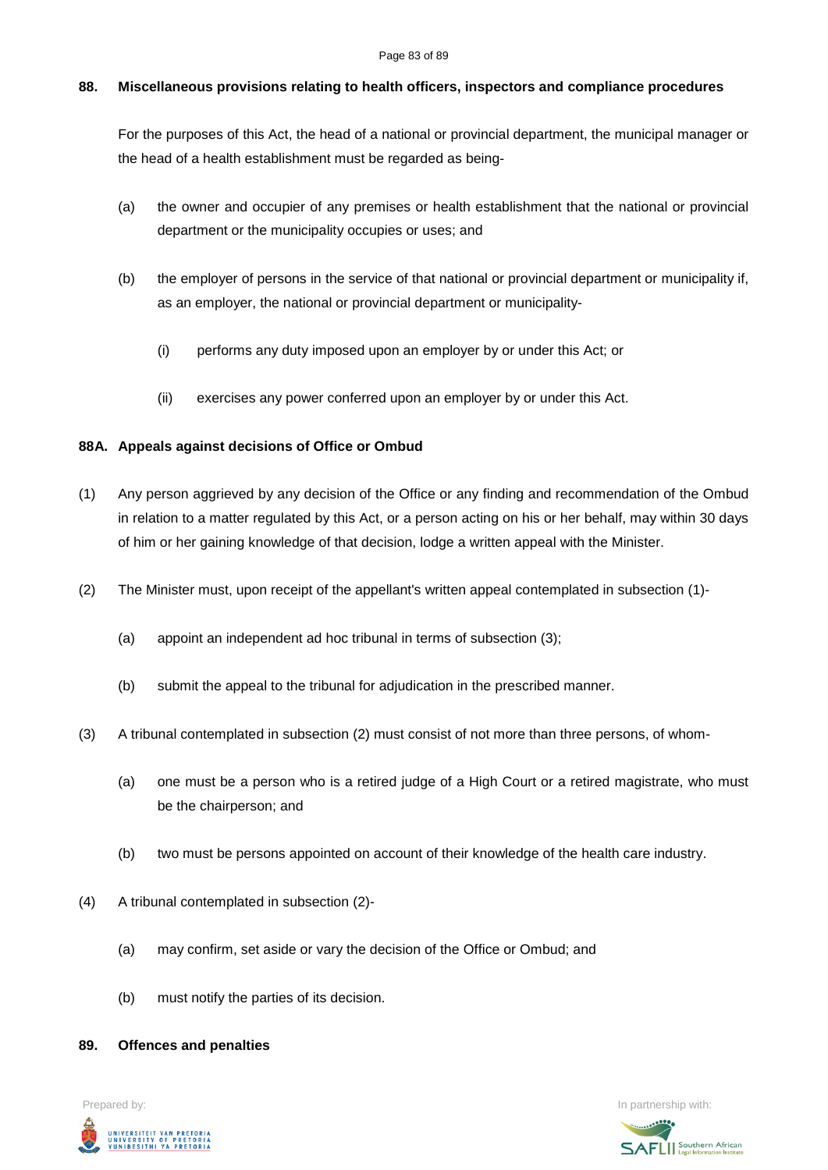#### Page 83 of 89

#### **88. Miscellaneous provisions relating to health officers, inspectors and compliance procedures**

For the purposes of this Act, the head of a national or provincial department, the municipal manager or the head of a health establishment must be regarded as being-

- (a) the owner and occupier of any premises or health establishment that the national or provincial department or the municipality occupies or uses; and
- (b) the employer of persons in the service of that national or provincial department or municipality if, as an employer, the national or provincial department or municipality-
	- (i) performs any duty imposed upon an employer by or under this Act; or
	- (ii) exercises any power conferred upon an employer by or under this Act.

### **88A. Appeals against decisions of Office or Ombud**

- (1) Any person aggrieved by any decision of the Office or any finding and recommendation of the Ombud in relation to a matter regulated by this Act, or a person acting on his or her behalf, may within 30 days of him or her gaining knowledge of that decision, lodge a written appeal with the Minister.
- (2) The Minister must, upon receipt of the appellant's written appeal contemplated in subsection (1)-
	- (a) appoint an independent ad hoc tribunal in terms of subsection (3);
	- (b) submit the appeal to the tribunal for adjudication in the prescribed manner.
- (3) A tribunal contemplated in subsection (2) must consist of not more than three persons, of whom-
	- (a) one must be a person who is a retired judge of a High Court or a retired magistrate, who must be the chairperson; and
	- (b) two must be persons appointed on account of their knowledge of the health care industry.
- (4) A tribunal contemplated in subsection (2)-
	- (a) may confirm, set aside or vary the decision of the Office or Ombud; and
	- (b) must notify the parties of its decision.

#### **89. Offences and penalties**



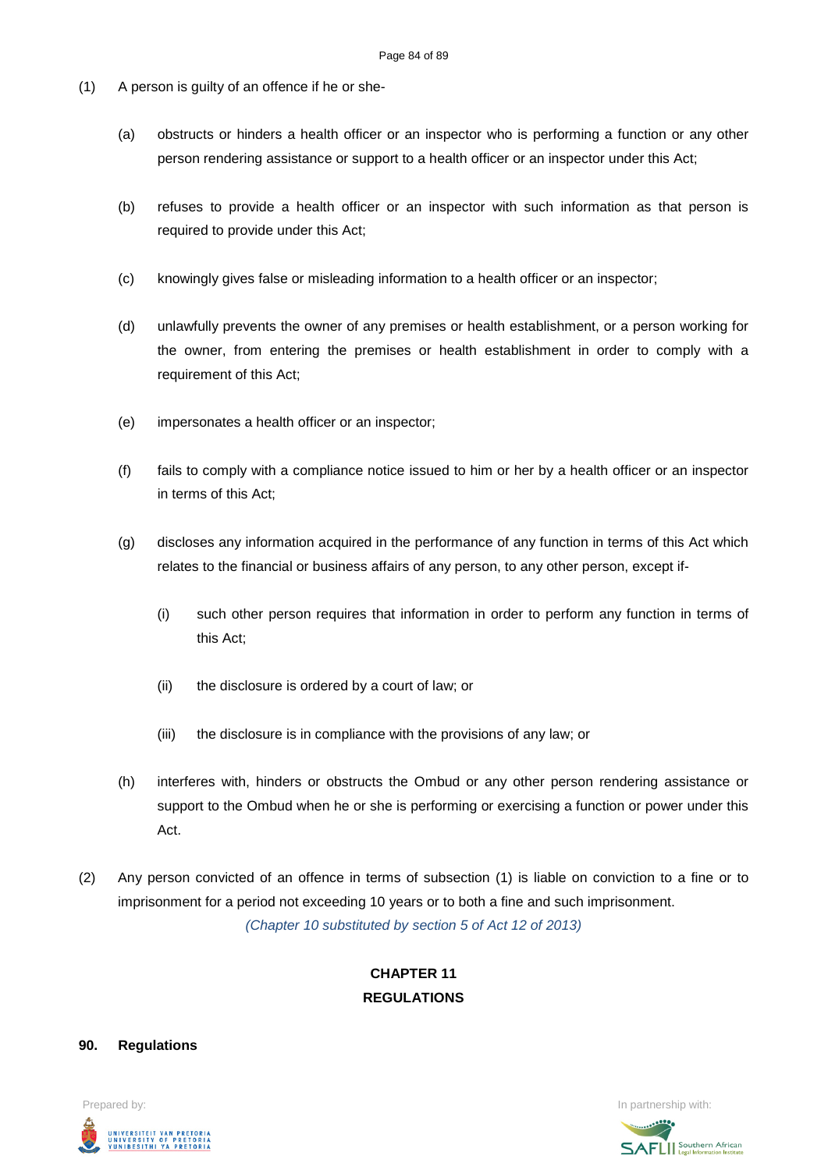- (1) A person is guilty of an offence if he or she-
	- (a) obstructs or hinders a health officer or an inspector who is performing a function or any other person rendering assistance or support to a health officer or an inspector under this Act;
	- (b) refuses to provide a health officer or an inspector with such information as that person is required to provide under this Act;
	- (c) knowingly gives false or misleading information to a health officer or an inspector;
	- (d) unlawfully prevents the owner of any premises or health establishment, or a person working for the owner, from entering the premises or health establishment in order to comply with a requirement of this Act;
	- (e) impersonates a health officer or an inspector;
	- (f) fails to comply with a compliance notice issued to him or her by a health officer or an inspector in terms of this Act;
	- (g) discloses any information acquired in the performance of any function in terms of this Act which relates to the financial or business affairs of any person, to any other person, except if-
		- (i) such other person requires that information in order to perform any function in terms of this Act;
		- (ii) the disclosure is ordered by a court of law; or
		- (iii) the disclosure is in compliance with the provisions of any law; or
	- (h) interferes with, hinders or obstructs the Ombud or any other person rendering assistance or support to the Ombud when he or she is performing or exercising a function or power under this Act.
- (2) Any person convicted of an offence in terms of subsection (1) is liable on conviction to a fine or to imprisonment for a period not exceeding 10 years or to both a fine and such imprisonment. *(Chapter 10 substituted by section 5 of Act 12 of 2013)*

### **CHAPTER 11 REGULATIONS**

#### **90. Regulations**



**SAFLI** Southern African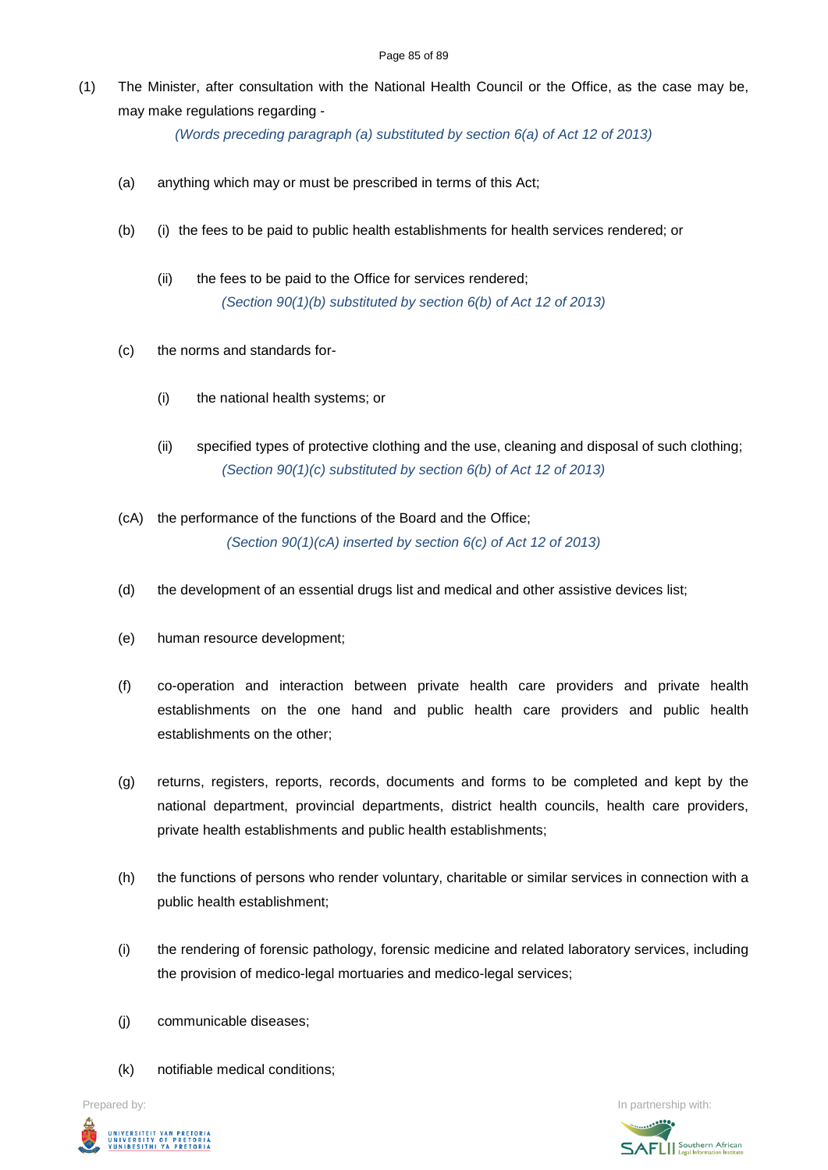(1) The Minister, after consultation with the National Health Council or the Office, as the case may be, may make regulations regarding -

*(Words preceding paragraph (a) substituted by section 6(a) of Act 12 of 2013)*

- (a) anything which may or must be prescribed in terms of this Act;
- (b) (i) the fees to be paid to public health establishments for health services rendered; or
	- (ii) the fees to be paid to the Office for services rendered; *(Section 90(1)(b) substituted by section 6(b) of Act 12 of 2013)*
- (c) the norms and standards for-
	- (i) the national health systems; or
	- (ii) specified types of protective clothing and the use, cleaning and disposal of such clothing; *(Section 90(1)(c) substituted by section 6(b) of Act 12 of 2013)*
- (cA) the performance of the functions of the Board and the Office; *(Section 90(1)(cA) inserted by section 6(c) of Act 12 of 2013)*
- (d) the development of an essential drugs list and medical and other assistive devices list;
- (e) human resource development;
- (f) co-operation and interaction between private health care providers and private health establishments on the one hand and public health care providers and public health establishments on the other;
- (g) returns, registers, reports, records, documents and forms to be completed and kept by the national department, provincial departments, district health councils, health care providers, private health establishments and public health establishments;
- (h) the functions of persons who render voluntary, charitable or similar services in connection with a public health establishment;
- (i) the rendering of forensic pathology, forensic medicine and related laboratory services, including the provision of medico-legal mortuaries and medico-legal services;
- (j) communicable diseases;
- (k) notifiable medical conditions;



Prepared by: **In partnership with:**  $\blacksquare$  **In partnership with:**  $\blacksquare$  **In partnership with:**  $\blacksquare$ **SAFLI** Southern African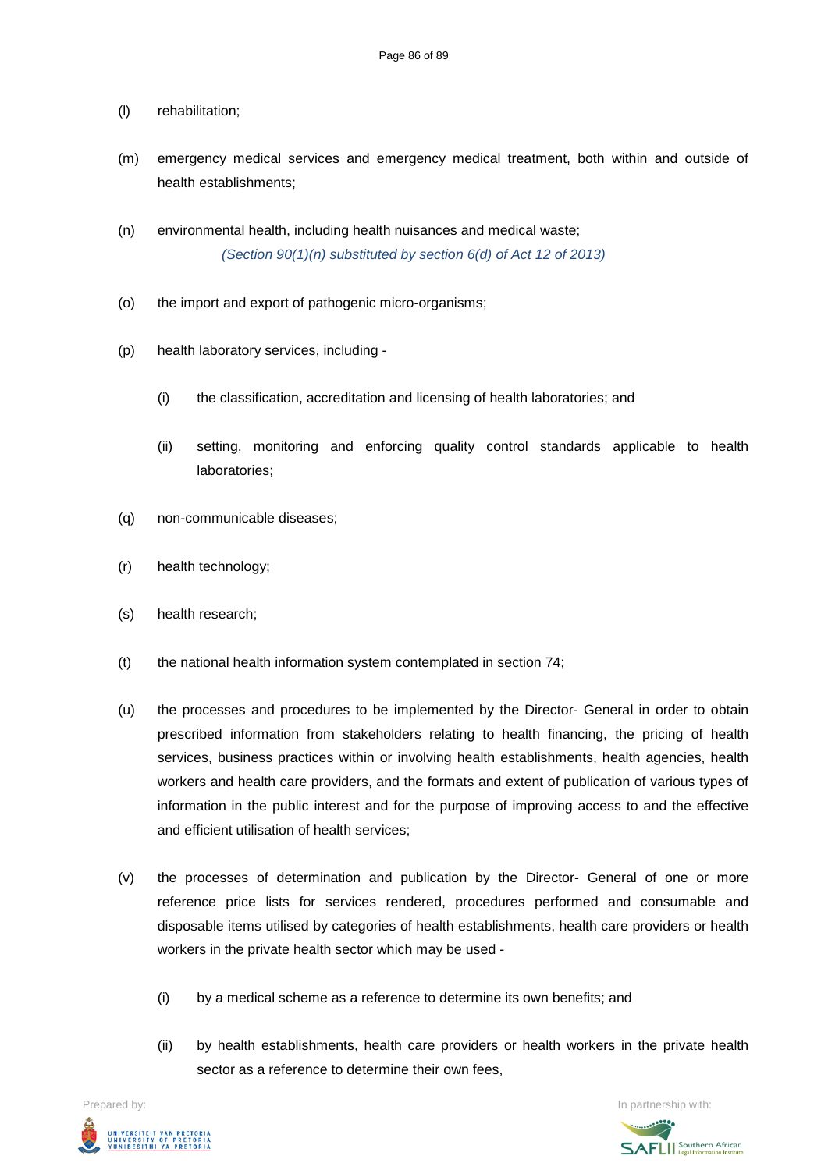- (l) rehabilitation;
- (m) emergency medical services and emergency medical treatment, both within and outside of health establishments;
- (n) environmental health, including health nuisances and medical waste; *(Section 90(1)(n) substituted by section 6(d) of Act 12 of 2013)*
- (o) the import and export of pathogenic micro-organisms;
- (p) health laboratory services, including
	- (i) the classification, accreditation and licensing of health laboratories; and
	- (ii) setting, monitoring and enforcing quality control standards applicable to health laboratories;
- (q) non-communicable diseases;
- (r) health technology;
- (s) health research;
- (t) the national health information system contemplated in section 74;
- (u) the processes and procedures to be implemented by the Director- General in order to obtain prescribed information from stakeholders relating to health financing, the pricing of health services, business practices within or involving health establishments, health agencies, health workers and health care providers, and the formats and extent of publication of various types of information in the public interest and for the purpose of improving access to and the effective and efficient utilisation of health services;
- (v) the processes of determination and publication by the Director- General of one or more reference price lists for services rendered, procedures performed and consumable and disposable items utilised by categories of health establishments, health care providers or health workers in the private health sector which may be used -
	- (i) by a medical scheme as a reference to determine its own benefits; and
	- (ii) by health establishments, health care providers or health workers in the private health sector as a reference to determine their own fees.

Prepared by: In partnership with:



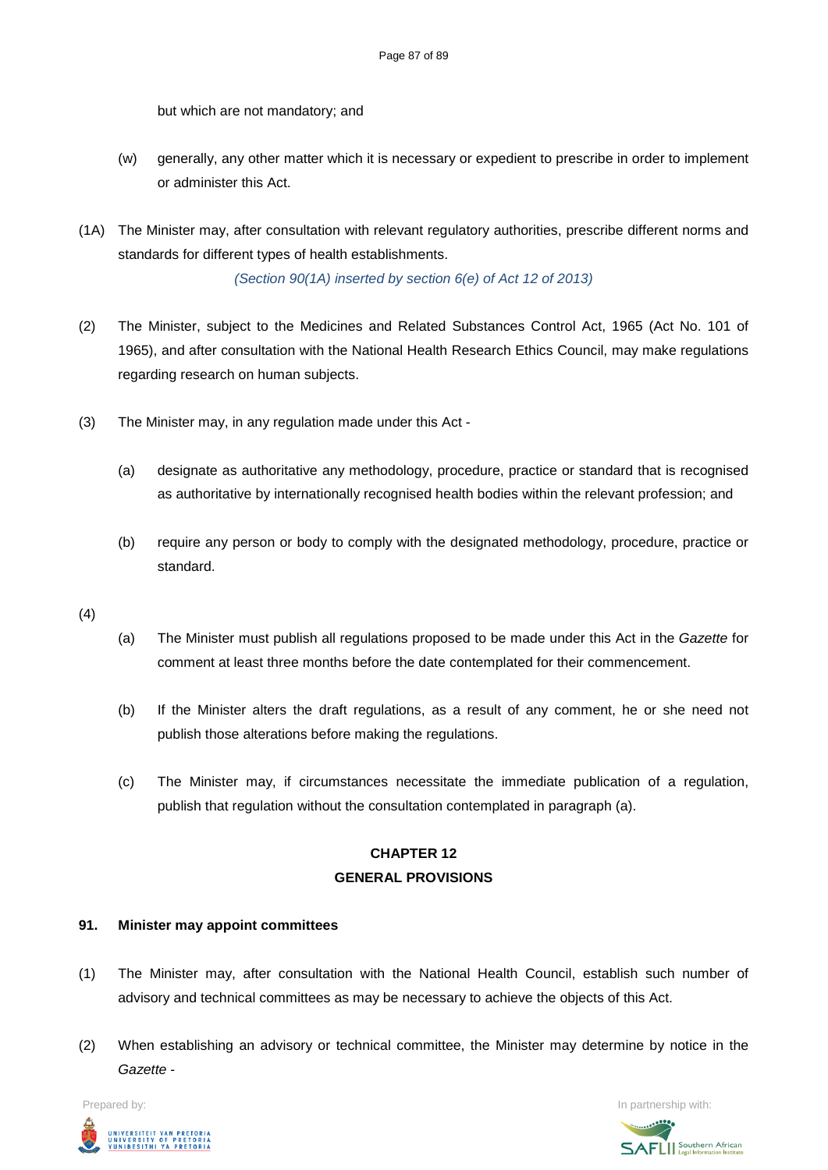but which are not mandatory; and

- (w) generally, any other matter which it is necessary or expedient to prescribe in order to implement or administer this Act.
- (1A) The Minister may, after consultation with relevant regulatory authorities, prescribe different norms and standards for different types of health establishments.

*(Section 90(1A) inserted by section 6(e) of Act 12 of 2013)*

- (2) The Minister, subject to the Medicines and Related Substances Control Act, 1965 (Act No. 101 of 1965), and after consultation with the National Health Research Ethics Council, may make regulations regarding research on human subjects.
- (3) The Minister may, in any regulation made under this Act
	- (a) designate as authoritative any methodology, procedure, practice or standard that is recognised as authoritative by internationally recognised health bodies within the relevant profession; and
	- (b) require any person or body to comply with the designated methodology, procedure, practice or standard.
- (4)
- (a) The Minister must publish all regulations proposed to be made under this Act in the *Gazette* for comment at least three months before the date contemplated for their commencement.
- (b) If the Minister alters the draft regulations, as a result of any comment, he or she need not publish those alterations before making the regulations.
- (c) The Minister may, if circumstances necessitate the immediate publication of a regulation, publish that regulation without the consultation contemplated in paragraph (a).

## **CHAPTER 12 GENERAL PROVISIONS**

### **91. Minister may appoint committees**

- (1) The Minister may, after consultation with the National Health Council, establish such number of advisory and technical committees as may be necessary to achieve the objects of this Act.
- (2) When establishing an advisory or technical committee, the Minister may determine by notice in the *Gazette* -



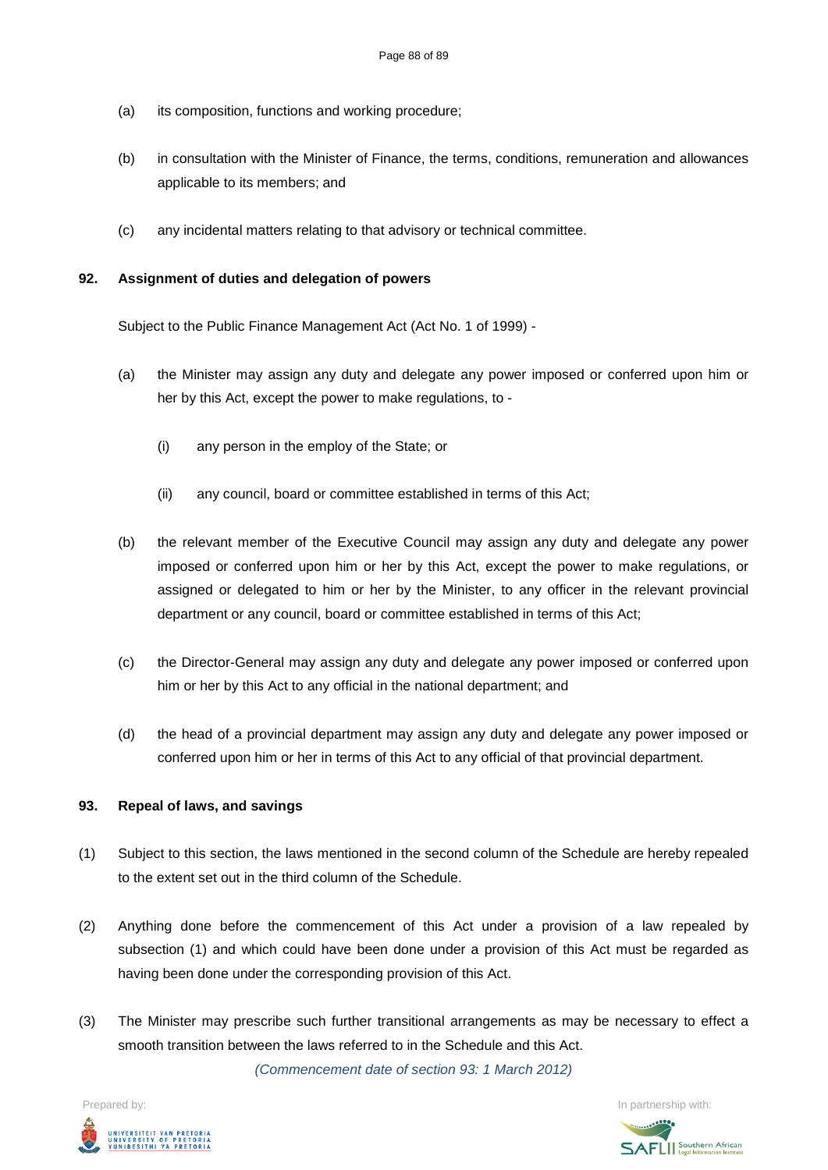- (a) its composition, functions and working procedure;
- (b) in consultation with the Minister of Finance, the terms, conditions, remuneration and allowances applicable to its members; and
- (c) any incidental matters relating to that advisory or technical committee.

#### **92. Assignment of duties and delegation of powers**

Subject to the Public Finance Management Act (Act No. 1 of 1999) -

- (a) the Minister may assign any duty and delegate any power imposed or conferred upon him or her by this Act, except the power to make regulations, to -
	- (i) any person in the employ of the State; or
	- (ii) any council, board or committee established in terms of this Act;
- (b) the relevant member of the Executive Council may assign any duty and delegate any power imposed or conferred upon him or her by this Act, except the power to make regulations, or assigned or delegated to him or her by the Minister, to any officer in the relevant provincial department or any council, board or committee established in terms of this Act;
- (c) the Director-General may assign any duty and delegate any power imposed or conferred upon him or her by this Act to any official in the national department; and
- (d) the head of a provincial department may assign any duty and delegate any power imposed or conferred upon him or her in terms of this Act to any official of that provincial department.

#### **93. Repeal of laws, and savings**

- (1) Subject to this section, the laws mentioned in the second column of the Schedule are hereby repealed to the extent set out in the third column of the Schedule.
- (2) Anything done before the commencement of this Act under a provision of a law repealed by subsection (1) and which could have been done under a provision of this Act must be regarded as having been done under the corresponding provision of this Act.
- (3) The Minister may prescribe such further transitional arrangements as may be necessary to effect a smooth transition between the laws referred to in the Schedule and this Act.

*(Commencement date of section 93: 1 March 2012)*

Prepared by: In partnership with:UNIVERSITEIT VAN PRETORIA<br>UNIVERSITY OF PRETORIA<br>YUNIBESITHI YA PRETORIA